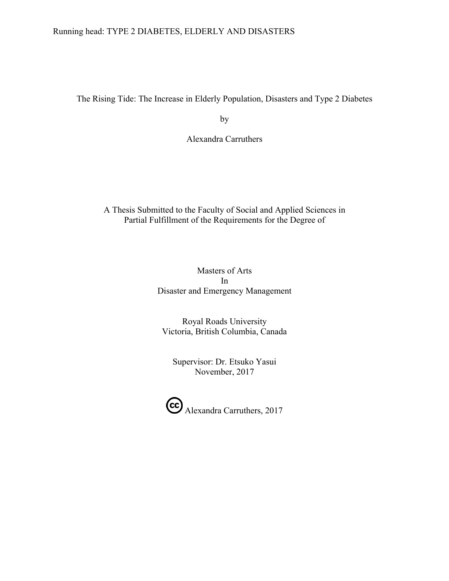# Running head: TYPE 2 DIABETES, ELDERLY AND DISASTERS

The Rising Tide: The Increase in Elderly Population, Disasters and Type 2 Diabetes

by

Alexandra Carruthers

# A Thesis Submitted to the Faculty of Social and Applied Sciences in Partial Fulfillment of the Requirements for the Degree of

# Masters of Arts In Disaster and Emergency Management

Royal Roads University Victoria, British Columbia, Canada

Supervisor: Dr. Etsuko Yasui November, 2017

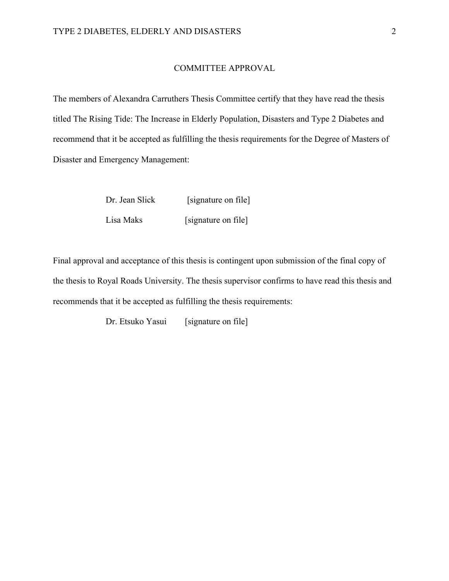#### COMMITTEE APPROVAL

The members of Alexandra Carruthers Thesis Committee certify that they have read the thesis titled The Rising Tide: The Increase in Elderly Population, Disasters and Type 2 Diabetes and recommend that it be accepted as fulfilling the thesis requirements for the Degree of Masters of Disaster and Emergency Management:

| Dr. Jean Slick | [signature on file] |
|----------------|---------------------|
| Lisa Maks      | [signature on file] |

Final approval and acceptance of this thesis is contingent upon submission of the final copy of the thesis to Royal Roads University. The thesis supervisor confirms to have read this thesis and recommends that it be accepted as fulfilling the thesis requirements:

Dr. Etsuko Yasui [signature on file]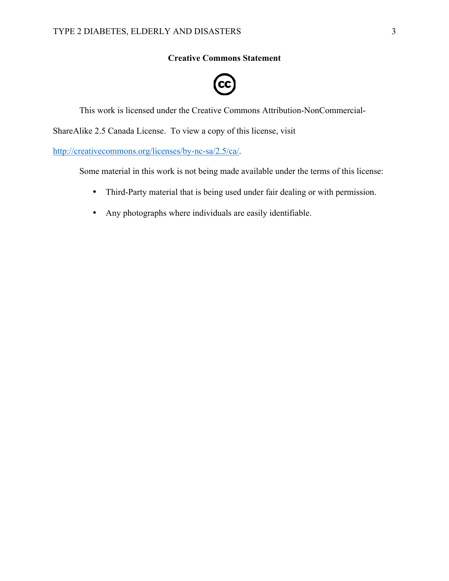# **Creative Commons Statement**

# $cc$

This work is licensed under the Creative Commons Attribution-NonCommercial-

ShareAlike 2.5 Canada License. To view a copy of this license, visit

http://creativecommons.org/licenses/by-nc-sa/2.5/ca/.

Some material in this work is not being made available under the terms of this license:

- Third-Party material that is being used under fair dealing or with permission.
- Any photographs where individuals are easily identifiable.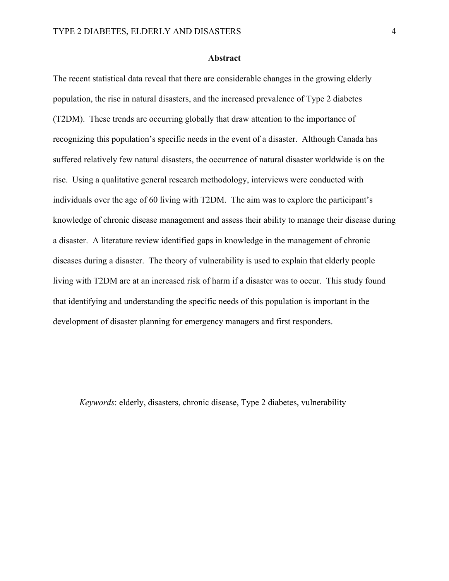# **Abstract**

The recent statistical data reveal that there are considerable changes in the growing elderly population, the rise in natural disasters, and the increased prevalence of Type 2 diabetes (T2DM). These trends are occurring globally that draw attention to the importance of recognizing this population's specific needs in the event of a disaster. Although Canada has suffered relatively few natural disasters, the occurrence of natural disaster worldwide is on the rise. Using a qualitative general research methodology, interviews were conducted with individuals over the age of 60 living with T2DM. The aim was to explore the participant's knowledge of chronic disease management and assess their ability to manage their disease during a disaster. A literature review identified gaps in knowledge in the management of chronic diseases during a disaster. The theory of vulnerability is used to explain that elderly people living with T2DM are at an increased risk of harm if a disaster was to occur. This study found that identifying and understanding the specific needs of this population is important in the development of disaster planning for emergency managers and first responders.

*Keywords*: elderly, disasters, chronic disease, Type 2 diabetes, vulnerability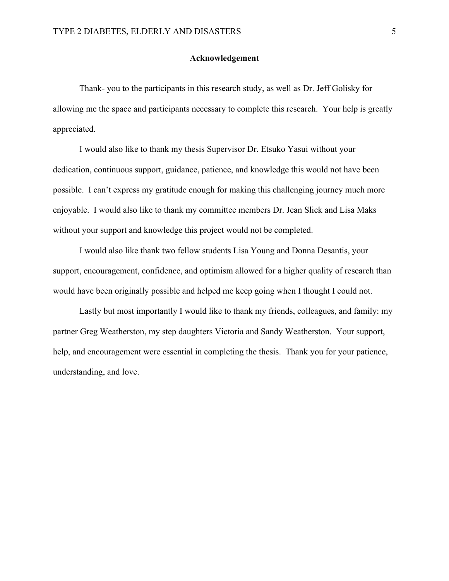# **Acknowledgement**

Thank- you to the participants in this research study, as well as Dr. Jeff Golisky for allowing me the space and participants necessary to complete this research. Your help is greatly appreciated.

I would also like to thank my thesis Supervisor Dr. Etsuko Yasui without your dedication, continuous support, guidance, patience, and knowledge this would not have been possible. I can't express my gratitude enough for making this challenging journey much more enjoyable. I would also like to thank my committee members Dr. Jean Slick and Lisa Maks without your support and knowledge this project would not be completed.

I would also like thank two fellow students Lisa Young and Donna Desantis, your support, encouragement, confidence, and optimism allowed for a higher quality of research than would have been originally possible and helped me keep going when I thought I could not.

Lastly but most importantly I would like to thank my friends, colleagues, and family: my partner Greg Weatherston, my step daughters Victoria and Sandy Weatherston. Your support, help, and encouragement were essential in completing the thesis. Thank you for your patience, understanding, and love.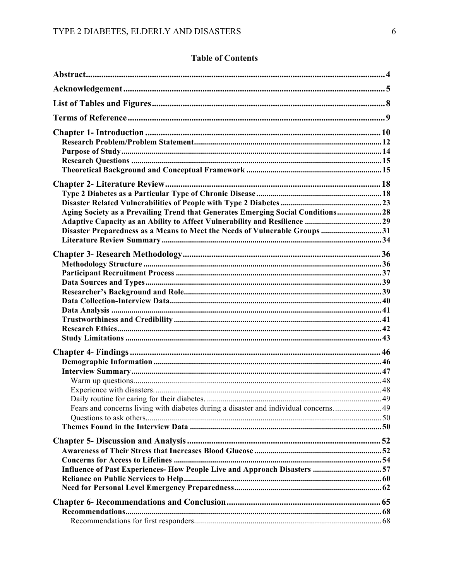# **Table of Contents**

| Aging Society as a Prevailing Trend that Generates Emerging Social Conditions 28<br>Disaster Preparedness as a Means to Meet the Needs of Vulnerable Groups31 |  |
|---------------------------------------------------------------------------------------------------------------------------------------------------------------|--|
|                                                                                                                                                               |  |
|                                                                                                                                                               |  |
| Influence of Past Experiences- How People Live and Approach Disasters 57                                                                                      |  |
|                                                                                                                                                               |  |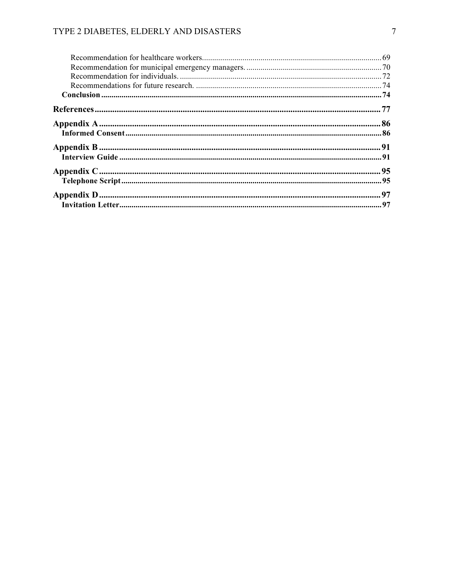# TYPE 2 DIABETES, ELDERLY AND DISASTERS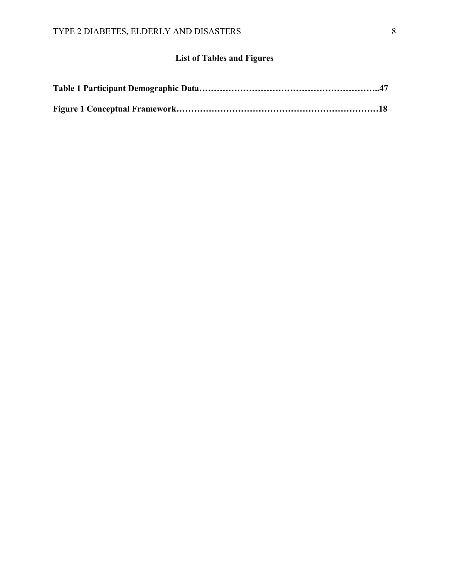# **List of Tables and Figures**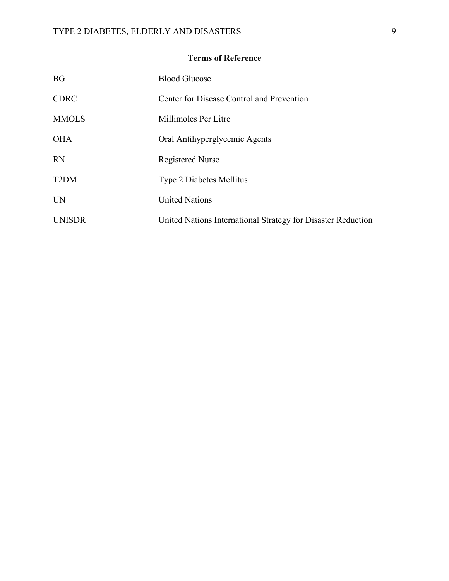# **Terms of Reference**

| <b>BG</b>         | <b>Blood Glucose</b>                                         |
|-------------------|--------------------------------------------------------------|
| <b>CDRC</b>       | Center for Disease Control and Prevention                    |
| <b>MMOLS</b>      | Millimoles Per Litre                                         |
| <b>OHA</b>        | Oral Antihyperglycemic Agents                                |
| <b>RN</b>         | <b>Registered Nurse</b>                                      |
| T <sub>2</sub> DM | <b>Type 2 Diabetes Mellitus</b>                              |
| UN                | <b>United Nations</b>                                        |
| <b>UNISDR</b>     | United Nations International Strategy for Disaster Reduction |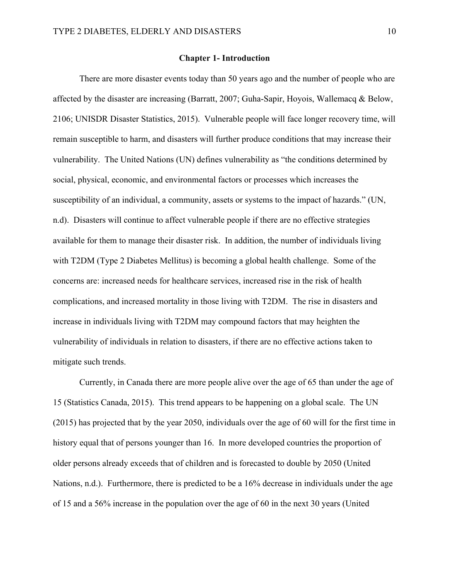# **Chapter 1- Introduction**

There are more disaster events today than 50 years ago and the number of people who are affected by the disaster are increasing (Barratt, 2007; Guha-Sapir, Hoyois, Wallemacq & Below, 2106; UNISDR Disaster Statistics, 2015). Vulnerable people will face longer recovery time, will remain susceptible to harm, and disasters will further produce conditions that may increase their vulnerability. The United Nations (UN) defines vulnerability as "the conditions determined by social, physical, economic, and environmental factors or processes which increases the susceptibility of an individual, a community, assets or systems to the impact of hazards." (UN, n.d). Disasters will continue to affect vulnerable people if there are no effective strategies available for them to manage their disaster risk. In addition, the number of individuals living with T2DM (Type 2 Diabetes Mellitus) is becoming a global health challenge. Some of the concerns are: increased needs for healthcare services, increased rise in the risk of health complications, and increased mortality in those living with T2DM. The rise in disasters and increase in individuals living with T2DM may compound factors that may heighten the vulnerability of individuals in relation to disasters, if there are no effective actions taken to mitigate such trends.

Currently, in Canada there are more people alive over the age of 65 than under the age of 15 (Statistics Canada, 2015). This trend appears to be happening on a global scale. The UN (2015) has projected that by the year 2050, individuals over the age of 60 will for the first time in history equal that of persons younger than 16. In more developed countries the proportion of older persons already exceeds that of children and is forecasted to double by 2050 (United Nations, n.d.). Furthermore, there is predicted to be a 16% decrease in individuals under the age of 15 and a 56% increase in the population over the age of 60 in the next 30 years (United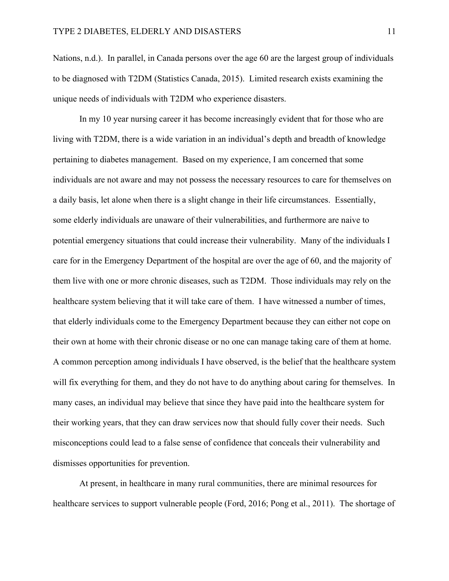Nations, n.d.). In parallel, in Canada persons over the age 60 are the largest group of individuals to be diagnosed with T2DM (Statistics Canada, 2015). Limited research exists examining the unique needs of individuals with T2DM who experience disasters.

In my 10 year nursing career it has become increasingly evident that for those who are living with T2DM, there is a wide variation in an individual's depth and breadth of knowledge pertaining to diabetes management. Based on my experience, I am concerned that some individuals are not aware and may not possess the necessary resources to care for themselves on a daily basis, let alone when there is a slight change in their life circumstances. Essentially, some elderly individuals are unaware of their vulnerabilities, and furthermore are naive to potential emergency situations that could increase their vulnerability. Many of the individuals I care for in the Emergency Department of the hospital are over the age of 60, and the majority of them live with one or more chronic diseases, such as T2DM. Those individuals may rely on the healthcare system believing that it will take care of them. I have witnessed a number of times, that elderly individuals come to the Emergency Department because they can either not cope on their own at home with their chronic disease or no one can manage taking care of them at home. A common perception among individuals I have observed, is the belief that the healthcare system will fix everything for them, and they do not have to do anything about caring for themselves. In many cases, an individual may believe that since they have paid into the healthcare system for their working years, that they can draw services now that should fully cover their needs. Such misconceptions could lead to a false sense of confidence that conceals their vulnerability and dismisses opportunities for prevention.

At present, in healthcare in many rural communities, there are minimal resources for healthcare services to support vulnerable people (Ford, 2016; Pong et al., 2011). The shortage of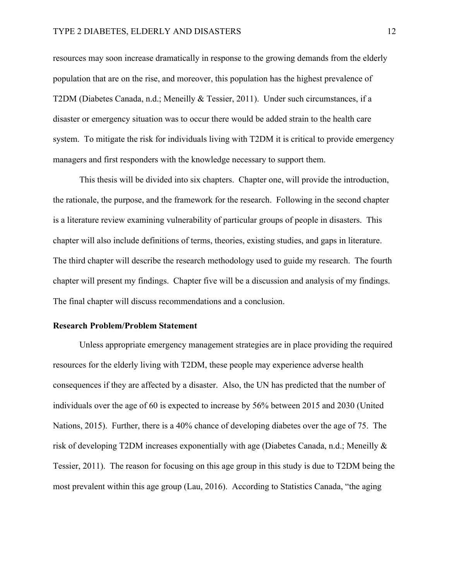resources may soon increase dramatically in response to the growing demands from the elderly population that are on the rise, and moreover, this population has the highest prevalence of T2DM (Diabetes Canada, n.d.; Meneilly & Tessier, 2011). Under such circumstances, if a disaster or emergency situation was to occur there would be added strain to the health care system. To mitigate the risk for individuals living with T2DM it is critical to provide emergency managers and first responders with the knowledge necessary to support them.

This thesis will be divided into six chapters. Chapter one, will provide the introduction, the rationale, the purpose, and the framework for the research. Following in the second chapter is a literature review examining vulnerability of particular groups of people in disasters. This chapter will also include definitions of terms, theories, existing studies, and gaps in literature. The third chapter will describe the research methodology used to guide my research. The fourth chapter will present my findings. Chapter five will be a discussion and analysis of my findings. The final chapter will discuss recommendations and a conclusion.

#### **Research Problem/Problem Statement**

Unless appropriate emergency management strategies are in place providing the required resources for the elderly living with T2DM, these people may experience adverse health consequences if they are affected by a disaster. Also, the UN has predicted that the number of individuals over the age of 60 is expected to increase by 56% between 2015 and 2030 (United Nations, 2015). Further, there is a 40% chance of developing diabetes over the age of 75. The risk of developing T2DM increases exponentially with age (Diabetes Canada, n.d.; Meneilly & Tessier, 2011). The reason for focusing on this age group in this study is due to T2DM being the most prevalent within this age group (Lau, 2016). According to Statistics Canada, "the aging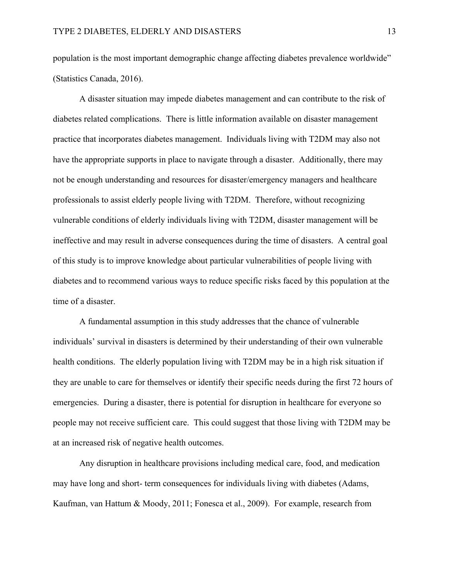population is the most important demographic change affecting diabetes prevalence worldwide" (Statistics Canada, 2016).

A disaster situation may impede diabetes management and can contribute to the risk of diabetes related complications. There is little information available on disaster management practice that incorporates diabetes management. Individuals living with T2DM may also not have the appropriate supports in place to navigate through a disaster. Additionally, there may not be enough understanding and resources for disaster/emergency managers and healthcare professionals to assist elderly people living with T2DM. Therefore, without recognizing vulnerable conditions of elderly individuals living with T2DM, disaster management will be ineffective and may result in adverse consequences during the time of disasters. A central goal of this study is to improve knowledge about particular vulnerabilities of people living with diabetes and to recommend various ways to reduce specific risks faced by this population at the time of a disaster.

A fundamental assumption in this study addresses that the chance of vulnerable individuals' survival in disasters is determined by their understanding of their own vulnerable health conditions. The elderly population living with T2DM may be in a high risk situation if they are unable to care for themselves or identify their specific needs during the first 72 hours of emergencies. During a disaster, there is potential for disruption in healthcare for everyone so people may not receive sufficient care. This could suggest that those living with T2DM may be at an increased risk of negative health outcomes.

Any disruption in healthcare provisions including medical care, food, and medication may have long and short- term consequences for individuals living with diabetes (Adams, Kaufman, van Hattum & Moody, 2011; Fonesca et al., 2009). For example, research from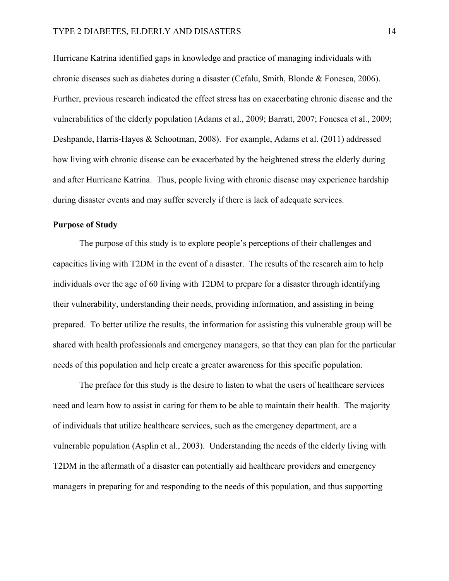Hurricane Katrina identified gaps in knowledge and practice of managing individuals with chronic diseases such as diabetes during a disaster (Cefalu, Smith, Blonde & Fonesca, 2006). Further, previous research indicated the effect stress has on exacerbating chronic disease and the vulnerabilities of the elderly population (Adams et al., 2009; Barratt, 2007; Fonesca et al., 2009; Deshpande, Harris-Hayes & Schootman, 2008). For example, Adams et al. (2011) addressed how living with chronic disease can be exacerbated by the heightened stress the elderly during and after Hurricane Katrina. Thus, people living with chronic disease may experience hardship during disaster events and may suffer severely if there is lack of adequate services.

# **Purpose of Study**

The purpose of this study is to explore people's perceptions of their challenges and capacities living with T2DM in the event of a disaster. The results of the research aim to help individuals over the age of 60 living with T2DM to prepare for a disaster through identifying their vulnerability, understanding their needs, providing information, and assisting in being prepared. To better utilize the results, the information for assisting this vulnerable group will be shared with health professionals and emergency managers, so that they can plan for the particular needs of this population and help create a greater awareness for this specific population.

The preface for this study is the desire to listen to what the users of healthcare services need and learn how to assist in caring for them to be able to maintain their health. The majority of individuals that utilize healthcare services, such as the emergency department, are a vulnerable population (Asplin et al., 2003). Understanding the needs of the elderly living with T2DM in the aftermath of a disaster can potentially aid healthcare providers and emergency managers in preparing for and responding to the needs of this population, and thus supporting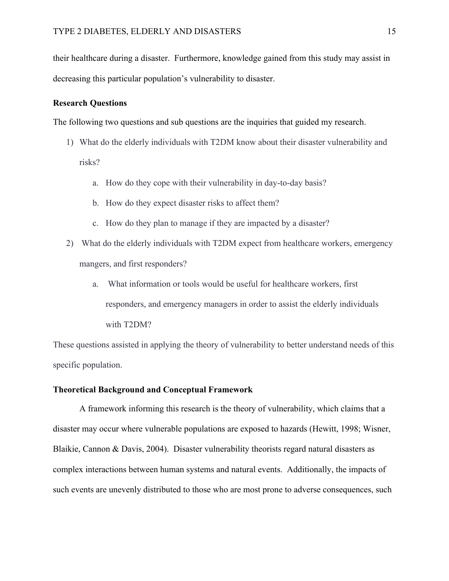their healthcare during a disaster. Furthermore, knowledge gained from this study may assist in decreasing this particular population's vulnerability to disaster.

# **Research Questions**

The following two questions and sub questions are the inquiries that guided my research.

- 1) What do the elderly individuals with T2DM know about their disaster vulnerability and risks?
	- a. How do they cope with their vulnerability in day-to-day basis?
	- b. How do they expect disaster risks to affect them?
	- c. How do they plan to manage if they are impacted by a disaster?
- 2) What do the elderly individuals with T2DM expect from healthcare workers, emergency mangers, and first responders?
	- a. What information or tools would be useful for healthcare workers, first responders, and emergency managers in order to assist the elderly individuals with T2DM?

These questions assisted in applying the theory of vulnerability to better understand needs of this specific population.

# **Theoretical Background and Conceptual Framework**

A framework informing this research is the theory of vulnerability, which claims that a disaster may occur where vulnerable populations are exposed to hazards (Hewitt, 1998; Wisner, Blaikie, Cannon & Davis, 2004). Disaster vulnerability theorists regard natural disasters as complex interactions between human systems and natural events. Additionally, the impacts of such events are unevenly distributed to those who are most prone to adverse consequences, such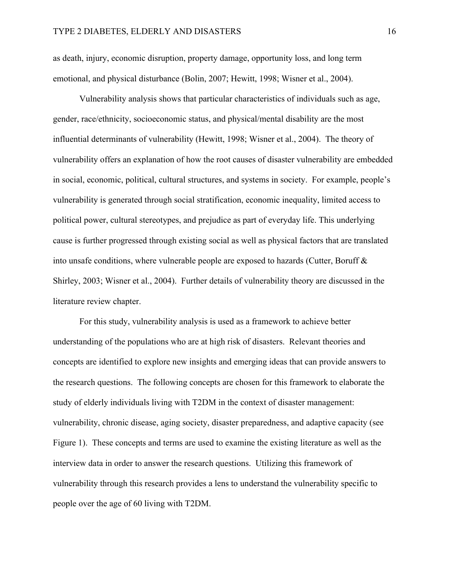as death, injury, economic disruption, property damage, opportunity loss, and long term emotional, and physical disturbance (Bolin, 2007; Hewitt, 1998; Wisner et al., 2004).

Vulnerability analysis shows that particular characteristics of individuals such as age, gender, race/ethnicity, socioeconomic status, and physical/mental disability are the most influential determinants of vulnerability (Hewitt, 1998; Wisner et al., 2004). The theory of vulnerability offers an explanation of how the root causes of disaster vulnerability are embedded in social, economic, political, cultural structures, and systems in society. For example, people's vulnerability is generated through social stratification, economic inequality, limited access to political power, cultural stereotypes, and prejudice as part of everyday life. This underlying cause is further progressed through existing social as well as physical factors that are translated into unsafe conditions, where vulnerable people are exposed to hazards (Cutter, Boruff & Shirley, 2003; Wisner et al., 2004). Further details of vulnerability theory are discussed in the literature review chapter.

For this study, vulnerability analysis is used as a framework to achieve better understanding of the populations who are at high risk of disasters. Relevant theories and concepts are identified to explore new insights and emerging ideas that can provide answers to the research questions. The following concepts are chosen for this framework to elaborate the study of elderly individuals living with T2DM in the context of disaster management: vulnerability, chronic disease, aging society, disaster preparedness, and adaptive capacity (see Figure 1). These concepts and terms are used to examine the existing literature as well as the interview data in order to answer the research questions. Utilizing this framework of vulnerability through this research provides a lens to understand the vulnerability specific to people over the age of 60 living with T2DM.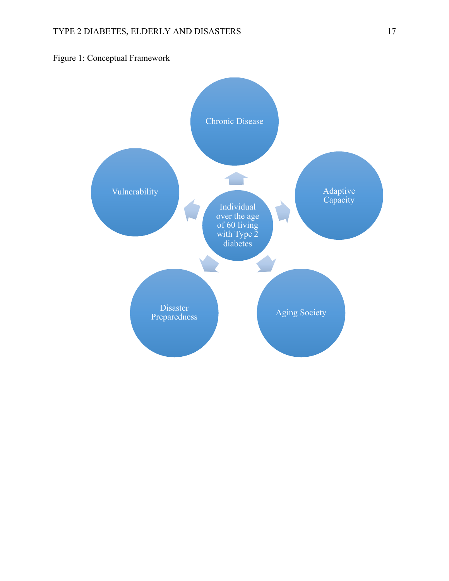

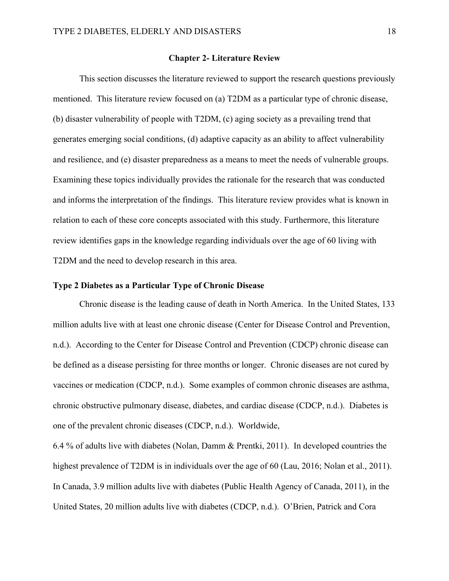## **Chapter 2- Literature Review**

This section discusses the literature reviewed to support the research questions previously mentioned. This literature review focused on (a) T2DM as a particular type of chronic disease, (b) disaster vulnerability of people with T2DM, (c) aging society as a prevailing trend that generates emerging social conditions, (d) adaptive capacity as an ability to affect vulnerability and resilience, and (e) disaster preparedness as a means to meet the needs of vulnerable groups. Examining these topics individually provides the rationale for the research that was conducted and informs the interpretation of the findings. This literature review provides what is known in relation to each of these core concepts associated with this study. Furthermore, this literature review identifies gaps in the knowledge regarding individuals over the age of 60 living with T2DM and the need to develop research in this area.

# **Type 2 Diabetes as a Particular Type of Chronic Disease**

Chronic disease is the leading cause of death in North America. In the United States, 133 million adults live with at least one chronic disease (Center for Disease Control and Prevention, n.d.). According to the Center for Disease Control and Prevention (CDCP) chronic disease can be defined as a disease persisting for three months or longer. Chronic diseases are not cured by vaccines or medication (CDCP, n.d.). Some examples of common chronic diseases are asthma, chronic obstructive pulmonary disease, diabetes, and cardiac disease (CDCP, n.d.). Diabetes is one of the prevalent chronic diseases (CDCP, n.d.). Worldwide,

6.4 % of adults live with diabetes (Nolan, Damm & Prentki, 2011). In developed countries the highest prevalence of T2DM is in individuals over the age of 60 (Lau, 2016; Nolan et al., 2011). In Canada, 3.9 million adults live with diabetes (Public Health Agency of Canada, 2011), in the United States, 20 million adults live with diabetes (CDCP, n.d.). O'Brien, Patrick and Cora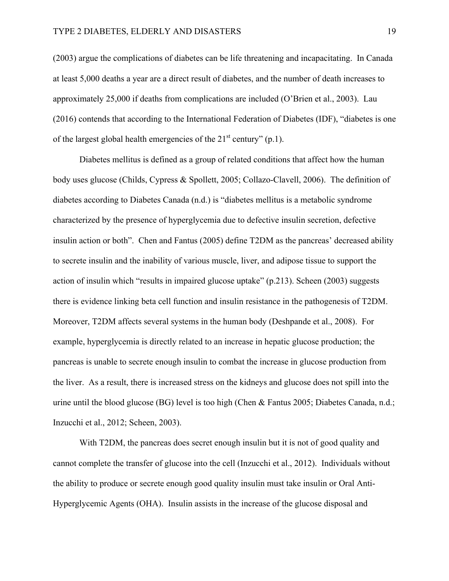(2003) argue the complications of diabetes can be life threatening and incapacitating. In Canada at least 5,000 deaths a year are a direct result of diabetes, and the number of death increases to approximately 25,000 if deaths from complications are included (O'Brien et al., 2003). Lau (2016) contends that according to the International Federation of Diabetes (IDF), "diabetes is one of the largest global health emergencies of the  $21<sup>st</sup>$  century" (p.1).

Diabetes mellitus is defined as a group of related conditions that affect how the human body uses glucose (Childs, Cypress & Spollett, 2005; Collazo-Clavell, 2006). The definition of diabetes according to Diabetes Canada (n.d.) is "diabetes mellitus is a metabolic syndrome characterized by the presence of hyperglycemia due to defective insulin secretion, defective insulin action or both". Chen and Fantus (2005) define T2DM as the pancreas' decreased ability to secrete insulin and the inability of various muscle, liver, and adipose tissue to support the action of insulin which "results in impaired glucose uptake" (p.213). Scheen (2003) suggests there is evidence linking beta cell function and insulin resistance in the pathogenesis of T2DM. Moreover, T2DM affects several systems in the human body (Deshpande et al., 2008). For example, hyperglycemia is directly related to an increase in hepatic glucose production; the pancreas is unable to secrete enough insulin to combat the increase in glucose production from the liver. As a result, there is increased stress on the kidneys and glucose does not spill into the urine until the blood glucose (BG) level is too high (Chen & Fantus 2005; Diabetes Canada, n.d.; Inzucchi et al., 2012; Scheen, 2003).

With T2DM, the pancreas does secret enough insulin but it is not of good quality and cannot complete the transfer of glucose into the cell (Inzucchi et al., 2012). Individuals without the ability to produce or secrete enough good quality insulin must take insulin or Oral Anti-Hyperglycemic Agents (OHA). Insulin assists in the increase of the glucose disposal and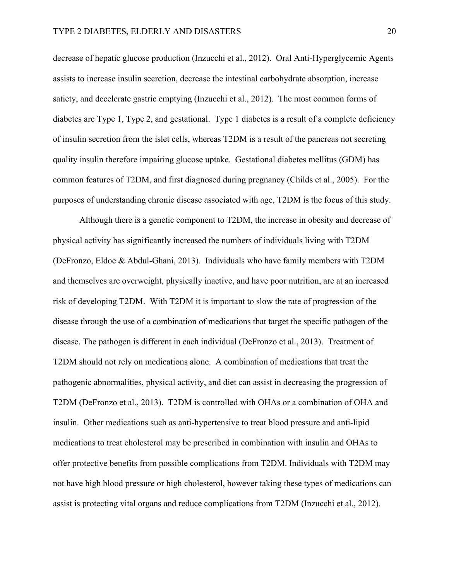decrease of hepatic glucose production (Inzucchi et al., 2012). Oral Anti-Hyperglycemic Agents assists to increase insulin secretion, decrease the intestinal carbohydrate absorption, increase satiety, and decelerate gastric emptying (Inzucchi et al., 2012). The most common forms of diabetes are Type 1, Type 2, and gestational. Type 1 diabetes is a result of a complete deficiency of insulin secretion from the islet cells, whereas T2DM is a result of the pancreas not secreting quality insulin therefore impairing glucose uptake. Gestational diabetes mellitus (GDM) has common features of T2DM, and first diagnosed during pregnancy (Childs et al., 2005). For the purposes of understanding chronic disease associated with age, T2DM is the focus of this study.

Although there is a genetic component to T2DM, the increase in obesity and decrease of physical activity has significantly increased the numbers of individuals living with T2DM (DeFronzo, Eldoe & Abdul-Ghani, 2013). Individuals who have family members with T2DM and themselves are overweight, physically inactive, and have poor nutrition, are at an increased risk of developing T2DM. With T2DM it is important to slow the rate of progression of the disease through the use of a combination of medications that target the specific pathogen of the disease. The pathogen is different in each individual (DeFronzo et al., 2013). Treatment of T2DM should not rely on medications alone. A combination of medications that treat the pathogenic abnormalities, physical activity, and diet can assist in decreasing the progression of T2DM (DeFronzo et al., 2013). T2DM is controlled with OHAs or a combination of OHA and insulin. Other medications such as anti-hypertensive to treat blood pressure and anti-lipid medications to treat cholesterol may be prescribed in combination with insulin and OHAs to offer protective benefits from possible complications from T2DM. Individuals with T2DM may not have high blood pressure or high cholesterol, however taking these types of medications can assist is protecting vital organs and reduce complications from T2DM (Inzucchi et al., 2012).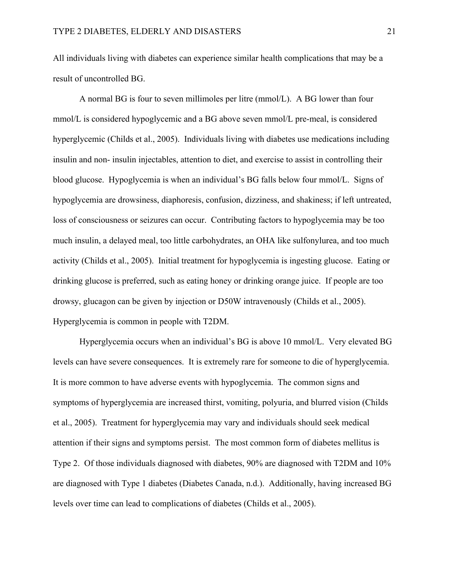All individuals living with diabetes can experience similar health complications that may be a result of uncontrolled BG.

A normal BG is four to seven millimoles per litre (mmol/L). A BG lower than four mmol/L is considered hypoglycemic and a BG above seven mmol/L pre-meal, is considered hyperglycemic (Childs et al., 2005). Individuals living with diabetes use medications including insulin and non- insulin injectables, attention to diet, and exercise to assist in controlling their blood glucose. Hypoglycemia is when an individual's BG falls below four mmol/L. Signs of hypoglycemia are drowsiness, diaphoresis, confusion, dizziness, and shakiness; if left untreated, loss of consciousness or seizures can occur. Contributing factors to hypoglycemia may be too much insulin, a delayed meal, too little carbohydrates, an OHA like sulfonylurea, and too much activity (Childs et al., 2005). Initial treatment for hypoglycemia is ingesting glucose. Eating or drinking glucose is preferred, such as eating honey or drinking orange juice. If people are too drowsy, glucagon can be given by injection or D50W intravenously (Childs et al., 2005). Hyperglycemia is common in people with T2DM.

Hyperglycemia occurs when an individual's BG is above 10 mmol/L. Very elevated BG levels can have severe consequences. It is extremely rare for someone to die of hyperglycemia. It is more common to have adverse events with hypoglycemia. The common signs and symptoms of hyperglycemia are increased thirst, vomiting, polyuria, and blurred vision (Childs et al., 2005). Treatment for hyperglycemia may vary and individuals should seek medical attention if their signs and symptoms persist. The most common form of diabetes mellitus is Type 2. Of those individuals diagnosed with diabetes, 90% are diagnosed with T2DM and 10% are diagnosed with Type 1 diabetes (Diabetes Canada, n.d.). Additionally, having increased BG levels over time can lead to complications of diabetes (Childs et al., 2005).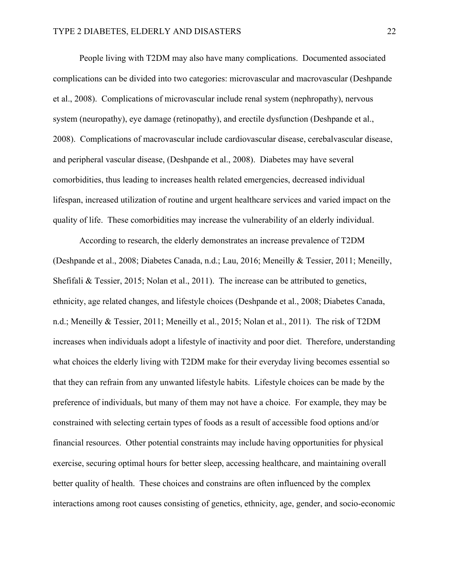People living with T2DM may also have many complications. Documented associated complications can be divided into two categories: microvascular and macrovascular (Deshpande et al., 2008). Complications of microvascular include renal system (nephropathy), nervous system (neuropathy), eye damage (retinopathy), and erectile dysfunction (Deshpande et al., 2008). Complications of macrovascular include cardiovascular disease, cerebalvascular disease, and peripheral vascular disease, (Deshpande et al., 2008). Diabetes may have several comorbidities, thus leading to increases health related emergencies, decreased individual lifespan, increased utilization of routine and urgent healthcare services and varied impact on the quality of life. These comorbidities may increase the vulnerability of an elderly individual.

According to research, the elderly demonstrates an increase prevalence of T2DM (Deshpande et al., 2008; Diabetes Canada, n.d.; Lau, 2016; Meneilly & Tessier, 2011; Meneilly, Shefifali & Tessier, 2015; Nolan et al., 2011). The increase can be attributed to genetics, ethnicity, age related changes, and lifestyle choices (Deshpande et al., 2008; Diabetes Canada, n.d.; Meneilly & Tessier, 2011; Meneilly et al., 2015; Nolan et al., 2011). The risk of T2DM increases when individuals adopt a lifestyle of inactivity and poor diet. Therefore, understanding what choices the elderly living with T2DM make for their everyday living becomes essential so that they can refrain from any unwanted lifestyle habits. Lifestyle choices can be made by the preference of individuals, but many of them may not have a choice. For example, they may be constrained with selecting certain types of foods as a result of accessible food options and/or financial resources. Other potential constraints may include having opportunities for physical exercise, securing optimal hours for better sleep, accessing healthcare, and maintaining overall better quality of health. These choices and constrains are often influenced by the complex interactions among root causes consisting of genetics, ethnicity, age, gender, and socio-economic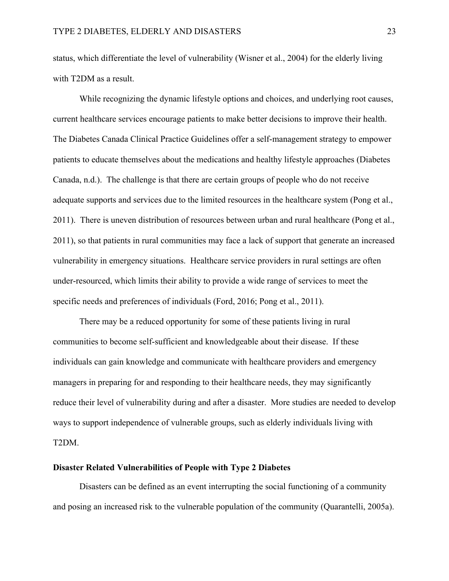status, which differentiate the level of vulnerability (Wisner et al., 2004) for the elderly living with T2DM as a result.

While recognizing the dynamic lifestyle options and choices, and underlying root causes, current healthcare services encourage patients to make better decisions to improve their health. The Diabetes Canada Clinical Practice Guidelines offer a self-management strategy to empower patients to educate themselves about the medications and healthy lifestyle approaches (Diabetes Canada, n.d.). The challenge is that there are certain groups of people who do not receive adequate supports and services due to the limited resources in the healthcare system (Pong et al., 2011). There is uneven distribution of resources between urban and rural healthcare (Pong et al., 2011), so that patients in rural communities may face a lack of support that generate an increased vulnerability in emergency situations. Healthcare service providers in rural settings are often under-resourced, which limits their ability to provide a wide range of services to meet the specific needs and preferences of individuals (Ford, 2016; Pong et al., 2011).

There may be a reduced opportunity for some of these patients living in rural communities to become self-sufficient and knowledgeable about their disease. If these individuals can gain knowledge and communicate with healthcare providers and emergency managers in preparing for and responding to their healthcare needs, they may significantly reduce their level of vulnerability during and after a disaster. More studies are needed to develop ways to support independence of vulnerable groups, such as elderly individuals living with T2DM.

# **Disaster Related Vulnerabilities of People with Type 2 Diabetes**

Disasters can be defined as an event interrupting the social functioning of a community and posing an increased risk to the vulnerable population of the community (Quarantelli, 2005a).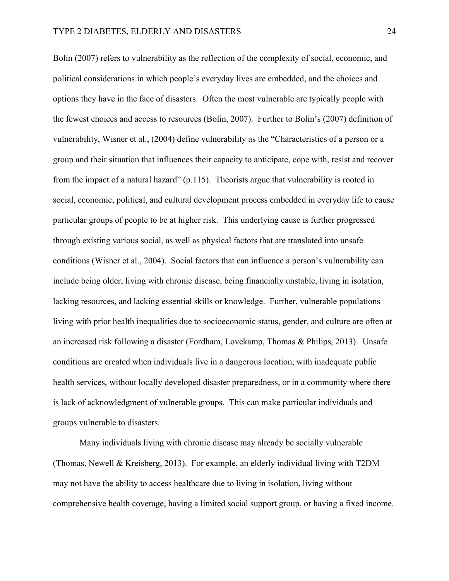Bolin (2007) refers to vulnerability as the reflection of the complexity of social, economic, and political considerations in which people's everyday lives are embedded, and the choices and options they have in the face of disasters. Often the most vulnerable are typically people with the fewest choices and access to resources (Bolin, 2007). Further to Bolin's (2007) definition of vulnerability, Wisner et al., (2004) define vulnerability as the "Characteristics of a person or a group and their situation that influences their capacity to anticipate, cope with, resist and recover from the impact of a natural hazard" (p.115).Theorists argue that vulnerability is rooted in social, economic, political, and cultural development process embedded in everyday life to cause particular groups of people to be at higher risk. This underlying cause is further progressed through existing various social, as well as physical factors that are translated into unsafe conditions (Wisner et al., 2004). Social factors that can influence a person's vulnerability can include being older, living with chronic disease, being financially unstable, living in isolation, lacking resources, and lacking essential skills or knowledge. Further, vulnerable populations living with prior health inequalities due to socioeconomic status, gender, and culture are often at an increased risk following a disaster (Fordham, Lovekamp, Thomas & Philips, 2013). Unsafe conditions are created when individuals live in a dangerous location, with inadequate public health services, without locally developed disaster preparedness, or in a community where there is lack of acknowledgment of vulnerable groups. This can make particular individuals and groups vulnerable to disasters.

Many individuals living with chronic disease may already be socially vulnerable (Thomas, Newell & Kreisberg, 2013). For example, an elderly individual living with T2DM may not have the ability to access healthcare due to living in isolation, living without comprehensive health coverage, having a limited social support group, or having a fixed income.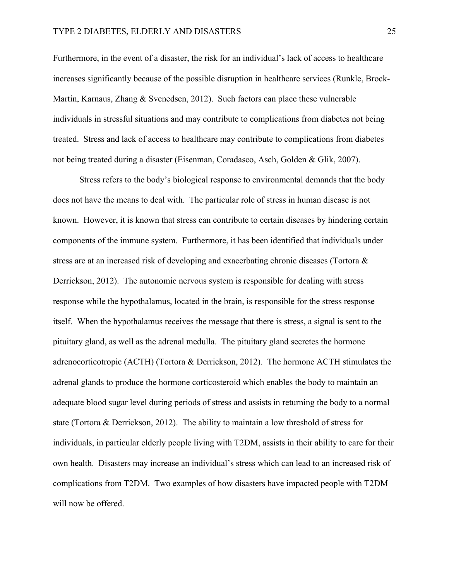#### TYPE 2 DIABETES, ELDERLY AND DISASTERS 25

Furthermore, in the event of a disaster, the risk for an individual's lack of access to healthcare increases significantly because of the possible disruption in healthcare services (Runkle, Brock-Martin, Karnaus, Zhang & Svenedsen, 2012). Such factors can place these vulnerable individuals in stressful situations and may contribute to complications from diabetes not being treated. Stress and lack of access to healthcare may contribute to complications from diabetes not being treated during a disaster (Eisenman, Coradasco, Asch, Golden & Glik, 2007).

Stress refers to the body's biological response to environmental demands that the body does not have the means to deal with. The particular role of stress in human disease is not known. However, it is known that stress can contribute to certain diseases by hindering certain components of the immune system. Furthermore, it has been identified that individuals under stress are at an increased risk of developing and exacerbating chronic diseases (Tortora & Derrickson, 2012). The autonomic nervous system is responsible for dealing with stress response while the hypothalamus, located in the brain, is responsible for the stress response itself. When the hypothalamus receives the message that there is stress, a signal is sent to the pituitary gland, as well as the adrenal medulla.The pituitary gland secretes the hormone adrenocorticotropic (ACTH) (Tortora & Derrickson, 2012). The hormone ACTH stimulates the adrenal glands to produce the hormone corticosteroid which enables the body to maintain an adequate blood sugar level during periods of stress and assists in returning the body to a normal state (Tortora & Derrickson, 2012). The ability to maintain a low threshold of stress for individuals, in particular elderly people living with T2DM, assists in their ability to care for their own health. Disasters may increase an individual's stress which can lead to an increased risk of complications from T2DM. Two examples of how disasters have impacted people with T2DM will now be offered.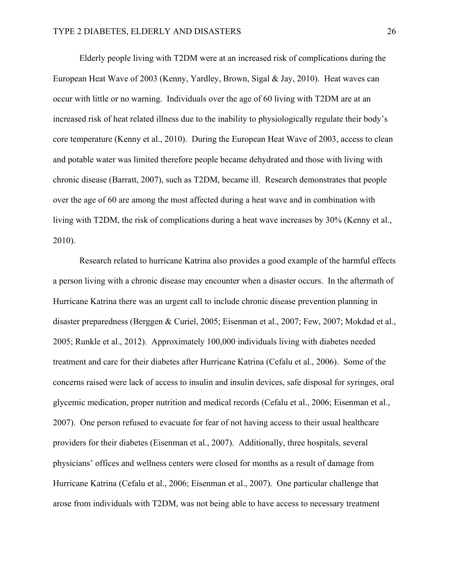Elderly people living with T2DM were at an increased risk of complications during the European Heat Wave of 2003 (Kenny, Yardley, Brown, Sigal & Jay, 2010). Heat waves can occur with little or no warning. Individuals over the age of 60 living with T2DM are at an increased risk of heat related illness due to the inability to physiologically regulate their body's core temperature (Kenny et al., 2010). During the European Heat Wave of 2003, access to clean and potable water was limited therefore people became dehydrated and those with living with chronic disease (Barratt, 2007), such as T2DM, became ill. Research demonstrates that people over the age of 60 are among the most affected during a heat wave and in combination with living with T2DM, the risk of complications during a heat wave increases by 30% (Kenny et al., 2010).

Research related to hurricane Katrina also provides a good example of the harmful effects a person living with a chronic disease may encounter when a disaster occurs. In the aftermath of Hurricane Katrina there was an urgent call to include chronic disease prevention planning in disaster preparedness (Berggen & Curiel, 2005; Eisenman et al., 2007; Few, 2007; Mokdad et al., 2005; Runkle et al., 2012). Approximately 100,000 individuals living with diabetes needed treatment and care for their diabetes after Hurricane Katrina (Cefalu et al., 2006). Some of the concerns raised were lack of access to insulin and insulin devices, safe disposal for syringes, oral glycemic medication, proper nutrition and medical records (Cefalu et al., 2006; Eisenman et al., 2007). One person refused to evacuate for fear of not having access to their usual healthcare providers for their diabetes (Eisenman et al., 2007). Additionally, three hospitals, several physicians' offices and wellness centers were closed for months as a result of damage from Hurricane Katrina (Cefalu et al., 2006; Eisenman et al., 2007). One particular challenge that arose from individuals with T2DM, was not being able to have access to necessary treatment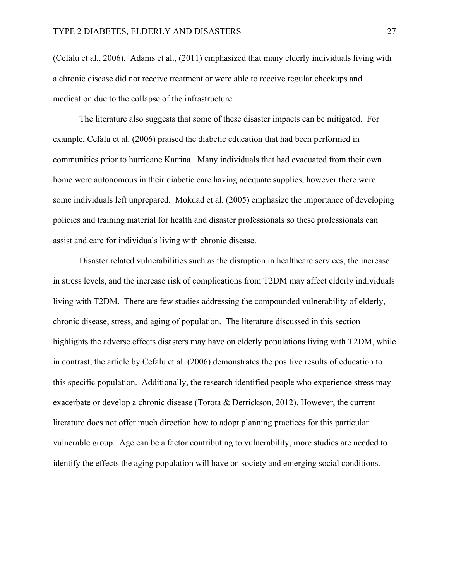(Cefalu et al., 2006). Adams et al., (2011) emphasized that many elderly individuals living with a chronic disease did not receive treatment or were able to receive regular checkups and medication due to the collapse of the infrastructure.

The literature also suggests that some of these disaster impacts can be mitigated. For example, Cefalu et al. (2006) praised the diabetic education that had been performed in communities prior to hurricane Katrina. Many individuals that had evacuated from their own home were autonomous in their diabetic care having adequate supplies, however there were some individuals left unprepared. Mokdad et al. (2005) emphasize the importance of developing policies and training material for health and disaster professionals so these professionals can assist and care for individuals living with chronic disease.

Disaster related vulnerabilities such as the disruption in healthcare services, the increase in stress levels, and the increase risk of complications from T2DM may affect elderly individuals living with T2DM. There are few studies addressing the compounded vulnerability of elderly, chronic disease, stress, and aging of population. The literature discussed in this section highlights the adverse effects disasters may have on elderly populations living with T2DM, while in contrast, the article by Cefalu et al. (2006) demonstrates the positive results of education to this specific population. Additionally, the research identified people who experience stress may exacerbate or develop a chronic disease (Torota & Derrickson, 2012). However, the current literature does not offer much direction how to adopt planning practices for this particular vulnerable group. Age can be a factor contributing to vulnerability, more studies are needed to identify the effects the aging population will have on society and emerging social conditions.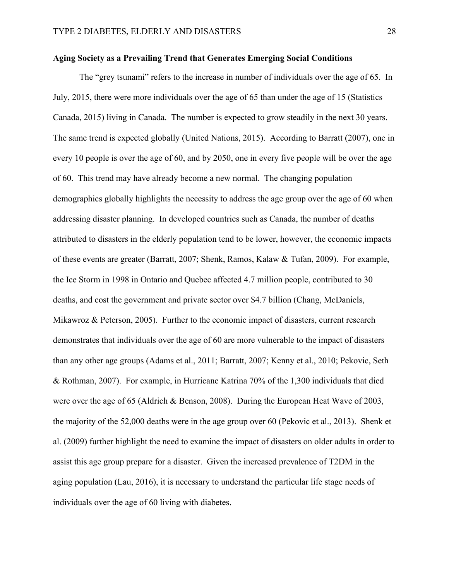# **Aging Society as a Prevailing Trend that Generates Emerging Social Conditions**

The "grey tsunami" refers to the increase in number of individuals over the age of 65. In July, 2015, there were more individuals over the age of 65 than under the age of 15 (Statistics Canada, 2015) living in Canada. The number is expected to grow steadily in the next 30 years. The same trend is expected globally (United Nations, 2015). According to Barratt (2007), one in every 10 people is over the age of 60, and by 2050, one in every five people will be over the age of 60. This trend may have already become a new normal. The changing population demographics globally highlights the necessity to address the age group over the age of 60 when addressing disaster planning. In developed countries such as Canada, the number of deaths attributed to disasters in the elderly population tend to be lower, however, the economic impacts of these events are greater (Barratt, 2007; Shenk, Ramos, Kalaw & Tufan, 2009). For example, the Ice Storm in 1998 in Ontario and Quebec affected 4.7 million people, contributed to 30 deaths, and cost the government and private sector over \$4.7 billion (Chang, McDaniels, Mikawroz & Peterson, 2005). Further to the economic impact of disasters, current research demonstrates that individuals over the age of 60 are more vulnerable to the impact of disasters than any other age groups (Adams et al., 2011; Barratt, 2007; Kenny et al., 2010; Pekovic, Seth & Rothman, 2007). For example, in Hurricane Katrina 70% of the 1,300 individuals that died were over the age of 65 (Aldrich & Benson, 2008). During the European Heat Wave of 2003, the majority of the 52,000 deaths were in the age group over 60 (Pekovic et al., 2013). Shenk et al. (2009) further highlight the need to examine the impact of disasters on older adults in order to assist this age group prepare for a disaster. Given the increased prevalence of T2DM in the aging population (Lau, 2016), it is necessary to understand the particular life stage needs of individuals over the age of 60 living with diabetes.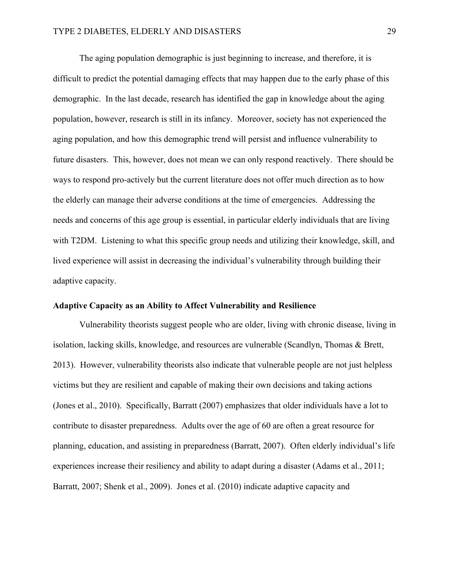The aging population demographic is just beginning to increase, and therefore, it is difficult to predict the potential damaging effects that may happen due to the early phase of this demographic. In the last decade, research has identified the gap in knowledge about the aging population, however, research is still in its infancy. Moreover, society has not experienced the aging population, and how this demographic trend will persist and influence vulnerability to future disasters. This, however, does not mean we can only respond reactively. There should be ways to respond pro-actively but the current literature does not offer much direction as to how the elderly can manage their adverse conditions at the time of emergencies. Addressing the needs and concerns of this age group is essential, in particular elderly individuals that are living with T2DM. Listening to what this specific group needs and utilizing their knowledge, skill, and lived experience will assist in decreasing the individual's vulnerability through building their adaptive capacity.

# **Adaptive Capacity as an Ability to Affect Vulnerability and Resilience**

Vulnerability theorists suggest people who are older, living with chronic disease, living in isolation, lacking skills, knowledge, and resources are vulnerable (Scandlyn, Thomas & Brett, 2013). However, vulnerability theorists also indicate that vulnerable people are not just helpless victims but they are resilient and capable of making their own decisions and taking actions (Jones et al., 2010). Specifically, Barratt (2007) emphasizes that older individuals have a lot to contribute to disaster preparedness. Adults over the age of 60 are often a great resource for planning, education, and assisting in preparedness (Barratt, 2007). Often elderly individual's life experiences increase their resiliency and ability to adapt during a disaster (Adams et al., 2011; Barratt, 2007; Shenk et al., 2009). Jones et al. (2010) indicate adaptive capacity and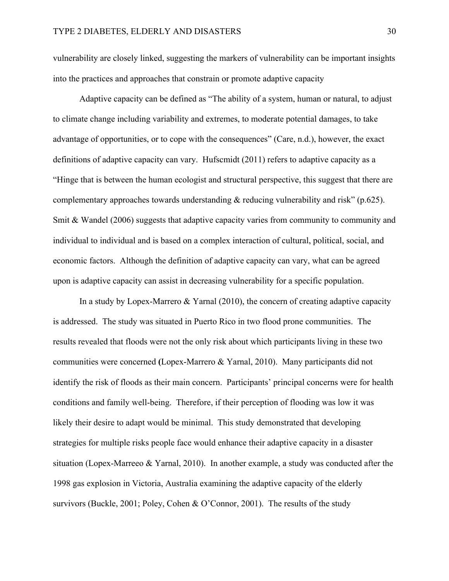vulnerability are closely linked, suggesting the markers of vulnerability can be important insights into the practices and approaches that constrain or promote adaptive capacity

Adaptive capacity can be defined as "The ability of a system, human or natural, to adjust to climate change including variability and extremes, to moderate potential damages, to take advantage of opportunities, or to cope with the consequences" (Care, n.d.), however, the exact definitions of adaptive capacity can vary. Hufscmidt (2011) refers to adaptive capacity as a "Hinge that is between the human ecologist and structural perspective, this suggest that there are complementary approaches towards understanding & reducing vulnerability and risk" (p.625). Smit & Wandel (2006) suggests that adaptive capacity varies from community to community and individual to individual and is based on a complex interaction of cultural, political, social, and economic factors. Although the definition of adaptive capacity can vary, what can be agreed upon is adaptive capacity can assist in decreasing vulnerability for a specific population.

In a study by Lopex-Marrero  $& Yarnal (2010)$ , the concern of creating adaptive capacity is addressed. The study was situated in Puerto Rico in two flood prone communities. The results revealed that floods were not the only risk about which participants living in these two communities were concerned **(**Lopex-Marrero & Yarnal, 2010). Many participants did not identify the risk of floods as their main concern. Participants' principal concerns were for health conditions and family well-being. Therefore, if their perception of flooding was low it was likely their desire to adapt would be minimal. This study demonstrated that developing strategies for multiple risks people face would enhance their adaptive capacity in a disaster situation (Lopex-Marreeo & Yarnal, 2010). In another example, a study was conducted after the 1998 gas explosion in Victoria, Australia examining the adaptive capacity of the elderly survivors (Buckle, 2001; Poley, Cohen & O'Connor, 2001). The results of the study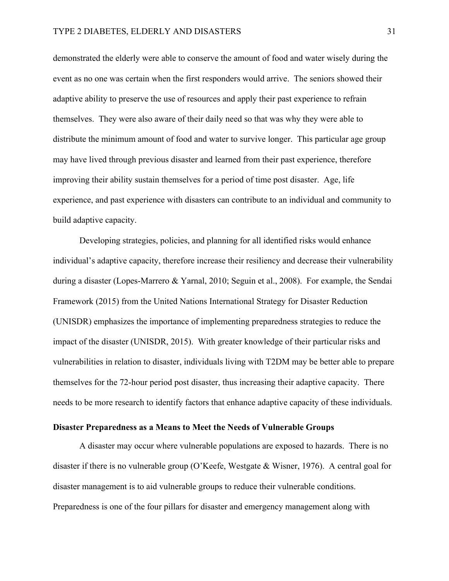demonstrated the elderly were able to conserve the amount of food and water wisely during the event as no one was certain when the first responders would arrive. The seniors showed their adaptive ability to preserve the use of resources and apply their past experience to refrain themselves. They were also aware of their daily need so that was why they were able to distribute the minimum amount of food and water to survive longer. This particular age group may have lived through previous disaster and learned from their past experience, therefore improving their ability sustain themselves for a period of time post disaster. Age, life experience, and past experience with disasters can contribute to an individual and community to build adaptive capacity.

Developing strategies, policies, and planning for all identified risks would enhance individual's adaptive capacity, therefore increase their resiliency and decrease their vulnerability during a disaster (Lopes-Marrero & Yarnal, 2010; Seguin et al., 2008). For example, the Sendai Framework (2015) from the United Nations International Strategy for Disaster Reduction (UNISDR) emphasizes the importance of implementing preparedness strategies to reduce the impact of the disaster (UNISDR, 2015). With greater knowledge of their particular risks and vulnerabilities in relation to disaster, individuals living with T2DM may be better able to prepare themselves for the 72-hour period post disaster, thus increasing their adaptive capacity. There needs to be more research to identify factors that enhance adaptive capacity of these individuals.

# **Disaster Preparedness as a Means to Meet the Needs of Vulnerable Groups**

A disaster may occur where vulnerable populations are exposed to hazards. There is no disaster if there is no vulnerable group (O'Keefe, Westgate & Wisner, 1976). A central goal for disaster management is to aid vulnerable groups to reduce their vulnerable conditions. Preparedness is one of the four pillars for disaster and emergency management along with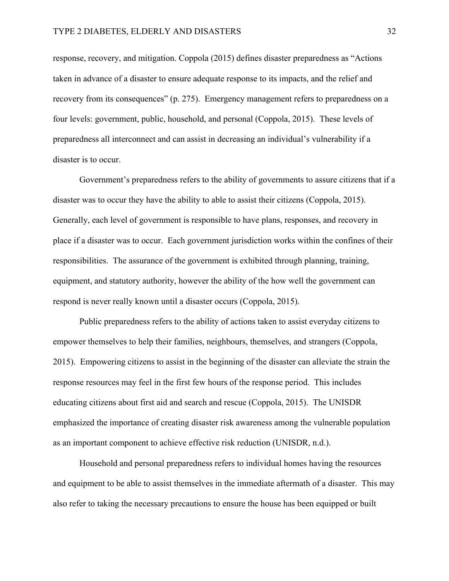response, recovery, and mitigation. Coppola (2015) defines disaster preparedness as "Actions taken in advance of a disaster to ensure adequate response to its impacts, and the relief and recovery from its consequences" (p. 275). Emergency management refers to preparedness on a four levels: government, public, household, and personal (Coppola, 2015). These levels of preparedness all interconnect and can assist in decreasing an individual's vulnerability if a disaster is to occur.

Government's preparedness refers to the ability of governments to assure citizens that if a disaster was to occur they have the ability to able to assist their citizens (Coppola, 2015). Generally, each level of government is responsible to have plans, responses, and recovery in place if a disaster was to occur. Each government jurisdiction works within the confines of their responsibilities. The assurance of the government is exhibited through planning, training, equipment, and statutory authority, however the ability of the how well the government can respond is never really known until a disaster occurs (Coppola, 2015).

Public preparedness refers to the ability of actions taken to assist everyday citizens to empower themselves to help their families, neighbours, themselves, and strangers (Coppola, 2015). Empowering citizens to assist in the beginning of the disaster can alleviate the strain the response resources may feel in the first few hours of the response period. This includes educating citizens about first aid and search and rescue (Coppola, 2015). The UNISDR emphasized the importance of creating disaster risk awareness among the vulnerable population as an important component to achieve effective risk reduction (UNISDR, n.d.).

Household and personal preparedness refers to individual homes having the resources and equipment to be able to assist themselves in the immediate aftermath of a disaster. This may also refer to taking the necessary precautions to ensure the house has been equipped or built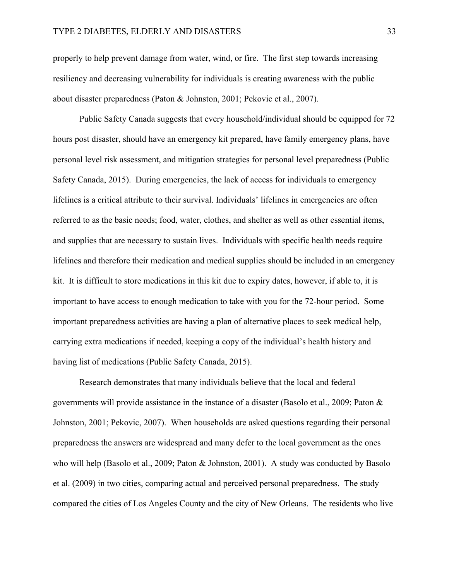properly to help prevent damage from water, wind, or fire. The first step towards increasing resiliency and decreasing vulnerability for individuals is creating awareness with the public about disaster preparedness (Paton & Johnston, 2001; Pekovic et al., 2007).

Public Safety Canada suggests that every household/individual should be equipped for 72 hours post disaster, should have an emergency kit prepared, have family emergency plans, have personal level risk assessment, and mitigation strategies for personal level preparedness (Public Safety Canada, 2015). During emergencies, the lack of access for individuals to emergency lifelines is a critical attribute to their survival. Individuals' lifelines in emergencies are often referred to as the basic needs; food, water, clothes, and shelter as well as other essential items, and supplies that are necessary to sustain lives. Individuals with specific health needs require lifelines and therefore their medication and medical supplies should be included in an emergency kit. It is difficult to store medications in this kit due to expiry dates, however, if able to, it is important to have access to enough medication to take with you for the 72-hour period. Some important preparedness activities are having a plan of alternative places to seek medical help, carrying extra medications if needed, keeping a copy of the individual's health history and having list of medications (Public Safety Canada, 2015).

Research demonstrates that many individuals believe that the local and federal governments will provide assistance in the instance of a disaster (Basolo et al., 2009; Paton & Johnston, 2001; Pekovic, 2007). When households are asked questions regarding their personal preparedness the answers are widespread and many defer to the local government as the ones who will help (Basolo et al., 2009; Paton & Johnston, 2001). A study was conducted by Basolo et al. (2009) in two cities, comparing actual and perceived personal preparedness. The study compared the cities of Los Angeles County and the city of New Orleans. The residents who live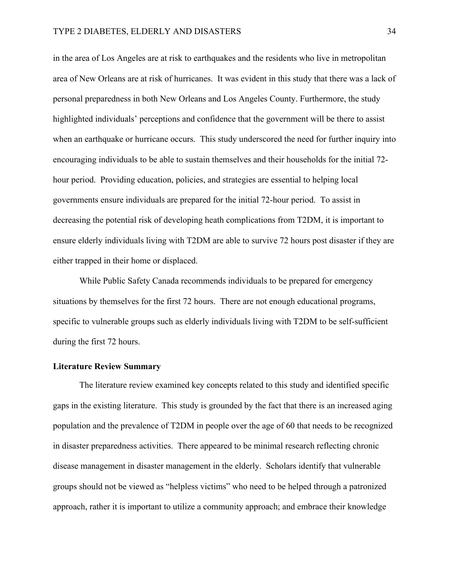in the area of Los Angeles are at risk to earthquakes and the residents who live in metropolitan area of New Orleans are at risk of hurricanes. It was evident in this study that there was a lack of personal preparedness in both New Orleans and Los Angeles County. Furthermore, the study highlighted individuals' perceptions and confidence that the government will be there to assist when an earthquake or hurricane occurs. This study underscored the need for further inquiry into encouraging individuals to be able to sustain themselves and their households for the initial 72 hour period. Providing education, policies, and strategies are essential to helping local governments ensure individuals are prepared for the initial 72-hour period. To assist in decreasing the potential risk of developing heath complications from T2DM, it is important to ensure elderly individuals living with T2DM are able to survive 72 hours post disaster if they are either trapped in their home or displaced.

While Public Safety Canada recommends individuals to be prepared for emergency situations by themselves for the first 72 hours. There are not enough educational programs, specific to vulnerable groups such as elderly individuals living with T2DM to be self-sufficient during the first 72 hours.

### **Literature Review Summary**

The literature review examined key concepts related to this study and identified specific gaps in the existing literature. This study is grounded by the fact that there is an increased aging population and the prevalence of T2DM in people over the age of 60 that needs to be recognized in disaster preparedness activities. There appeared to be minimal research reflecting chronic disease management in disaster management in the elderly. Scholars identify that vulnerable groups should not be viewed as "helpless victims" who need to be helped through a patronized approach, rather it is important to utilize a community approach; and embrace their knowledge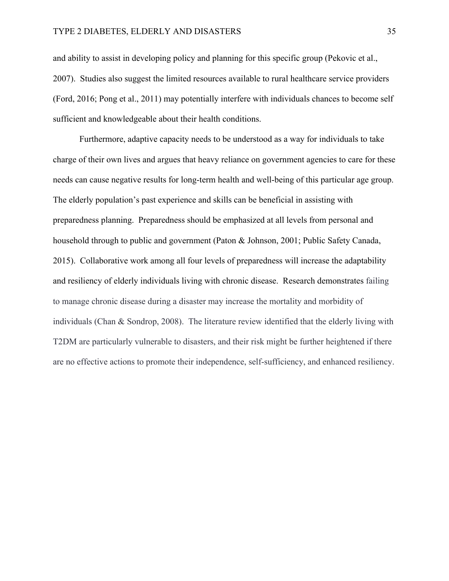and ability to assist in developing policy and planning for this specific group (Pekovic et al., 2007). Studies also suggest the limited resources available to rural healthcare service providers (Ford, 2016; Pong et al., 2011) may potentially interfere with individuals chances to become self sufficient and knowledgeable about their health conditions.

Furthermore, adaptive capacity needs to be understood as a way for individuals to take charge of their own lives and argues that heavy reliance on government agencies to care for these needs can cause negative results for long-term health and well-being of this particular age group. The elderly population's past experience and skills can be beneficial in assisting with preparedness planning. Preparedness should be emphasized at all levels from personal and household through to public and government (Paton & Johnson, 2001; Public Safety Canada, 2015). Collaborative work among all four levels of preparedness will increase the adaptability and resiliency of elderly individuals living with chronic disease. Research demonstrates failing to manage chronic disease during a disaster may increase the mortality and morbidity of individuals (Chan & Sondrop, 2008). The literature review identified that the elderly living with T2DM are particularly vulnerable to disasters, and their risk might be further heightened if there are no effective actions to promote their independence, self-sufficiency, and enhanced resiliency.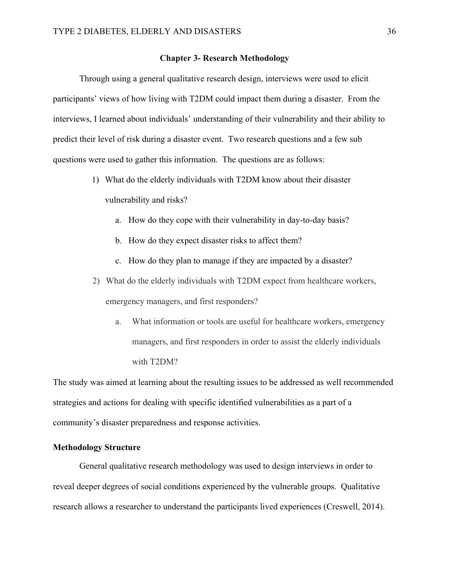# **Chapter 3- Research Methodology**

Through using a general qualitative research design, interviews were used to elicit participants' views of how living with T2DM could impact them during a disaster. From the interviews, I learned about individuals' understanding of their vulnerability and their ability to predict their level of risk during a disaster event. Two research questions and a few sub questions were used to gather this information. The questions are as follows:

- 1) What do the elderly individuals with T2DM know about their disaster vulnerability and risks?
	- a. How do they cope with their vulnerability in day-to-day basis?
	- b. How do they expect disaster risks to affect them?
	- c. How do they plan to manage if they are impacted by a disaster?
- 2) What do the elderly individuals with T2DM expect from healthcare workers, emergency managers, and first responders?
	- a. What information or tools are useful for healthcare workers, emergency managers, and first responders in order to assist the elderly individuals with T2DM?

The study was aimed at learning about the resulting issues to be addressed as well recommended strategies and actions for dealing with specific identified vulnerabilities as a part of a community's disaster preparedness and response activities.

# **Methodology Structure**

General qualitative research methodology was used to design interviews in order to reveal deeper degrees of social conditions experienced by the vulnerable groups. Qualitative research allows a researcher to understand the participants lived experiences (Creswell, 2014).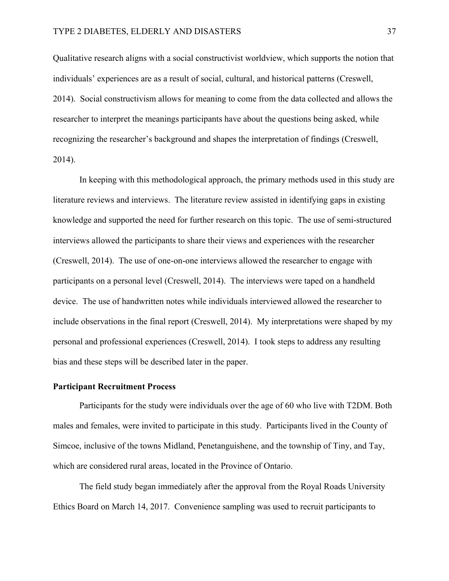Qualitative research aligns with a social constructivist worldview, which supports the notion that individuals' experiences are as a result of social, cultural, and historical patterns (Creswell, 2014). Social constructivism allows for meaning to come from the data collected and allows the researcher to interpret the meanings participants have about the questions being asked, while recognizing the researcher's background and shapes the interpretation of findings (Creswell, 2014).

In keeping with this methodological approach, the primary methods used in this study are literature reviews and interviews. The literature review assisted in identifying gaps in existing knowledge and supported the need for further research on this topic. The use of semi-structured interviews allowed the participants to share their views and experiences with the researcher (Creswell, 2014). The use of one-on-one interviews allowed the researcher to engage with participants on a personal level (Creswell, 2014). The interviews were taped on a handheld device. The use of handwritten notes while individuals interviewed allowed the researcher to include observations in the final report (Creswell, 2014). My interpretations were shaped by my personal and professional experiences (Creswell, 2014). I took steps to address any resulting bias and these steps will be described later in the paper.

### **Participant Recruitment Process**

Participants for the study were individuals over the age of 60 who live with T2DM. Both males and females, were invited to participate in this study. Participants lived in the County of Simcoe, inclusive of the towns Midland, Penetanguishene, and the township of Tiny, and Tay, which are considered rural areas, located in the Province of Ontario.

The field study began immediately after the approval from the Royal Roads University Ethics Board on March 14, 2017. Convenience sampling was used to recruit participants to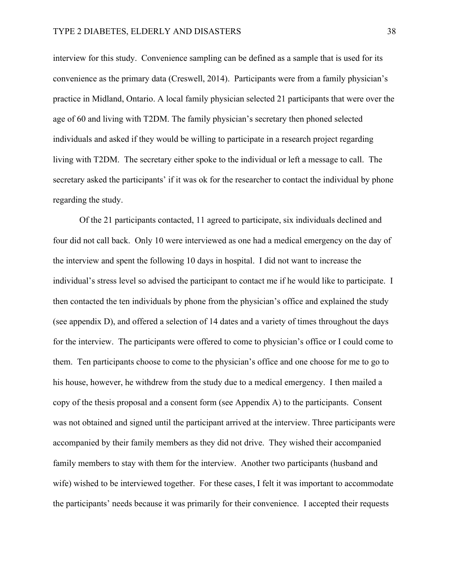interview for this study. Convenience sampling can be defined as a sample that is used for its convenience as the primary data (Creswell, 2014). Participants were from a family physician's practice in Midland, Ontario. A local family physician selected 21 participants that were over the age of 60 and living with T2DM. The family physician's secretary then phoned selected individuals and asked if they would be willing to participate in a research project regarding living with T2DM. The secretary either spoke to the individual or left a message to call. The secretary asked the participants' if it was ok for the researcher to contact the individual by phone regarding the study.

Of the 21 participants contacted, 11 agreed to participate, six individuals declined and four did not call back. Only 10 were interviewed as one had a medical emergency on the day of the interview and spent the following 10 days in hospital. I did not want to increase the individual's stress level so advised the participant to contact me if he would like to participate. I then contacted the ten individuals by phone from the physician's office and explained the study (see appendix D), and offered a selection of 14 dates and a variety of times throughout the days for the interview. The participants were offered to come to physician's office or I could come to them. Ten participants choose to come to the physician's office and one choose for me to go to his house, however, he withdrew from the study due to a medical emergency. I then mailed a copy of the thesis proposal and a consent form (see Appendix A) to the participants. Consent was not obtained and signed until the participant arrived at the interview. Three participants were accompanied by their family members as they did not drive. They wished their accompanied family members to stay with them for the interview. Another two participants (husband and wife) wished to be interviewed together. For these cases, I felt it was important to accommodate the participants' needs because it was primarily for their convenience. I accepted their requests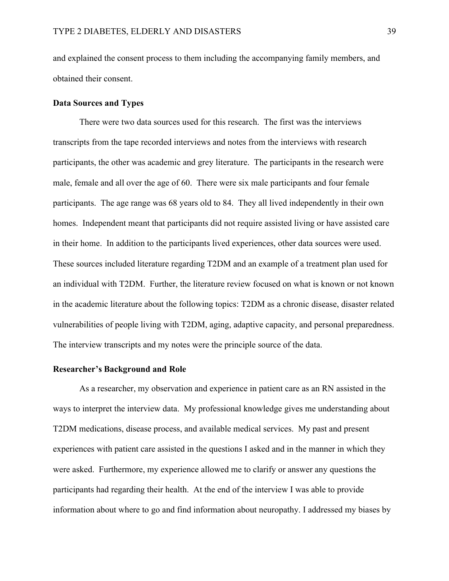and explained the consent process to them including the accompanying family members, and obtained their consent.

### **Data Sources and Types**

There were two data sources used for this research. The first was the interviews transcripts from the tape recorded interviews and notes from the interviews with research participants, the other was academic and grey literature. The participants in the research were male, female and all over the age of 60. There were six male participants and four female participants. The age range was 68 years old to 84. They all lived independently in their own homes. Independent meant that participants did not require assisted living or have assisted care in their home. In addition to the participants lived experiences, other data sources were used. These sources included literature regarding T2DM and an example of a treatment plan used for an individual with T2DM. Further, the literature review focused on what is known or not known in the academic literature about the following topics: T2DM as a chronic disease, disaster related vulnerabilities of people living with T2DM, aging, adaptive capacity, and personal preparedness. The interview transcripts and my notes were the principle source of the data.

# **Researcher's Background and Role**

As a researcher, my observation and experience in patient care as an RN assisted in the ways to interpret the interview data. My professional knowledge gives me understanding about T2DM medications, disease process, and available medical services. My past and present experiences with patient care assisted in the questions I asked and in the manner in which they were asked. Furthermore, my experience allowed me to clarify or answer any questions the participants had regarding their health. At the end of the interview I was able to provide information about where to go and find information about neuropathy. I addressed my biases by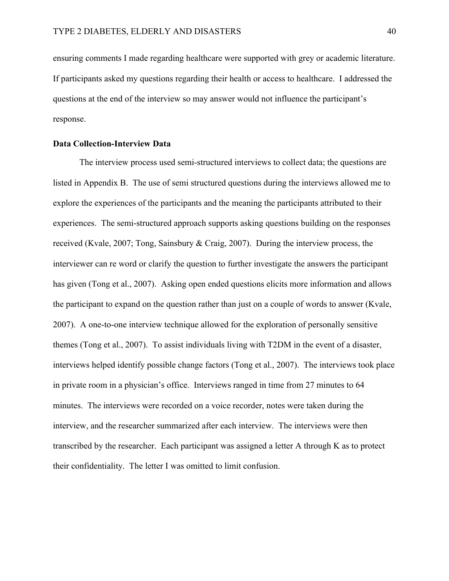ensuring comments I made regarding healthcare were supported with grey or academic literature. If participants asked my questions regarding their health or access to healthcare. I addressed the questions at the end of the interview so may answer would not influence the participant's response.

### **Data Collection-Interview Data**

The interview process used semi-structured interviews to collect data; the questions are listed in Appendix B. The use of semi structured questions during the interviews allowed me to explore the experiences of the participants and the meaning the participants attributed to their experiences. The semi-structured approach supports asking questions building on the responses received (Kvale, 2007; Tong, Sainsbury & Craig, 2007). During the interview process, the interviewer can re word or clarify the question to further investigate the answers the participant has given (Tong et al., 2007). Asking open ended questions elicits more information and allows the participant to expand on the question rather than just on a couple of words to answer (Kvale, 2007). A one-to-one interview technique allowed for the exploration of personally sensitive themes (Tong et al., 2007). To assist individuals living with T2DM in the event of a disaster, interviews helped identify possible change factors (Tong et al., 2007). The interviews took place in private room in a physician's office. Interviews ranged in time from 27 minutes to 64 minutes. The interviews were recorded on a voice recorder, notes were taken during the interview, and the researcher summarized after each interview. The interviews were then transcribed by the researcher. Each participant was assigned a letter A through K as to protect their confidentiality. The letter I was omitted to limit confusion.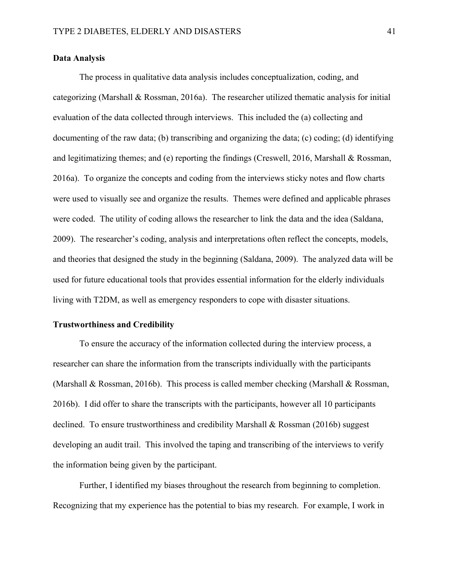# **Data Analysis**

The process in qualitative data analysis includes conceptualization, coding, and categorizing (Marshall & Rossman, 2016a). The researcher utilized thematic analysis for initial evaluation of the data collected through interviews. This included the (a) collecting and documenting of the raw data; (b) transcribing and organizing the data; (c) coding; (d) identifying and legitimatizing themes; and (e) reporting the findings (Creswell, 2016, Marshall & Rossman, 2016a). To organize the concepts and coding from the interviews sticky notes and flow charts were used to visually see and organize the results. Themes were defined and applicable phrases were coded. The utility of coding allows the researcher to link the data and the idea (Saldana, 2009). The researcher's coding, analysis and interpretations often reflect the concepts, models, and theories that designed the study in the beginning (Saldana, 2009). The analyzed data will be used for future educational tools that provides essential information for the elderly individuals living with T2DM, as well as emergency responders to cope with disaster situations.

# **Trustworthiness and Credibility**

To ensure the accuracy of the information collected during the interview process, a researcher can share the information from the transcripts individually with the participants (Marshall & Rossman, 2016b). This process is called member checking (Marshall & Rossman, 2016b). I did offer to share the transcripts with the participants, however all 10 participants declined. To ensure trustworthiness and credibility Marshall & Rossman (2016b) suggest developing an audit trail. This involved the taping and transcribing of the interviews to verify the information being given by the participant.

Further, I identified my biases throughout the research from beginning to completion. Recognizing that my experience has the potential to bias my research. For example, I work in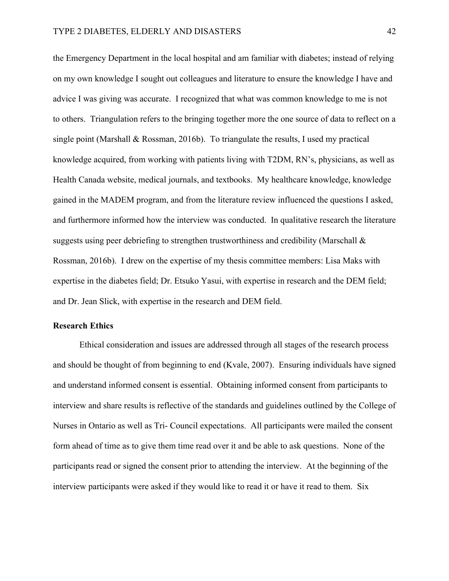the Emergency Department in the local hospital and am familiar with diabetes; instead of relying on my own knowledge I sought out colleagues and literature to ensure the knowledge I have and advice I was giving was accurate. I recognized that what was common knowledge to me is not to others. Triangulation refers to the bringing together more the one source of data to reflect on a single point (Marshall & Rossman, 2016b). To triangulate the results, I used my practical knowledge acquired, from working with patients living with T2DM, RN's, physicians, as well as Health Canada website, medical journals, and textbooks. My healthcare knowledge, knowledge gained in the MADEM program, and from the literature review influenced the questions I asked, and furthermore informed how the interview was conducted. In qualitative research the literature suggests using peer debriefing to strengthen trustworthiness and credibility (Marschall & Rossman, 2016b). I drew on the expertise of my thesis committee members: Lisa Maks with expertise in the diabetes field; Dr. Etsuko Yasui, with expertise in research and the DEM field; and Dr. Jean Slick, with expertise in the research and DEM field.

### **Research Ethics**

Ethical consideration and issues are addressed through all stages of the research process and should be thought of from beginning to end (Kvale, 2007). Ensuring individuals have signed and understand informed consent is essential. Obtaining informed consent from participants to interview and share results is reflective of the standards and guidelines outlined by the College of Nurses in Ontario as well as Tri- Council expectations. All participants were mailed the consent form ahead of time as to give them time read over it and be able to ask questions. None of the participants read or signed the consent prior to attending the interview. At the beginning of the interview participants were asked if they would like to read it or have it read to them. Six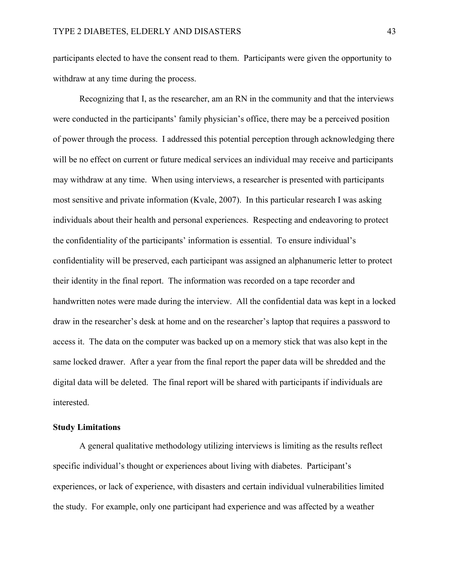participants elected to have the consent read to them. Participants were given the opportunity to withdraw at any time during the process.

Recognizing that I, as the researcher, am an RN in the community and that the interviews were conducted in the participants' family physician's office, there may be a perceived position of power through the process. I addressed this potential perception through acknowledging there will be no effect on current or future medical services an individual may receive and participants may withdraw at any time. When using interviews, a researcher is presented with participants most sensitive and private information (Kvale, 2007). In this particular research I was asking individuals about their health and personal experiences. Respecting and endeavoring to protect the confidentiality of the participants' information is essential. To ensure individual's confidentiality will be preserved, each participant was assigned an alphanumeric letter to protect their identity in the final report. The information was recorded on a tape recorder and handwritten notes were made during the interview. All the confidential data was kept in a locked draw in the researcher's desk at home and on the researcher's laptop that requires a password to access it. The data on the computer was backed up on a memory stick that was also kept in the same locked drawer. After a year from the final report the paper data will be shredded and the digital data will be deleted. The final report will be shared with participants if individuals are interested.

## **Study Limitations**

A general qualitative methodology utilizing interviews is limiting as the results reflect specific individual's thought or experiences about living with diabetes. Participant's experiences, or lack of experience, with disasters and certain individual vulnerabilities limited the study. For example, only one participant had experience and was affected by a weather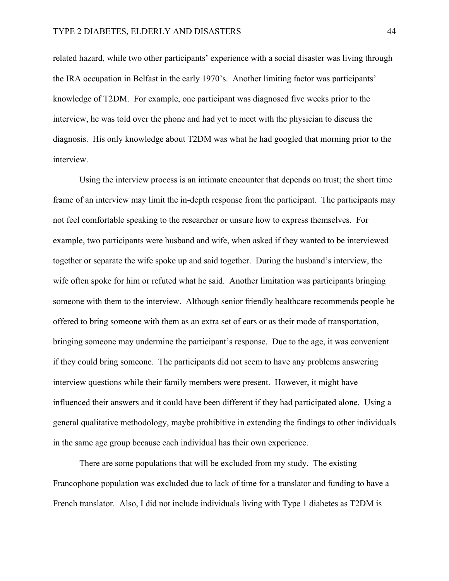related hazard, while two other participants' experience with a social disaster was living through the IRA occupation in Belfast in the early 1970's. Another limiting factor was participants' knowledge of T2DM. For example, one participant was diagnosed five weeks prior to the interview, he was told over the phone and had yet to meet with the physician to discuss the diagnosis. His only knowledge about T2DM was what he had googled that morning prior to the interview.

Using the interview process is an intimate encounter that depends on trust; the short time frame of an interview may limit the in-depth response from the participant. The participants may not feel comfortable speaking to the researcher or unsure how to express themselves. For example, two participants were husband and wife, when asked if they wanted to be interviewed together or separate the wife spoke up and said together. During the husband's interview, the wife often spoke for him or refuted what he said. Another limitation was participants bringing someone with them to the interview. Although senior friendly healthcare recommends people be offered to bring someone with them as an extra set of ears or as their mode of transportation, bringing someone may undermine the participant's response. Due to the age, it was convenient if they could bring someone. The participants did not seem to have any problems answering interview questions while their family members were present. However, it might have influenced their answers and it could have been different if they had participated alone. Using a general qualitative methodology, maybe prohibitive in extending the findings to other individuals in the same age group because each individual has their own experience.

There are some populations that will be excluded from my study. The existing Francophone population was excluded due to lack of time for a translator and funding to have a French translator. Also, I did not include individuals living with Type 1 diabetes as T2DM is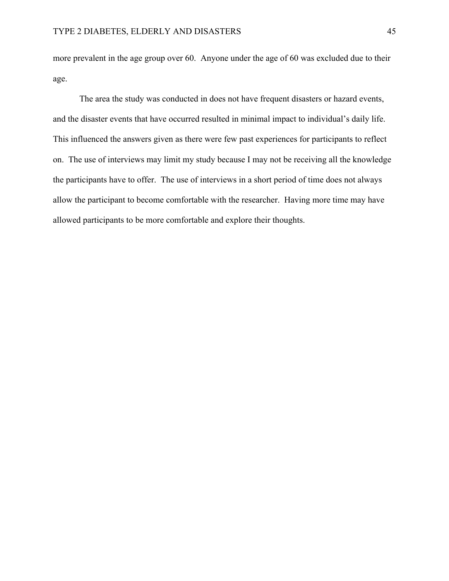more prevalent in the age group over 60. Anyone under the age of 60 was excluded due to their age.

The area the study was conducted in does not have frequent disasters or hazard events, and the disaster events that have occurred resulted in minimal impact to individual's daily life. This influenced the answers given as there were few past experiences for participants to reflect on. The use of interviews may limit my study because I may not be receiving all the knowledge the participants have to offer. The use of interviews in a short period of time does not always allow the participant to become comfortable with the researcher. Having more time may have allowed participants to be more comfortable and explore their thoughts.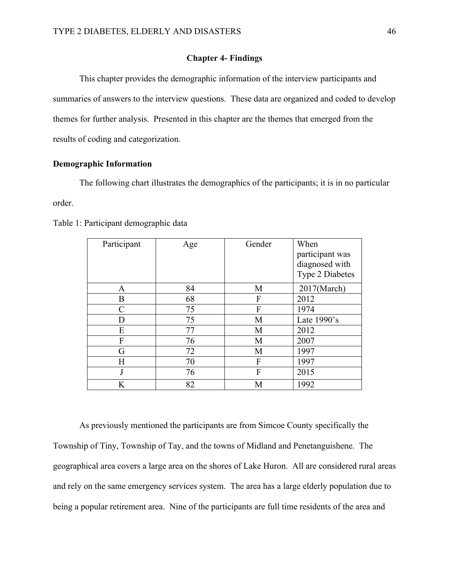## **Chapter 4- Findings**

This chapter provides the demographic information of the interview participants and summaries of answers to the interview questions. These data are organized and coded to develop themes for further analysis. Presented in this chapter are the themes that emerged from the results of coding and categorization.

# **Demographic Information**

The following chart illustrates the demographics of the participants; it is in no particular order.

| Participant   | Age | Gender | When<br>participant was<br>diagnosed with<br><b>Type 2 Diabetes</b> |
|---------------|-----|--------|---------------------------------------------------------------------|
| A             | 84  | M      | $2017$ (March)                                                      |
| B             | 68  | F      | 2012                                                                |
| $\mathcal{C}$ | 75  | F      | 1974                                                                |
| D             | 75  | M      | Late $1990$ 's                                                      |
| E             | 77  | M      | 2012                                                                |
| F             | 76  | M      | 2007                                                                |
| G             | 72  | M      | 1997                                                                |
| H             | 70  | F      | 1997                                                                |
| J             | 76  | F      | 2015                                                                |
| K             | 82  | M      | 1992                                                                |

Table 1: Participant demographic data

As previously mentioned the participants are from Simcoe County specifically the Township of Tiny, Township of Tay, and the towns of Midland and Penetanguishene. The geographical area covers a large area on the shores of Lake Huron. All are considered rural areas and rely on the same emergency services system. The area has a large elderly population due to being a popular retirement area. Nine of the participants are full time residents of the area and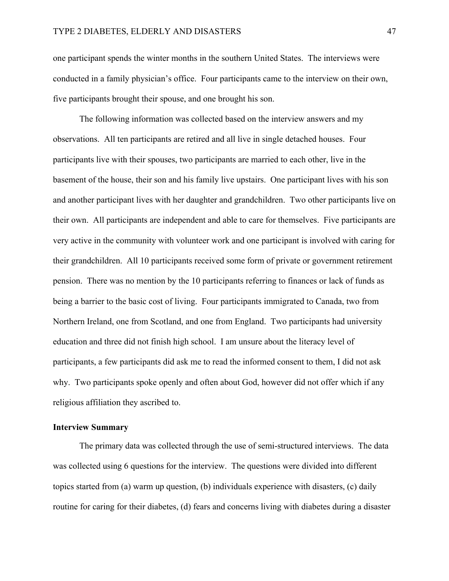one participant spends the winter months in the southern United States. The interviews were conducted in a family physician's office. Four participants came to the interview on their own, five participants brought their spouse, and one brought his son.

The following information was collected based on the interview answers and my observations. All ten participants are retired and all live in single detached houses. Four participants live with their spouses, two participants are married to each other, live in the basement of the house, their son and his family live upstairs. One participant lives with his son and another participant lives with her daughter and grandchildren. Two other participants live on their own. All participants are independent and able to care for themselves. Five participants are very active in the community with volunteer work and one participant is involved with caring for their grandchildren. All 10 participants received some form of private or government retirement pension. There was no mention by the 10 participants referring to finances or lack of funds as being a barrier to the basic cost of living. Four participants immigrated to Canada, two from Northern Ireland, one from Scotland, and one from England. Two participants had university education and three did not finish high school. I am unsure about the literacy level of participants, a few participants did ask me to read the informed consent to them, I did not ask why. Two participants spoke openly and often about God, however did not offer which if any religious affiliation they ascribed to.

## **Interview Summary**

The primary data was collected through the use of semi-structured interviews. The data was collected using 6 questions for the interview. The questions were divided into different topics started from (a) warm up question, (b) individuals experience with disasters, (c) daily routine for caring for their diabetes, (d) fears and concerns living with diabetes during a disaster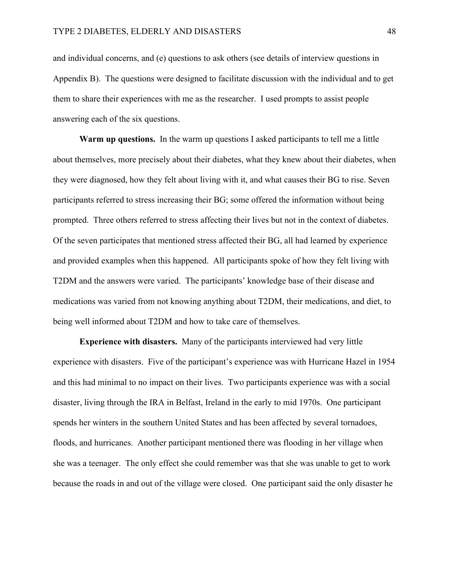and individual concerns, and (e) questions to ask others (see details of interview questions in Appendix B). The questions were designed to facilitate discussion with the individual and to get them to share their experiences with me as the researcher. I used prompts to assist people answering each of the six questions.

**Warm up questions.** In the warm up questions I asked participants to tell me a little about themselves, more precisely about their diabetes, what they knew about their diabetes, when they were diagnosed, how they felt about living with it, and what causes their BG to rise. Seven participants referred to stress increasing their BG; some offered the information without being prompted. Three others referred to stress affecting their lives but not in the context of diabetes. Of the seven participates that mentioned stress affected their BG, all had learned by experience and provided examples when this happened. All participants spoke of how they felt living with T2DM and the answers were varied. The participants' knowledge base of their disease and medications was varied from not knowing anything about T2DM, their medications, and diet, to being well informed about T2DM and how to take care of themselves.

**Experience with disasters.** Many of the participants interviewed had very little experience with disasters. Five of the participant's experience was with Hurricane Hazel in 1954 and this had minimal to no impact on their lives. Two participants experience was with a social disaster, living through the IRA in Belfast, Ireland in the early to mid 1970s. One participant spends her winters in the southern United States and has been affected by several tornadoes, floods, and hurricanes. Another participant mentioned there was flooding in her village when she was a teenager. The only effect she could remember was that she was unable to get to work because the roads in and out of the village were closed. One participant said the only disaster he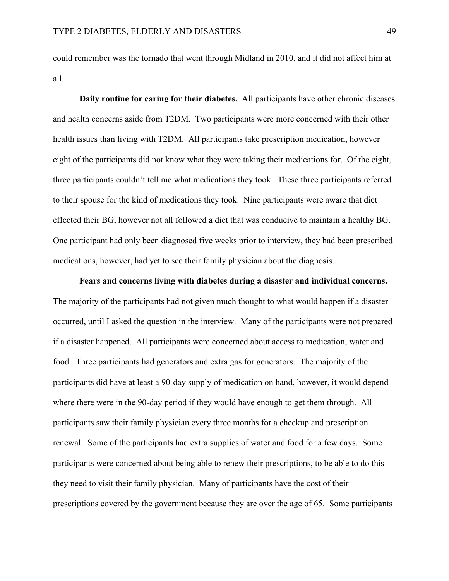could remember was the tornado that went through Midland in 2010, and it did not affect him at all.

**Daily routine for caring for their diabetes.** All participants have other chronic diseases and health concerns aside from T2DM. Two participants were more concerned with their other health issues than living with T2DM. All participants take prescription medication, however eight of the participants did not know what they were taking their medications for. Of the eight, three participants couldn't tell me what medications they took. These three participants referred to their spouse for the kind of medications they took. Nine participants were aware that diet effected their BG, however not all followed a diet that was conducive to maintain a healthy BG. One participant had only been diagnosed five weeks prior to interview, they had been prescribed medications, however, had yet to see their family physician about the diagnosis.

**Fears and concerns living with diabetes during a disaster and individual concerns.** The majority of the participants had not given much thought to what would happen if a disaster occurred, until I asked the question in the interview. Many of the participants were not prepared if a disaster happened. All participants were concerned about access to medication, water and food. Three participants had generators and extra gas for generators. The majority of the participants did have at least a 90-day supply of medication on hand, however, it would depend where there were in the 90-day period if they would have enough to get them through. All participants saw their family physician every three months for a checkup and prescription renewal. Some of the participants had extra supplies of water and food for a few days. Some participants were concerned about being able to renew their prescriptions, to be able to do this they need to visit their family physician. Many of participants have the cost of their prescriptions covered by the government because they are over the age of 65. Some participants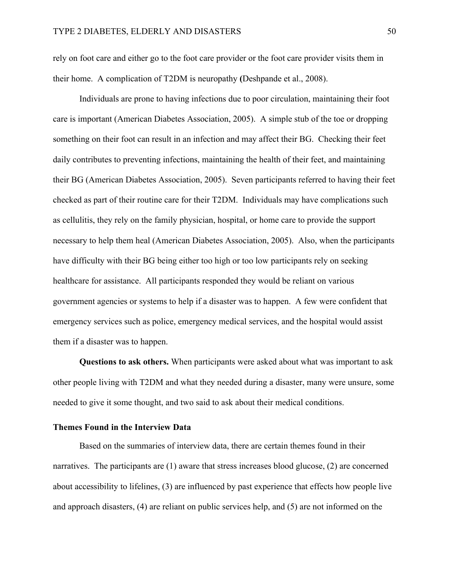rely on foot care and either go to the foot care provider or the foot care provider visits them in their home. A complication of T2DM is neuropathy **(**Deshpande et al., 2008).

Individuals are prone to having infections due to poor circulation, maintaining their foot care is important (American Diabetes Association, 2005). A simple stub of the toe or dropping something on their foot can result in an infection and may affect their BG. Checking their feet daily contributes to preventing infections, maintaining the health of their feet, and maintaining their BG (American Diabetes Association, 2005). Seven participants referred to having their feet checked as part of their routine care for their T2DM. Individuals may have complications such as cellulitis, they rely on the family physician, hospital, or home care to provide the support necessary to help them heal (American Diabetes Association, 2005). Also, when the participants have difficulty with their BG being either too high or too low participants rely on seeking healthcare for assistance. All participants responded they would be reliant on various government agencies or systems to help if a disaster was to happen. A few were confident that emergency services such as police, emergency medical services, and the hospital would assist them if a disaster was to happen.

**Questions to ask others.** When participants were asked about what was important to ask other people living with T2DM and what they needed during a disaster, many were unsure, some needed to give it some thought, and two said to ask about their medical conditions.

### **Themes Found in the Interview Data**

Based on the summaries of interview data, there are certain themes found in their narratives. The participants are (1) aware that stress increases blood glucose, (2) are concerned about accessibility to lifelines, (3) are influenced by past experience that effects how people live and approach disasters, (4) are reliant on public services help, and (5) are not informed on the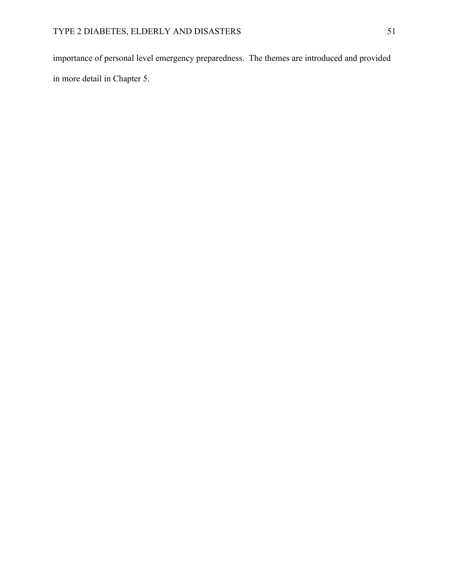importance of personal level emergency preparedness. The themes are introduced and provided in more detail in Chapter 5.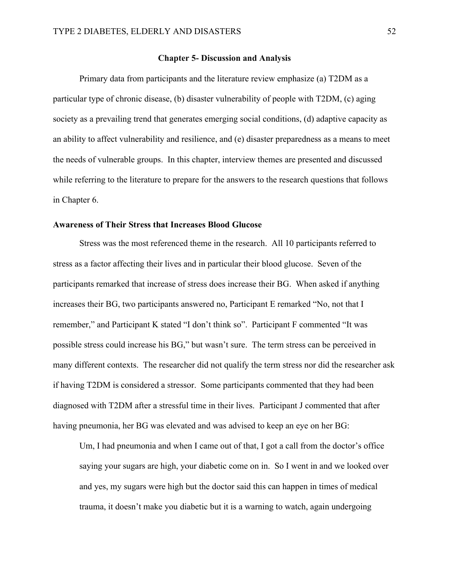### **Chapter 5- Discussion and Analysis**

Primary data from participants and the literature review emphasize (a) T2DM as a particular type of chronic disease, (b) disaster vulnerability of people with T2DM, (c) aging society as a prevailing trend that generates emerging social conditions, (d) adaptive capacity as an ability to affect vulnerability and resilience, and (e) disaster preparedness as a means to meet the needs of vulnerable groups. In this chapter, interview themes are presented and discussed while referring to the literature to prepare for the answers to the research questions that follows in Chapter 6.

# **Awareness of Their Stress that Increases Blood Glucose**

Stress was the most referenced theme in the research. All 10 participants referred to stress as a factor affecting their lives and in particular their blood glucose. Seven of the participants remarked that increase of stress does increase their BG. When asked if anything increases their BG, two participants answered no, Participant E remarked "No, not that I remember," and Participant K stated "I don't think so". Participant F commented "It was possible stress could increase his BG," but wasn't sure. The term stress can be perceived in many different contexts. The researcher did not qualify the term stress nor did the researcher ask if having T2DM is considered a stressor. Some participants commented that they had been diagnosed with T2DM after a stressful time in their lives. Participant J commented that after having pneumonia, her BG was elevated and was advised to keep an eye on her BG:

Um, I had pneumonia and when I came out of that, I got a call from the doctor's office saying your sugars are high, your diabetic come on in. So I went in and we looked over and yes, my sugars were high but the doctor said this can happen in times of medical trauma, it doesn't make you diabetic but it is a warning to watch, again undergoing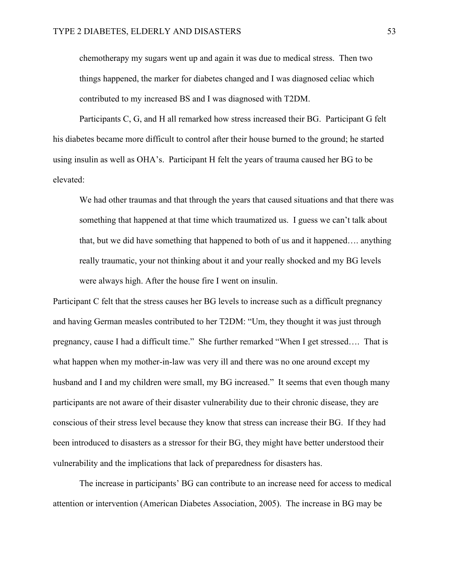chemotherapy my sugars went up and again it was due to medical stress. Then two things happened, the marker for diabetes changed and I was diagnosed celiac which contributed to my increased BS and I was diagnosed with T2DM.

Participants C, G, and H all remarked how stress increased their BG. Participant G felt his diabetes became more difficult to control after their house burned to the ground; he started using insulin as well as OHA's. Participant H felt the years of trauma caused her BG to be elevated:

We had other traumas and that through the years that caused situations and that there was something that happened at that time which traumatized us. I guess we can't talk about that, but we did have something that happened to both of us and it happened…. anything really traumatic, your not thinking about it and your really shocked and my BG levels were always high. After the house fire I went on insulin.

Participant C felt that the stress causes her BG levels to increase such as a difficult pregnancy and having German measles contributed to her T2DM: "Um, they thought it was just through pregnancy, cause I had a difficult time." She further remarked "When I get stressed…. That is what happen when my mother-in-law was very ill and there was no one around except my husband and I and my children were small, my BG increased." It seems that even though many participants are not aware of their disaster vulnerability due to their chronic disease, they are conscious of their stress level because they know that stress can increase their BG. If they had been introduced to disasters as a stressor for their BG, they might have better understood their vulnerability and the implications that lack of preparedness for disasters has.

The increase in participants' BG can contribute to an increase need for access to medical attention or intervention (American Diabetes Association, 2005). The increase in BG may be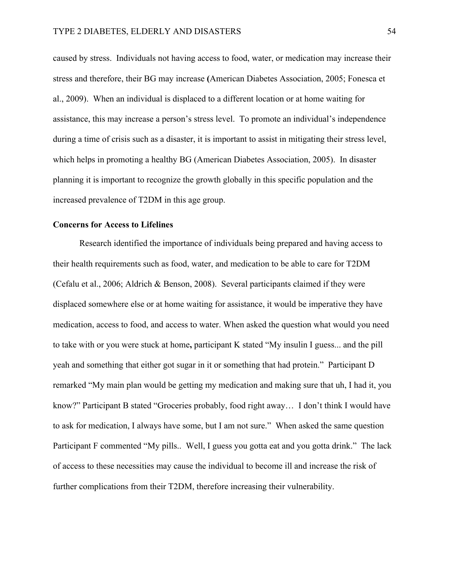caused by stress. Individuals not having access to food, water, or medication may increase their stress and therefore, their BG may increase **(**American Diabetes Association, 2005; Fonesca et al., 2009). When an individual is displaced to a different location or at home waiting for assistance, this may increase a person's stress level. To promote an individual's independence during a time of crisis such as a disaster, it is important to assist in mitigating their stress level, which helps in promoting a healthy BG (American Diabetes Association, 2005). In disaster planning it is important to recognize the growth globally in this specific population and the increased prevalence of T2DM in this age group.

### **Concerns for Access to Lifelines**

Research identified the importance of individuals being prepared and having access to their health requirements such as food, water, and medication to be able to care for T2DM (Cefalu et al., 2006; Aldrich & Benson, 2008). Several participants claimed if they were displaced somewhere else or at home waiting for assistance, it would be imperative they have medication, access to food, and access to water. When asked the question what would you need to take with or you were stuck at home**,** participant K stated "My insulin I guess... and the pill yeah and something that either got sugar in it or something that had protein." Participant D remarked "My main plan would be getting my medication and making sure that uh, I had it, you know?" Participant B stated "Groceries probably, food right away… I don't think I would have to ask for medication, I always have some, but I am not sure." When asked the same question Participant F commented "My pills.. Well, I guess you gotta eat and you gotta drink." The lack of access to these necessities may cause the individual to become ill and increase the risk of further complications from their T2DM, therefore increasing their vulnerability.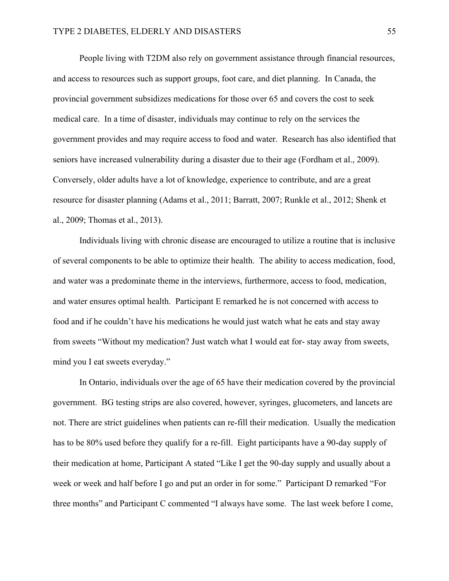People living with T2DM also rely on government assistance through financial resources, and access to resources such as support groups, foot care, and diet planning. In Canada, the provincial government subsidizes medications for those over 65 and covers the cost to seek medical care. In a time of disaster, individuals may continue to rely on the services the government provides and may require access to food and water. Research has also identified that seniors have increased vulnerability during a disaster due to their age (Fordham et al., 2009). Conversely, older adults have a lot of knowledge, experience to contribute, and are a great resource for disaster planning (Adams et al., 2011; Barratt, 2007; Runkle et al., 2012; Shenk et al., 2009; Thomas et al., 2013).

Individuals living with chronic disease are encouraged to utilize a routine that is inclusive of several components to be able to optimize their health. The ability to access medication, food, and water was a predominate theme in the interviews, furthermore, access to food, medication, and water ensures optimal health. Participant E remarked he is not concerned with access to food and if he couldn't have his medications he would just watch what he eats and stay away from sweets "Without my medication? Just watch what I would eat for- stay away from sweets, mind you I eat sweets everyday."

In Ontario, individuals over the age of 65 have their medication covered by the provincial government. BG testing strips are also covered, however, syringes, glucometers, and lancets are not. There are strict guidelines when patients can re-fill their medication. Usually the medication has to be 80% used before they qualify for a re-fill. Eight participants have a 90-day supply of their medication at home, Participant A stated "Like I get the 90-day supply and usually about a week or week and half before I go and put an order in for some." Participant D remarked "For three months" and Participant C commented "I always have some. The last week before I come,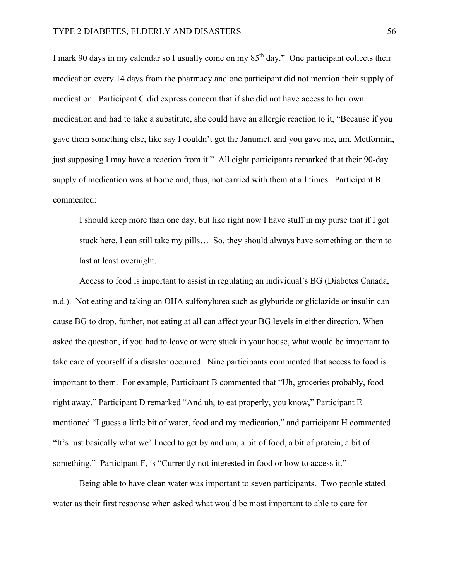I mark 90 days in my calendar so I usually come on my  $85<sup>th</sup>$  day." One participant collects their medication every 14 days from the pharmacy and one participant did not mention their supply of medication. Participant C did express concern that if she did not have access to her own medication and had to take a substitute, she could have an allergic reaction to it, "Because if you gave them something else, like say I couldn't get the Janumet, and you gave me, um, Metformin, just supposing I may have a reaction from it." All eight participants remarked that their 90-day supply of medication was at home and, thus, not carried with them at all times. Participant B commented:

I should keep more than one day, but like right now I have stuff in my purse that if I got stuck here, I can still take my pills… So, they should always have something on them to last at least overnight.

Access to food is important to assist in regulating an individual's BG (Diabetes Canada, n.d.). Not eating and taking an OHA sulfonylurea such as glyburide or gliclazide or insulin can cause BG to drop, further, not eating at all can affect your BG levels in either direction. When asked the question, if you had to leave or were stuck in your house, what would be important to take care of yourself if a disaster occurred. Nine participants commented that access to food is important to them. For example, Participant B commented that "Uh, groceries probably, food right away," Participant D remarked "And uh, to eat properly, you know," Participant E mentioned "I guess a little bit of water, food and my medication," and participant H commented "It's just basically what we'll need to get by and um, a bit of food, a bit of protein, a bit of something." Participant F, is "Currently not interested in food or how to access it."

Being able to have clean water was important to seven participants. Two people stated water as their first response when asked what would be most important to able to care for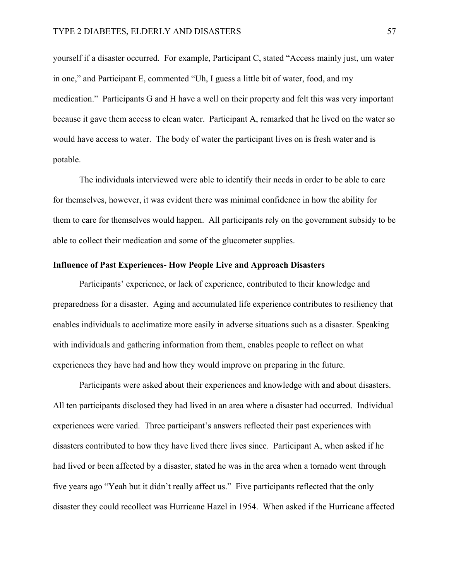#### TYPE 2 DIABETES, ELDERLY AND DISASTERS 57

yourself if a disaster occurred. For example, Participant C, stated "Access mainly just, um water in one," and Participant E, commented "Uh, I guess a little bit of water, food, and my medication." Participants G and H have a well on their property and felt this was very important because it gave them access to clean water. Participant A, remarked that he lived on the water so would have access to water. The body of water the participant lives on is fresh water and is potable.

The individuals interviewed were able to identify their needs in order to be able to care for themselves, however, it was evident there was minimal confidence in how the ability for them to care for themselves would happen. All participants rely on the government subsidy to be able to collect their medication and some of the glucometer supplies.

# **Influence of Past Experiences- How People Live and Approach Disasters**

Participants' experience, or lack of experience, contributed to their knowledge and preparedness for a disaster. Aging and accumulated life experience contributes to resiliency that enables individuals to acclimatize more easily in adverse situations such as a disaster. Speaking with individuals and gathering information from them, enables people to reflect on what experiences they have had and how they would improve on preparing in the future.

Participants were asked about their experiences and knowledge with and about disasters. All ten participants disclosed they had lived in an area where a disaster had occurred. Individual experiences were varied. Three participant's answers reflected their past experiences with disasters contributed to how they have lived there lives since. Participant A, when asked if he had lived or been affected by a disaster, stated he was in the area when a tornado went through five years ago "Yeah but it didn't really affect us." Five participants reflected that the only disaster they could recollect was Hurricane Hazel in 1954. When asked if the Hurricane affected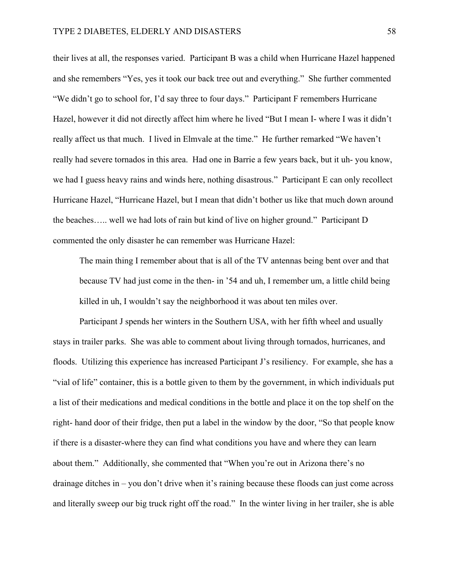their lives at all, the responses varied. Participant B was a child when Hurricane Hazel happened and she remembers "Yes, yes it took our back tree out and everything." She further commented "We didn't go to school for, I'd say three to four days." Participant F remembers Hurricane Hazel, however it did not directly affect him where he lived "But I mean I- where I was it didn't really affect us that much. I lived in Elmvale at the time." He further remarked "We haven't really had severe tornados in this area. Had one in Barrie a few years back, but it uh- you know, we had I guess heavy rains and winds here, nothing disastrous." Participant E can only recollect Hurricane Hazel, "Hurricane Hazel, but I mean that didn't bother us like that much down around the beaches….. well we had lots of rain but kind of live on higher ground." Participant D commented the only disaster he can remember was Hurricane Hazel:

The main thing I remember about that is all of the TV antennas being bent over and that because TV had just come in the then- in '54 and uh, I remember um, a little child being killed in uh, I wouldn't say the neighborhood it was about ten miles over.

Participant J spends her winters in the Southern USA, with her fifth wheel and usually stays in trailer parks. She was able to comment about living through tornados, hurricanes, and floods. Utilizing this experience has increased Participant J's resiliency. For example, she has a "vial of life" container, this is a bottle given to them by the government, in which individuals put a list of their medications and medical conditions in the bottle and place it on the top shelf on the right- hand door of their fridge, then put a label in the window by the door, "So that people know if there is a disaster-where they can find what conditions you have and where they can learn about them." Additionally, she commented that "When you're out in Arizona there's no drainage ditches in – you don't drive when it's raining because these floods can just come across and literally sweep our big truck right off the road." In the winter living in her trailer, she is able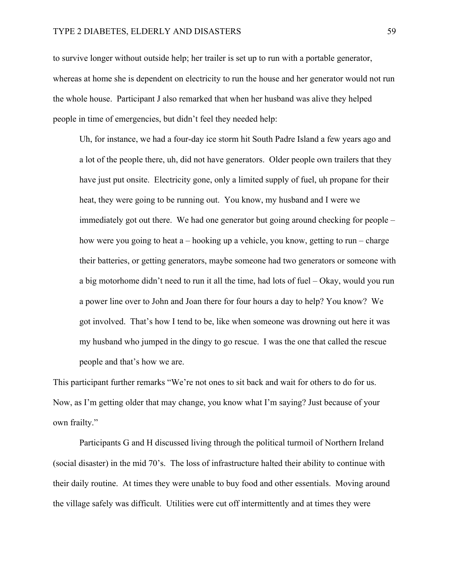to survive longer without outside help; her trailer is set up to run with a portable generator, whereas at home she is dependent on electricity to run the house and her generator would not run the whole house. Participant J also remarked that when her husband was alive they helped people in time of emergencies, but didn't feel they needed help:

Uh, for instance, we had a four-day ice storm hit South Padre Island a few years ago and a lot of the people there, uh, did not have generators. Older people own trailers that they have just put onsite. Electricity gone, only a limited supply of fuel, uh propane for their heat, they were going to be running out. You know, my husband and I were we immediately got out there. We had one generator but going around checking for people – how were you going to heat a – hooking up a vehicle, you know, getting to run – charge their batteries, or getting generators, maybe someone had two generators or someone with a big motorhome didn't need to run it all the time, had lots of fuel – Okay, would you run a power line over to John and Joan there for four hours a day to help? You know? We got involved. That's how I tend to be, like when someone was drowning out here it was my husband who jumped in the dingy to go rescue. I was the one that called the rescue people and that's how we are.

This participant further remarks "We're not ones to sit back and wait for others to do for us. Now, as I'm getting older that may change, you know what I'm saying? Just because of your own frailty."

Participants G and H discussed living through the political turmoil of Northern Ireland (social disaster) in the mid 70's. The loss of infrastructure halted their ability to continue with their daily routine. At times they were unable to buy food and other essentials. Moving around the village safely was difficult. Utilities were cut off intermittently and at times they were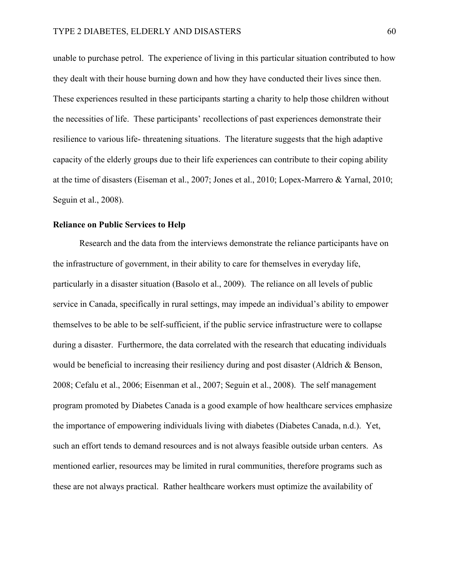unable to purchase petrol. The experience of living in this particular situation contributed to how they dealt with their house burning down and how they have conducted their lives since then. These experiences resulted in these participants starting a charity to help those children without the necessities of life. These participants' recollections of past experiences demonstrate their resilience to various life- threatening situations. The literature suggests that the high adaptive capacity of the elderly groups due to their life experiences can contribute to their coping ability at the time of disasters (Eiseman et al., 2007; Jones et al., 2010; Lopex-Marrero & Yarnal, 2010; Seguin et al., 2008).

## **Reliance on Public Services to Help**

Research and the data from the interviews demonstrate the reliance participants have on the infrastructure of government, in their ability to care for themselves in everyday life, particularly in a disaster situation (Basolo et al., 2009). The reliance on all levels of public service in Canada, specifically in rural settings, may impede an individual's ability to empower themselves to be able to be self-sufficient, if the public service infrastructure were to collapse during a disaster. Furthermore, the data correlated with the research that educating individuals would be beneficial to increasing their resiliency during and post disaster (Aldrich & Benson, 2008; Cefalu et al., 2006; Eisenman et al., 2007; Seguin et al., 2008). The self management program promoted by Diabetes Canada is a good example of how healthcare services emphasize the importance of empowering individuals living with diabetes (Diabetes Canada, n.d.). Yet, such an effort tends to demand resources and is not always feasible outside urban centers. As mentioned earlier, resources may be limited in rural communities, therefore programs such as these are not always practical. Rather healthcare workers must optimize the availability of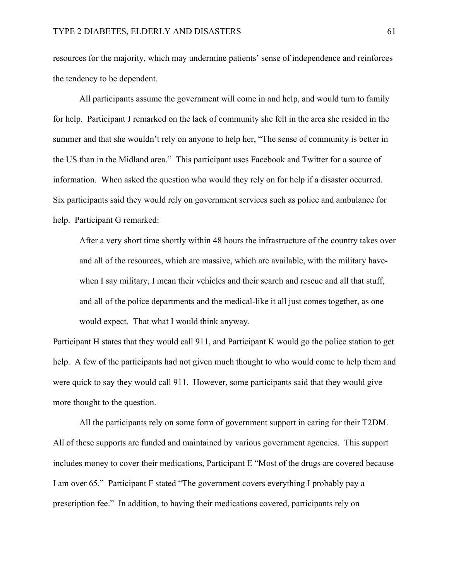resources for the majority, which may undermine patients' sense of independence and reinforces the tendency to be dependent.

All participants assume the government will come in and help, and would turn to family for help. Participant J remarked on the lack of community she felt in the area she resided in the summer and that she wouldn't rely on anyone to help her, "The sense of community is better in the US than in the Midland area." This participant uses Facebook and Twitter for a source of information. When asked the question who would they rely on for help if a disaster occurred. Six participants said they would rely on government services such as police and ambulance for help. Participant G remarked:

After a very short time shortly within 48 hours the infrastructure of the country takes over and all of the resources, which are massive, which are available, with the military havewhen I say military, I mean their vehicles and their search and rescue and all that stuff, and all of the police departments and the medical-like it all just comes together, as one would expect. That what I would think anyway.

Participant H states that they would call 911, and Participant K would go the police station to get help. A few of the participants had not given much thought to who would come to help them and were quick to say they would call 911. However, some participants said that they would give more thought to the question.

All the participants rely on some form of government support in caring for their T2DM. All of these supports are funded and maintained by various government agencies. This support includes money to cover their medications, Participant E "Most of the drugs are covered because I am over 65." Participant F stated "The government covers everything I probably pay a prescription fee." In addition, to having their medications covered, participants rely on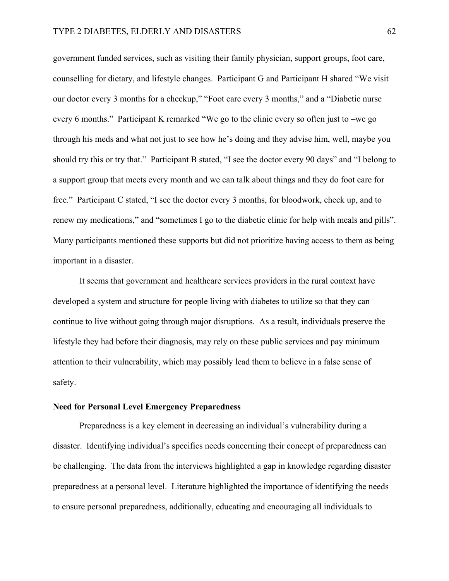government funded services, such as visiting their family physician, support groups, foot care, counselling for dietary, and lifestyle changes. Participant G and Participant H shared "We visit our doctor every 3 months for a checkup," "Foot care every 3 months," and a "Diabetic nurse every 6 months." Participant K remarked "We go to the clinic every so often just to –we go through his meds and what not just to see how he's doing and they advise him, well, maybe you should try this or try that." Participant B stated, "I see the doctor every 90 days" and "I belong to a support group that meets every month and we can talk about things and they do foot care for free." Participant C stated, "I see the doctor every 3 months, for bloodwork, check up, and to renew my medications," and "sometimes I go to the diabetic clinic for help with meals and pills". Many participants mentioned these supports but did not prioritize having access to them as being important in a disaster.

It seems that government and healthcare services providers in the rural context have developed a system and structure for people living with diabetes to utilize so that they can continue to live without going through major disruptions. As a result, individuals preserve the lifestyle they had before their diagnosis, may rely on these public services and pay minimum attention to their vulnerability, which may possibly lead them to believe in a false sense of safety.

### **Need for Personal Level Emergency Preparedness**

Preparedness is a key element in decreasing an individual's vulnerability during a disaster. Identifying individual's specifics needs concerning their concept of preparedness can be challenging. The data from the interviews highlighted a gap in knowledge regarding disaster preparedness at a personal level. Literature highlighted the importance of identifying the needs to ensure personal preparedness, additionally, educating and encouraging all individuals to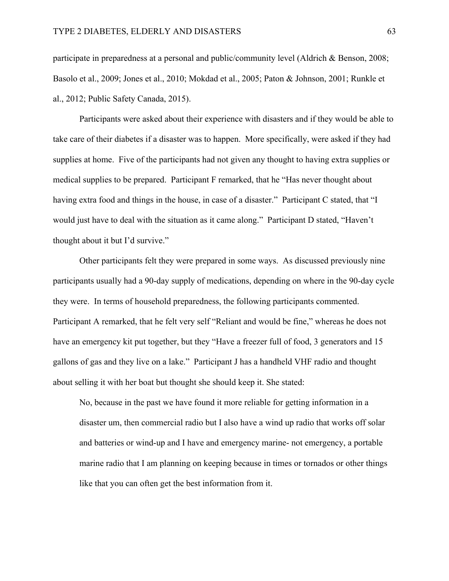participate in preparedness at a personal and public/community level (Aldrich & Benson, 2008; Basolo et al., 2009; Jones et al., 2010; Mokdad et al., 2005; Paton & Johnson, 2001; Runkle et al., 2012; Public Safety Canada, 2015).

Participants were asked about their experience with disasters and if they would be able to take care of their diabetes if a disaster was to happen. More specifically, were asked if they had supplies at home. Five of the participants had not given any thought to having extra supplies or medical supplies to be prepared. Participant F remarked, that he "Has never thought about having extra food and things in the house, in case of a disaster." Participant C stated, that "I would just have to deal with the situation as it came along." Participant D stated, "Haven't thought about it but I'd survive."

Other participants felt they were prepared in some ways. As discussed previously nine participants usually had a 90-day supply of medications, depending on where in the 90-day cycle they were. In terms of household preparedness, the following participants commented. Participant A remarked, that he felt very self "Reliant and would be fine," whereas he does not have an emergency kit put together, but they "Have a freezer full of food, 3 generators and 15 gallons of gas and they live on a lake." Participant J has a handheld VHF radio and thought about selling it with her boat but thought she should keep it. She stated:

No, because in the past we have found it more reliable for getting information in a disaster um, then commercial radio but I also have a wind up radio that works off solar and batteries or wind-up and I have and emergency marine- not emergency, a portable marine radio that I am planning on keeping because in times or tornados or other things like that you can often get the best information from it.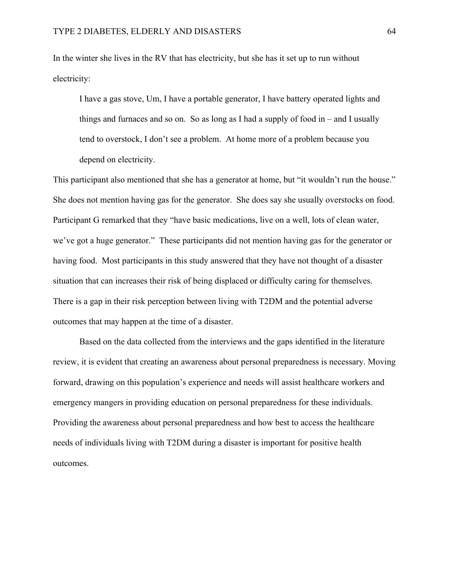In the winter she lives in the RV that has electricity, but she has it set up to run without electricity:

I have a gas stove, Um, I have a portable generator, I have battery operated lights and things and furnaces and so on. So as long as I had a supply of food in – and I usually tend to overstock, I don't see a problem. At home more of a problem because you depend on electricity.

This participant also mentioned that she has a generator at home, but "it wouldn't run the house." She does not mention having gas for the generator. She does say she usually overstocks on food. Participant G remarked that they "have basic medications, live on a well, lots of clean water, we've got a huge generator." These participants did not mention having gas for the generator or having food. Most participants in this study answered that they have not thought of a disaster situation that can increases their risk of being displaced or difficulty caring for themselves. There is a gap in their risk perception between living with T2DM and the potential adverse outcomes that may happen at the time of a disaster.

Based on the data collected from the interviews and the gaps identified in the literature review, it is evident that creating an awareness about personal preparedness is necessary. Moving forward, drawing on this population's experience and needs will assist healthcare workers and emergency mangers in providing education on personal preparedness for these individuals. Providing the awareness about personal preparedness and how best to access the healthcare needs of individuals living with T2DM during a disaster is important for positive health outcomes.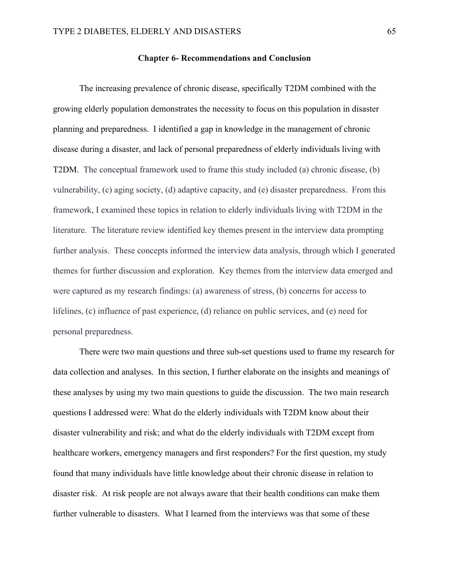## **Chapter 6- Recommendations and Conclusion**

The increasing prevalence of chronic disease, specifically T2DM combined with the growing elderly population demonstrates the necessity to focus on this population in disaster planning and preparedness. I identified a gap in knowledge in the management of chronic disease during a disaster, and lack of personal preparedness of elderly individuals living with T2DM. The conceptual framework used to frame this study included (a) chronic disease, (b) vulnerability, (c) aging society, (d) adaptive capacity, and (e) disaster preparedness. From this framework, I examined these topics in relation to elderly individuals living with T2DM in the literature. The literature review identified key themes present in the interview data prompting further analysis. These concepts informed the interview data analysis, through which I generated themes for further discussion and exploration. Key themes from the interview data emerged and were captured as my research findings: (a) awareness of stress, (b) concerns for access to lifelines, (c) influence of past experience, (d) reliance on public services, and (e) need for personal preparedness.

There were two main questions and three sub-set questions used to frame my research for data collection and analyses. In this section, I further elaborate on the insights and meanings of these analyses by using my two main questions to guide the discussion. The two main research questions I addressed were: What do the elderly individuals with T2DM know about their disaster vulnerability and risk; and what do the elderly individuals with T2DM except from healthcare workers, emergency managers and first responders? For the first question, my study found that many individuals have little knowledge about their chronic disease in relation to disaster risk. At risk people are not always aware that their health conditions can make them further vulnerable to disasters. What I learned from the interviews was that some of these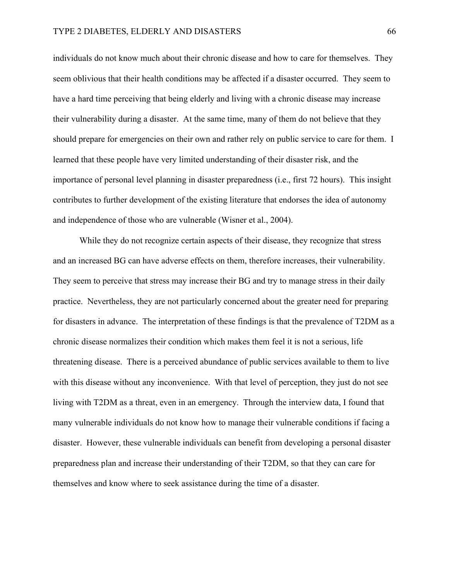individuals do not know much about their chronic disease and how to care for themselves. They seem oblivious that their health conditions may be affected if a disaster occurred. They seem to have a hard time perceiving that being elderly and living with a chronic disease may increase their vulnerability during a disaster. At the same time, many of them do not believe that they should prepare for emergencies on their own and rather rely on public service to care for them. I learned that these people have very limited understanding of their disaster risk, and the importance of personal level planning in disaster preparedness (i.e., first 72 hours). This insight contributes to further development of the existing literature that endorses the idea of autonomy and independence of those who are vulnerable (Wisner et al., 2004).

While they do not recognize certain aspects of their disease, they recognize that stress and an increased BG can have adverse effects on them, therefore increases, their vulnerability. They seem to perceive that stress may increase their BG and try to manage stress in their daily practice. Nevertheless, they are not particularly concerned about the greater need for preparing for disasters in advance. The interpretation of these findings is that the prevalence of T2DM as a chronic disease normalizes their condition which makes them feel it is not a serious, life threatening disease. There is a perceived abundance of public services available to them to live with this disease without any inconvenience. With that level of perception, they just do not see living with T2DM as a threat, even in an emergency. Through the interview data, I found that many vulnerable individuals do not know how to manage their vulnerable conditions if facing a disaster. However, these vulnerable individuals can benefit from developing a personal disaster preparedness plan and increase their understanding of their T2DM, so that they can care for themselves and know where to seek assistance during the time of a disaster.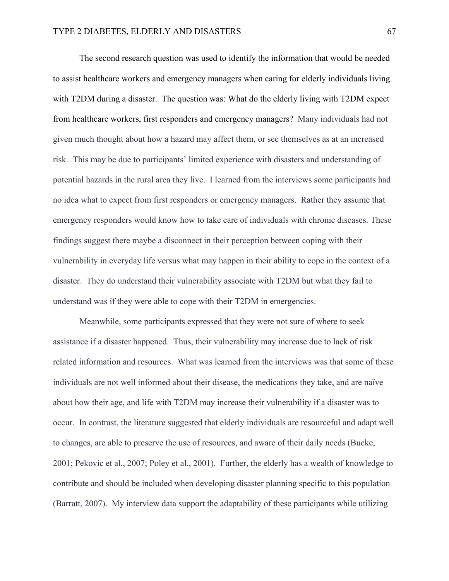The second research question was used to identify the information that would be needed to assist healthcare workers and emergency managers when caring for elderly individuals living with T2DM during a disaster. The question was: What do the elderly living with T2DM expect from healthcare workers, first responders and emergency managers? Many individuals had not given much thought about how a hazard may affect them, or see themselves as at an increased risk. This may be due to participants' limited experience with disasters and understanding of potential hazards in the rural area they live. I learned from the interviews some participants had no idea what to expect from first responders or emergency managers. Rather they assume that emergency responders would know how to take care of individuals with chronic diseases. These findings suggest there maybe a disconnect in their perception between coping with their vulnerability in everyday life versus what may happen in their ability to cope in the context of a disaster. They do understand their vulnerability associate with T2DM but what they fail to understand was if they were able to cope with their T2DM in emergencies.

Meanwhile, some participants expressed that they were not sure of where to seek assistance if a disaster happened. Thus, their vulnerability may increase due to lack of risk related information and resources. What was learned from the interviews was that some of these individuals are not well informed about their disease, the medications they take, and are naïve about how their age, and life with T2DM may increase their vulnerability if a disaster was to occur. In contrast, the literature suggested that elderly individuals are resourceful and adapt well to changes, are able to preserve the use of resources, and aware of their daily needs (Bucke, 2001; Pekovic et al., 2007; Poley et al., 2001). Further, the elderly has a wealth of knowledge to contribute and should be included when developing disaster planning specific to this population (Barratt, 2007). My interview data support the adaptability of these participants while utilizing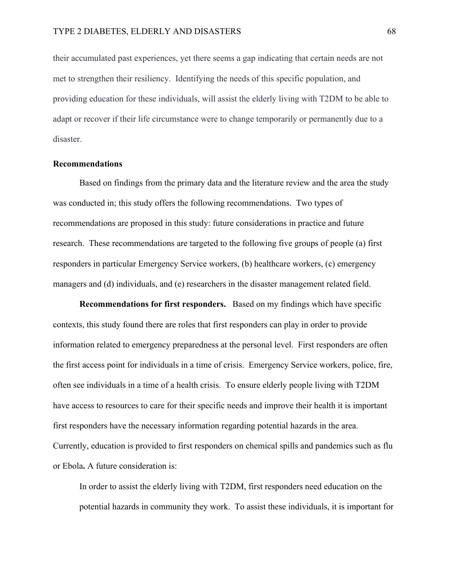their accumulated past experiences, yet there seems a gap indicating that certain needs are not met to strengthen their resiliency. Identifying the needs of this specific population, and providing education for these individuals, will assist the elderly living with T2DM to be able to adapt or recover if their life circumstance were to change temporarily or permanently due to a disaster.

### **Recommendations**

Based on findings from the primary data and the literature review and the area the study was conducted in; this study offers the following recommendations. Two types of recommendations are proposed in this study: future considerations in practice and future research. These recommendations are targeted to the following five groups of people (a) first responders in particular Emergency Service workers, (b) healthcare workers, (c) emergency managers and (d) individuals, and (e) researchers in the disaster management related field.

**Recommendations for first responders.** Based on my findings which have specific contexts, this study found there are roles that first responders can play in order to provide information related to emergency preparedness at the personal level. First responders are often the first access point for individuals in a time of crisis. Emergency Service workers, police, fire, often see individuals in a time of a health crisis. To ensure elderly people living with T2DM have access to resources to care for their specific needs and improve their health it is important first responders have the necessary information regarding potential hazards in the area. Currently, education is provided to first responders on chemical spills and pandemics such as flu or Ebola**.** A future consideration is:

In order to assist the elderly living with T2DM, first responders need education on the potential hazards in community they work. To assist these individuals, it is important for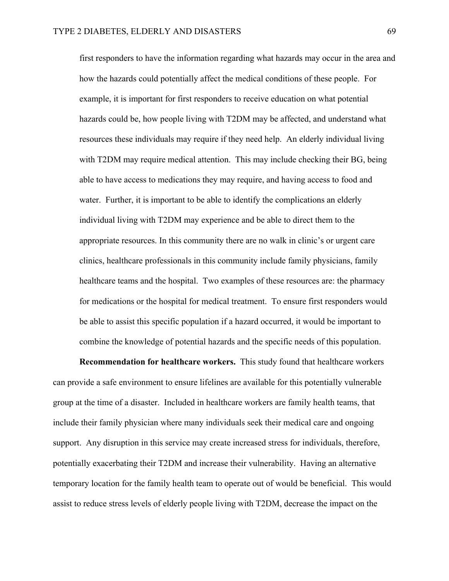first responders to have the information regarding what hazards may occur in the area and how the hazards could potentially affect the medical conditions of these people. For example, it is important for first responders to receive education on what potential hazards could be, how people living with T2DM may be affected, and understand what resources these individuals may require if they need help. An elderly individual living with T2DM may require medical attention. This may include checking their BG, being able to have access to medications they may require, and having access to food and water. Further, it is important to be able to identify the complications an elderly individual living with T2DM may experience and be able to direct them to the appropriate resources. In this community there are no walk in clinic's or urgent care clinics, healthcare professionals in this community include family physicians, family healthcare teams and the hospital. Two examples of these resources are: the pharmacy for medications or the hospital for medical treatment. To ensure first responders would be able to assist this specific population if a hazard occurred, it would be important to combine the knowledge of potential hazards and the specific needs of this population.

**Recommendation for healthcare workers.** This study found that healthcare workers can provide a safe environment to ensure lifelines are available for this potentially vulnerable group at the time of a disaster. Included in healthcare workers are family health teams, that include their family physician where many individuals seek their medical care and ongoing support. Any disruption in this service may create increased stress for individuals, therefore, potentially exacerbating their T2DM and increase their vulnerability. Having an alternative temporary location for the family health team to operate out of would be beneficial. This would assist to reduce stress levels of elderly people living with T2DM, decrease the impact on the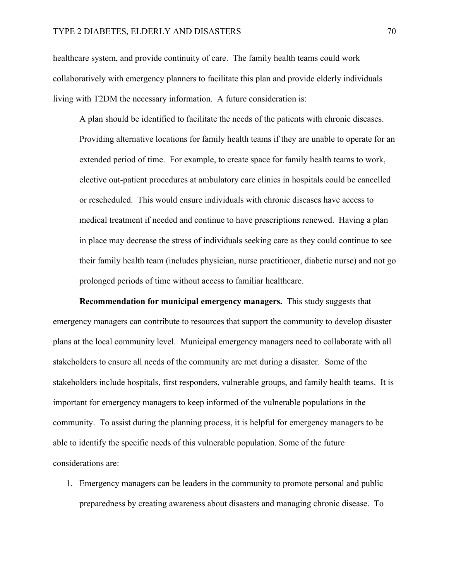healthcare system, and provide continuity of care. The family health teams could work collaboratively with emergency planners to facilitate this plan and provide elderly individuals living with T2DM the necessary information. A future consideration is:

A plan should be identified to facilitate the needs of the patients with chronic diseases. Providing alternative locations for family health teams if they are unable to operate for an extended period of time. For example, to create space for family health teams to work, elective out-patient procedures at ambulatory care clinics in hospitals could be cancelled or rescheduled. This would ensure individuals with chronic diseases have access to medical treatment if needed and continue to have prescriptions renewed. Having a plan in place may decrease the stress of individuals seeking care as they could continue to see their family health team (includes physician, nurse practitioner, diabetic nurse) and not go prolonged periods of time without access to familiar healthcare.

**Recommendation for municipal emergency managers.** This study suggests that emergency managers can contribute to resources that support the community to develop disaster plans at the local community level. Municipal emergency managers need to collaborate with all stakeholders to ensure all needs of the community are met during a disaster. Some of the stakeholders include hospitals, first responders, vulnerable groups, and family health teams. It is important for emergency managers to keep informed of the vulnerable populations in the community. To assist during the planning process, it is helpful for emergency managers to be able to identify the specific needs of this vulnerable population. Some of the future considerations are:

1. Emergency managers can be leaders in the community to promote personal and public preparedness by creating awareness about disasters and managing chronic disease. To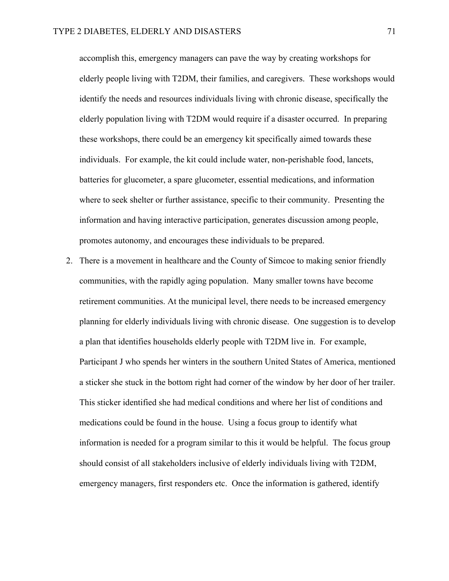accomplish this, emergency managers can pave the way by creating workshops for elderly people living with T2DM, their families, and caregivers. These workshops would identify the needs and resources individuals living with chronic disease, specifically the elderly population living with T2DM would require if a disaster occurred. In preparing these workshops, there could be an emergency kit specifically aimed towards these individuals. For example, the kit could include water, non-perishable food, lancets, batteries for glucometer, a spare glucometer, essential medications, and information where to seek shelter or further assistance, specific to their community. Presenting the information and having interactive participation, generates discussion among people, promotes autonomy, and encourages these individuals to be prepared.

2. There is a movement in healthcare and the County of Simcoe to making senior friendly communities, with the rapidly aging population. Many smaller towns have become retirement communities. At the municipal level, there needs to be increased emergency planning for elderly individuals living with chronic disease. One suggestion is to develop a plan that identifies households elderly people with T2DM live in. For example, Participant J who spends her winters in the southern United States of America, mentioned a sticker she stuck in the bottom right had corner of the window by her door of her trailer. This sticker identified she had medical conditions and where her list of conditions and medications could be found in the house. Using a focus group to identify what information is needed for a program similar to this it would be helpful. The focus group should consist of all stakeholders inclusive of elderly individuals living with T2DM, emergency managers, first responders etc. Once the information is gathered, identify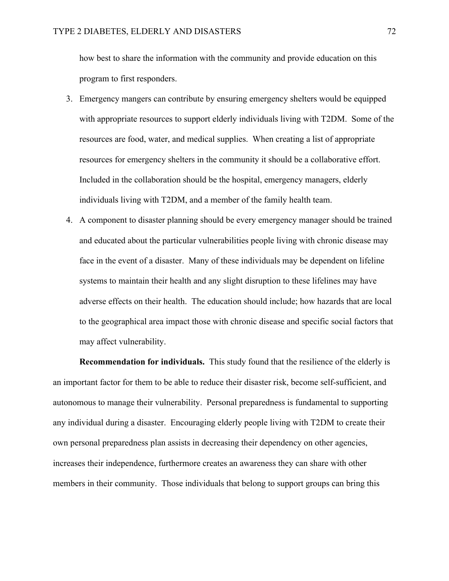how best to share the information with the community and provide education on this program to first responders.

- 3. Emergency mangers can contribute by ensuring emergency shelters would be equipped with appropriate resources to support elderly individuals living with T2DM. Some of the resources are food, water, and medical supplies. When creating a list of appropriate resources for emergency shelters in the community it should be a collaborative effort. Included in the collaboration should be the hospital, emergency managers, elderly individuals living with T2DM, and a member of the family health team.
- 4. A component to disaster planning should be every emergency manager should be trained and educated about the particular vulnerabilities people living with chronic disease may face in the event of a disaster. Many of these individuals may be dependent on lifeline systems to maintain their health and any slight disruption to these lifelines may have adverse effects on their health. The education should include; how hazards that are local to the geographical area impact those with chronic disease and specific social factors that may affect vulnerability.

**Recommendation for individuals.** This study found that the resilience of the elderly is an important factor for them to be able to reduce their disaster risk, become self-sufficient, and autonomous to manage their vulnerability. Personal preparedness is fundamental to supporting any individual during a disaster. Encouraging elderly people living with T2DM to create their own personal preparedness plan assists in decreasing their dependency on other agencies, increases their independence, furthermore creates an awareness they can share with other members in their community. Those individuals that belong to support groups can bring this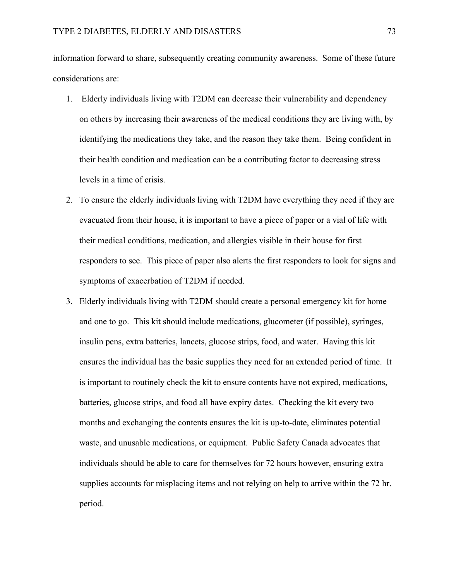information forward to share, subsequently creating community awareness. Some of these future considerations are:

- 1. Elderly individuals living with T2DM can decrease their vulnerability and dependency on others by increasing their awareness of the medical conditions they are living with, by identifying the medications they take, and the reason they take them. Being confident in their health condition and medication can be a contributing factor to decreasing stress levels in a time of crisis.
- 2. To ensure the elderly individuals living with T2DM have everything they need if they are evacuated from their house, it is important to have a piece of paper or a vial of life with their medical conditions, medication, and allergies visible in their house for first responders to see. This piece of paper also alerts the first responders to look for signs and symptoms of exacerbation of T2DM if needed.
- 3. Elderly individuals living with T2DM should create a personal emergency kit for home and one to go. This kit should include medications, glucometer (if possible), syringes, insulin pens, extra batteries, lancets, glucose strips, food, and water. Having this kit ensures the individual has the basic supplies they need for an extended period of time. It is important to routinely check the kit to ensure contents have not expired, medications, batteries, glucose strips, and food all have expiry dates. Checking the kit every two months and exchanging the contents ensures the kit is up-to-date, eliminates potential waste, and unusable medications, or equipment. Public Safety Canada advocates that individuals should be able to care for themselves for 72 hours however, ensuring extra supplies accounts for misplacing items and not relying on help to arrive within the 72 hr. period.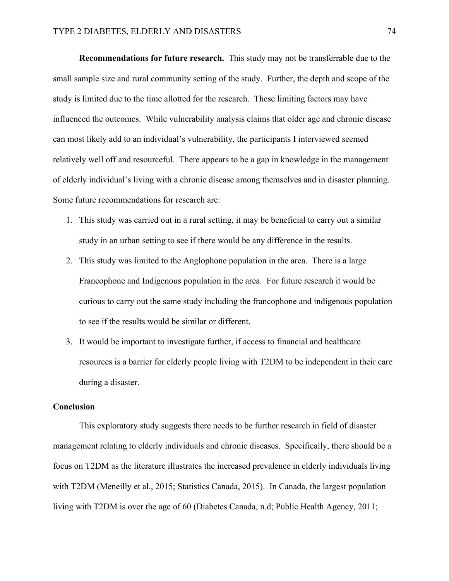**Recommendations for future research.** This study may not be transferrable due to the small sample size and rural community setting of the study. Further, the depth and scope of the study is limited due to the time allotted for the research. These limiting factors may have influenced the outcomes. While vulnerability analysis claims that older age and chronic disease can most likely add to an individual's vulnerability, the participants I interviewed seemed relatively well off and resourceful. There appears to be a gap in knowledge in the management of elderly individual's living with a chronic disease among themselves and in disaster planning. Some future recommendations for research are:

- 1. This study was carried out in a rural setting, it may be beneficial to carry out a similar study in an urban setting to see if there would be any difference in the results.
- 2. This study was limited to the Anglophone population in the area. There is a large Francophone and Indigenous population in the area. For future research it would be curious to carry out the same study including the francophone and indigenous population to see if the results would be similar or different.
- 3. It would be important to investigate further, if access to financial and healthcare resources is a barrier for elderly people living with T2DM to be independent in their care during a disaster.

#### **Conclusion**

This exploratory study suggests there needs to be further research in field of disaster management relating to elderly individuals and chronic diseases. Specifically, there should be a focus on T2DM as the literature illustrates the increased prevalence in elderly individuals living with T2DM (Meneilly et al., 2015; Statistics Canada, 2015). In Canada, the largest population living with T2DM is over the age of 60 (Diabetes Canada, n.d; Public Health Agency, 2011;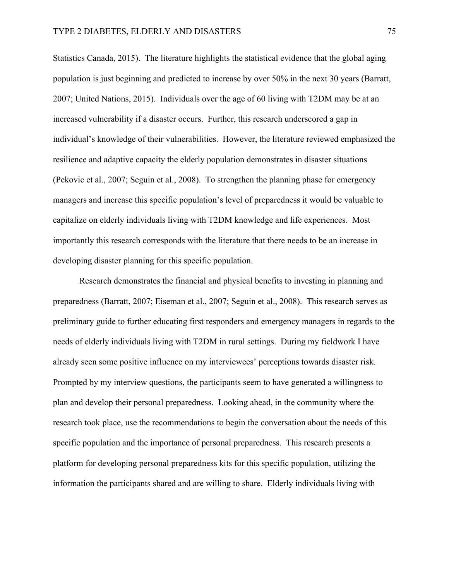Statistics Canada, 2015). The literature highlights the statistical evidence that the global aging population is just beginning and predicted to increase by over 50% in the next 30 years (Barratt, 2007; United Nations, 2015). Individuals over the age of 60 living with T2DM may be at an increased vulnerability if a disaster occurs. Further, this research underscored a gap in individual's knowledge of their vulnerabilities. However, the literature reviewed emphasized the resilience and adaptive capacity the elderly population demonstrates in disaster situations (Pekovic et al., 2007; Seguin et al., 2008). To strengthen the planning phase for emergency managers and increase this specific population's level of preparedness it would be valuable to capitalize on elderly individuals living with T2DM knowledge and life experiences. Most importantly this research corresponds with the literature that there needs to be an increase in developing disaster planning for this specific population.

Research demonstrates the financial and physical benefits to investing in planning and preparedness (Barratt, 2007; Eiseman et al., 2007; Seguin et al., 2008). This research serves as preliminary guide to further educating first responders and emergency managers in regards to the needs of elderly individuals living with T2DM in rural settings. During my fieldwork I have already seen some positive influence on my interviewees' perceptions towards disaster risk. Prompted by my interview questions, the participants seem to have generated a willingness to plan and develop their personal preparedness. Looking ahead, in the community where the research took place, use the recommendations to begin the conversation about the needs of this specific population and the importance of personal preparedness. This research presents a platform for developing personal preparedness kits for this specific population, utilizing the information the participants shared and are willing to share. Elderly individuals living with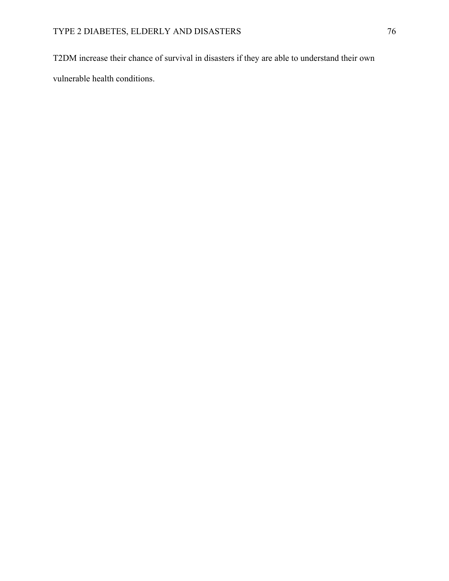T2DM increase their chance of survival in disasters if they are able to understand their own vulnerable health conditions.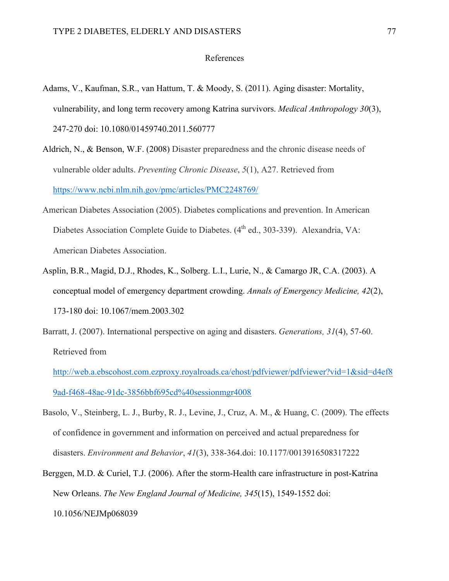### References

- Adams, V., Kaufman, S.R., van Hattum, T. & Moody, S. (2011). Aging disaster: Mortality, vulnerability, and long term recovery among Katrina survivors. *Medical Anthropology 30*(3), 247-270 doi: 10.1080/01459740.2011.560777
- Aldrich, N., & Benson, W.F. (2008) Disaster preparedness and the chronic disease needs of vulnerable older adults. *Preventing Chronic Disease*, *5*(1), A27. Retrieved from https://www.ncbi.nlm.nih.gov/pmc/articles/PMC2248769/
- American Diabetes Association (2005). Diabetes complications and prevention. In American Diabetes Association Complete Guide to Diabetes. (4<sup>th</sup> ed., 303-339). Alexandria, VA: American Diabetes Association.
- Asplin, B.R., Magid, D.J., Rhodes, K., Solberg. L.I., Lurie, N., & Camargo JR, C.A. (2003). A conceptual model of emergency department crowding. *Annals of Emergency Medicine, 42*(2), 173-180 doi: 10.1067/mem.2003.302
- Barratt, J. (2007). International perspective on aging and disasters. *Generations, 31*(4), 57-60. Retrieved from

http://web.a.ebscohost.com.ezproxy.royalroads.ca/ehost/pdfviewer/pdfviewer?vid=1&sid=d4ef8 9ad-f468-48ac-91dc-3856bbf695cd%40sessionmgr4008

- Basolo, V., Steinberg, L. J., Burby, R. J., Levine, J., Cruz, A. M., & Huang, C. (2009). The effects of confidence in government and information on perceived and actual preparedness for disasters. *Environment and Behavior*, *41*(3), 338-364.doi: 10.1177/0013916508317222
- Berggen, M.D. & Curiel, T.J. (2006). After the storm-Health care infrastructure in post-Katrina New Orleans. *The New England Journal of Medicine, 345*(15), 1549-1552 doi: 10.1056/NEJMp068039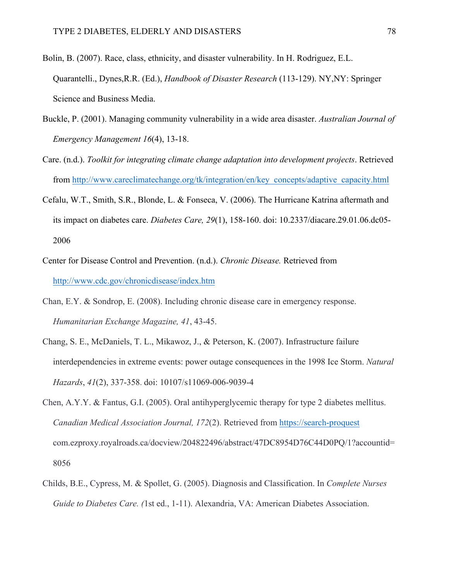- Bolin, B. (2007). Race, class, ethnicity, and disaster vulnerability. In H. Rodriguez, E.L. Quarantelli., Dynes,R.R. (Ed.), *Handbook of Disaster Research* (113-129). NY,NY: Springer Science and Business Media.
- Buckle, P. (2001). Managing community vulnerability in a wide area disaster. *Australian Journal of Emergency Management 16*(4), 13-18.
- Care. (n.d.). *Toolkit for integrating climate change adaptation into development projects*. Retrieved from http://www.careclimatechange.org/tk/integration/en/key\_concepts/adaptive\_capacity.html
- Cefalu, W.T., Smith, S.R., Blonde, L. & Fonseca, V. (2006). The Hurricane Katrina aftermath and its impact on diabetes care. *Diabetes Care, 29*(1), 158-160. doi: 10.2337/diacare.29.01.06.dc05- 2006
- Center for Disease Control and Prevention. (n.d.). *Chronic Disease.* Retrieved from http://www.cdc.gov/chronicdisease/index.htm
- Chan, E.Y. & Sondrop, E. (2008). Including chronic disease care in emergency response. *Humanitarian Exchange Magazine, 41*, 43-45.
- Chang, S. E., McDaniels, T. L., Mikawoz, J., & Peterson, K. (2007). Infrastructure failure interdependencies in extreme events: power outage consequences in the 1998 Ice Storm. *Natural Hazards*, *41*(2), 337-358. doi: 10107/s11069-006-9039-4
- Chen, A.Y.Y. & Fantus, G.I. (2005). Oral antihyperglycemic therapy for type 2 diabetes mellitus. *Canadian Medical Association Journal, 172*(2). Retrieved from https://search-proquest com.ezproxy.royalroads.ca/docview/204822496/abstract/47DC8954D76C44D0PQ/1?accountid= 8056
- Childs, B.E., Cypress, M. & Spollet, G. (2005). Diagnosis and Classification. In *Complete Nurses Guide to Diabetes Care. (*1st ed., 1-11). Alexandria, VA: American Diabetes Association.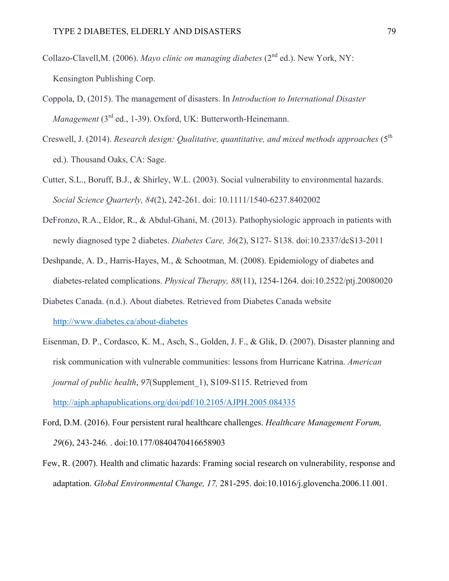- Collazo-Clavell,M. (2006). *Mayo clinic on managing diabetes* (2<sup>nd</sup> ed.). New York, NY: Kensington Publishing Corp.
- Coppola, D, (2015). The management of disasters. In *Introduction to International Disaster Management* (3<sup>rd</sup> ed., 1-39). Oxford, UK: Butterworth-Heinemann.
- Creswell, J. (2014). *Research design: Qualitative, quantitative, and mixed methods approaches* (5<sup>th</sup>) ed.). Thousand Oaks, CA: Sage.
- Cutter, S.L., Boruff, B.J., & Shirley, W.L. (2003). Social vulnerability to environmental hazards. *Social Science Quarterly, 84*(2), 242-261. doi: 10.1111/1540-6237.8402002
- DeFronzo, R.A., Eldor, R., & Abdul-Ghani, M. (2013). Pathophysiologic approach in patients with newly diagnosed type 2 diabetes. *Diabetes Care, 36*(2), S127- S138. doi:10.2337/dcS13-2011
- Deshpande, A. D., Harris-Hayes, M., & Schootman, M. (2008). Epidemiology of diabetes and diabetes-related complications. *Physical Therapy, 88*(11), 1254-1264. doi:10.2522/ptj.20080020
- Diabetes Canada. (n.d.). About diabetes. Retrieved from Diabetes Canada website http://www.diabetes.ca/about-diabetes
- Eisenman, D. P., Cordasco, K. M., Asch, S., Golden, J. F., & Glik, D. (2007). Disaster planning and risk communication with vulnerable communities: lessons from Hurricane Katrina. *American journal of public health, 97*(Supplement 1), S109-S115. Retrieved from http://ajph.aphapublications.org/doi/pdf/10.2105/AJPH.2005.084335
- Ford, D.M. (2016). Four persistent rural healthcare challenges. *Healthcare Management Forum, 29*(6), 243-246. . doi:10.177/0840470416658903
- Few, R. (2007). Health and climatic hazards: Framing social research on vulnerability, response and adaptation. *Global Environmental Change, 17,* 281-295. doi:10.1016/j.glovencha.2006.11.001.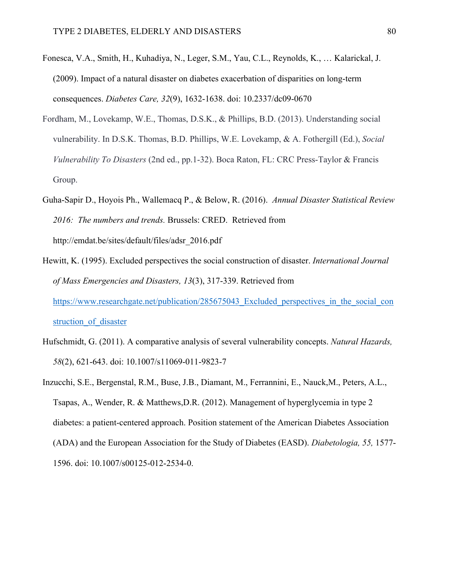- Fonesca, V.A., Smith, H., Kuhadiya, N., Leger, S.M., Yau, C.L., Reynolds, K., … Kalarickal, J. (2009). Impact of a natural disaster on diabetes exacerbation of disparities on long-term consequences. *Diabetes Care, 32*(9), 1632-1638. doi: 10.2337/dc09-0670
- Fordham, M., Lovekamp, W.E., Thomas, D.S.K., & Phillips, B.D. (2013). Understanding social vulnerability. In D.S.K. Thomas, B.D. Phillips, W.E. Lovekamp, & A. Fothergill (Ed.), *Social Vulnerability To Disasters* (2nd ed., pp.1-32). Boca Raton, FL: CRC Press-Taylor & Francis Group.
- Guha-Sapir D., Hoyois Ph., Wallemacq P., & Below, R. (2016). *Annual Disaster Statistical Review 2016: The numbers and trends.* Brussels: CRED. Retrieved from http://emdat.be/sites/default/files/adsr\_2016.pdf
- Hewitt, K. (1995). Excluded perspectives the social construction of disaster. *International Journal of Mass Emergencies and Disasters, 13*(3), 317-339. Retrieved from https://www.researchgate.net/publication/285675043 Excluded perspectives in the social con struction of disaster
- Hufschmidt, G. (2011). A comparative analysis of several vulnerability concepts. *Natural Hazards, 58*(2), 621-643. doi: 10.1007/s11069-011-9823-7
- Inzucchi, S.E., Bergenstal, R.M., Buse, J.B., Diamant, M., Ferrannini, E., Nauck,M., Peters, A.L., Tsapas, A., Wender, R. & Matthews,D.R. (2012). Management of hyperglycemia in type 2 diabetes: a patient-centered approach. Position statement of the American Diabetes Association (ADA) and the European Association for the Study of Diabetes (EASD). *Diabetologia, 55,* 1577- 1596. doi: 10.1007/s00125-012-2534-0.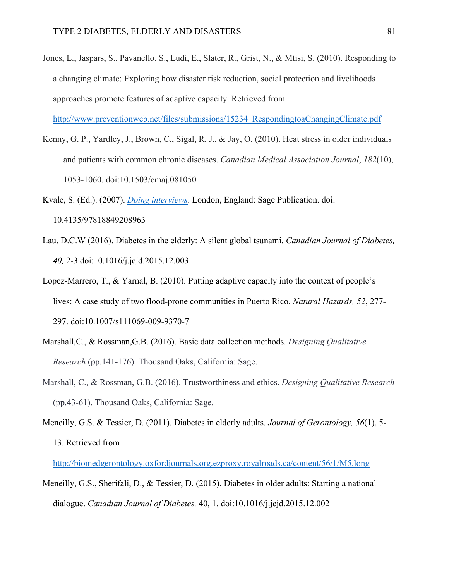Jones, L., Jaspars, S., Pavanello, S., Ludi, E., Slater, R., Grist, N., & Mtisi, S. (2010). Responding to a changing climate: Exploring how disaster risk reduction, social protection and livelihoods approaches promote features of adaptive capacity. Retrieved from

http://www.preventionweb.net/files/submissions/15234\_RespondingtoaChangingClimate.pdf

Kenny, G. P., Yardley, J., Brown, C., Sigal, R. J., & Jay, O. (2010). Heat stress in older individuals and patients with common chronic diseases. *Canadian Medical Association Journal*, *182*(10), 1053-1060. doi:10.1503/cmaj.081050

Kvale, S. (Ed.). (2007). *Doing interviews*. London, England: Sage Publication. doi: 10.4135/97818849208963

- Lau, D.C.W (2016). Diabetes in the elderly: A silent global tsunami. *Canadian Journal of Diabetes, 40,* 2-3 doi:10.1016/j.jcjd.2015.12.003
- Lopez-Marrero, T., & Yarnal, B. (2010). Putting adaptive capacity into the context of people's lives: A case study of two flood-prone communities in Puerto Rico. *Natural Hazards, 52*, 277- 297. doi:10.1007/s111069-009-9370-7
- Marshall,C., & Rossman,G.B. (2016). Basic data collection methods. *Designing Qualitative Research* (pp.141-176). Thousand Oaks, California: Sage.
- Marshall, C., & Rossman, G.B. (2016). Trustworthiness and ethics. *Designing Qualitative Research*  (pp.43-61). Thousand Oaks, California: Sage.
- Meneilly, G.S. & Tessier, D. (2011). Diabetes in elderly adults. *Journal of Gerontology, 56*(1), 5- 13. Retrieved from

http://biomedgerontology.oxfordjournals.org.ezproxy.royalroads.ca/content/56/1/M5.long

Meneilly, G.S., Sherifali, D., & Tessier, D. (2015). Diabetes in older adults: Starting a national dialogue. *Canadian Journal of Diabetes,* 40, 1. doi:10.1016/j.jcjd.2015.12.002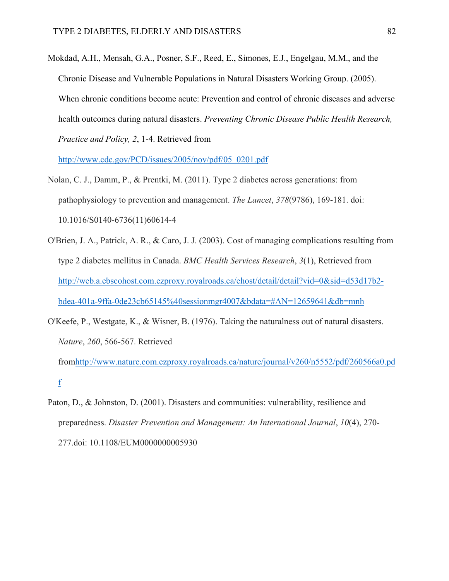Mokdad, A.H., Mensah, G.A., Posner, S.F., Reed, E., Simones, E.J., Engelgau, M.M., and the Chronic Disease and Vulnerable Populations in Natural Disasters Working Group. (2005). When chronic conditions become acute: Prevention and control of chronic diseases and adverse health outcomes during natural disasters. *Preventing Chronic Disease Public Health Research, Practice and Policy, 2*, 1-4. Retrieved from

http://www.cdc.gov/PCD/issues/2005/nov/pdf/05\_0201.pdf

- Nolan, C. J., Damm, P., & Prentki, M. (2011). Type 2 diabetes across generations: from pathophysiology to prevention and management. *The Lancet*, *378*(9786), 169-181. doi: 10.1016/S0140-6736(11)60614-4
- O'Brien, J. A., Patrick, A. R., & Caro, J. J. (2003). Cost of managing complications resulting from type 2 diabetes mellitus in Canada. *BMC Health Services Research*, *3*(1), Retrieved from http://web.a.ebscohost.com.ezproxy.royalroads.ca/ehost/detail/detail?vid=0&sid=d53d17b2 bdea-401a-9ffa-0de23cb65145%40sessionmgr4007&bdata=#AN=12659641&db=mnh
- O'Keefe, P., Westgate, K., & Wisner, B. (1976). Taking the naturalness out of natural disasters. *Nature*, *260*, 566-567. Retrieved

fromhttp://www.nature.com.ezproxy.royalroads.ca/nature/journal/v260/n5552/pdf/260566a0.pd f

Paton, D., & Johnston, D. (2001). Disasters and communities: vulnerability, resilience and preparedness. *Disaster Prevention and Management: An International Journal*, *10*(4), 270- 277.doi: 10.1108/EUM0000000005930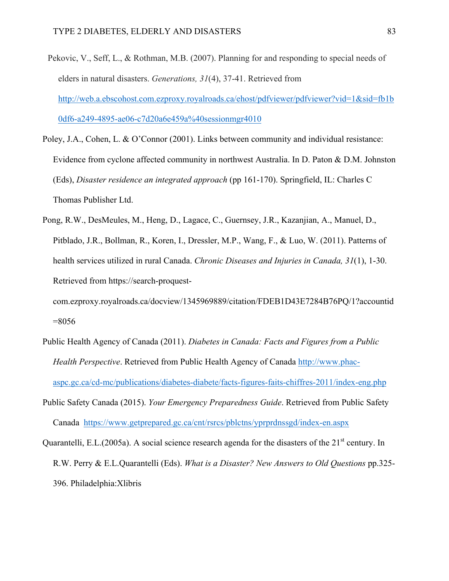- Pekovic, V., Seff, L., & Rothman, M.B. (2007). Planning for and responding to special needs of elders in natural disasters. *Generations, 31*(4), 37-41. Retrieved from http://web.a.ebscohost.com.ezproxy.royalroads.ca/ehost/pdfviewer/pdfviewer?vid=1&sid=fb1b 0df6-a249-4895-ae06-c7d20a6e459a%40sessionmgr4010
- Poley, J.A., Cohen, L. & O'Connor (2001). Links between community and individual resistance: Evidence from cyclone affected community in northwest Australia. In D. Paton & D.M. Johnston (Eds), *Disaster residence an integrated approach* (pp 161-170). Springfield, IL: Charles C Thomas Publisher Ltd.
- Pong, R.W., DesMeules, M., Heng, D., Lagace, C., Guernsey, J.R., Kazanjian, A., Manuel, D., Pitblado, J.R., Bollman, R., Koren, I., Dressler, M.P., Wang, F., & Luo, W. (2011). Patterns of health services utilized in rural Canada. *Chronic Diseases and Injuries in Canada, 31*(1), 1-30. Retrieved from https://search-proquest-

com.ezproxy.royalroads.ca/docview/1345969889/citation/FDEB1D43E7284B76PQ/1?accountid  $=8056$ 

- Public Health Agency of Canada (2011). *Diabetes in Canada: Facts and Figures from a Public Health Perspective*. Retrieved from Public Health Agency of Canada http://www.phacaspc.gc.ca/cd-mc/publications/diabetes-diabete/facts-figures-faits-chiffres-2011/index-eng.php
- Public Safety Canada (2015). *Your Emergency Preparedness Guide*. Retrieved from Public Safety Canada https://www.getprepared.gc.ca/cnt/rsrcs/pblctns/yprprdnssgd/index-en.aspx
- Quarantelli, E.L.(2005a). A social science research agenda for the disasters of the  $21<sup>st</sup>$  century. In R.W. Perry & E.L.Quarantelli (Eds). *What is a Disaster? New Answers to Old Questions* pp.325- 396. Philadelphia:Xlibris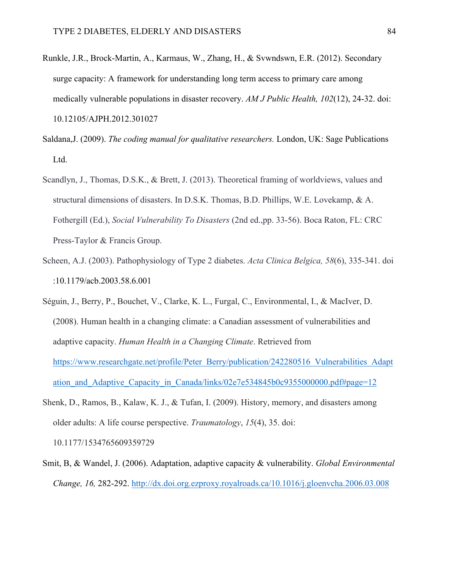- Runkle, J.R., Brock-Martin, A., Karmaus, W., Zhang, H., & Svwndswn, E.R. (2012). Secondary surge capacity: A framework for understanding long term access to primary care among medically vulnerable populations in disaster recovery. *AM J Public Health, 102*(12), 24-32. doi: 10.12105/AJPH.2012.301027
- Saldana,J. (2009). *The coding manual for qualitative researchers.* London, UK: Sage Publications Ltd.
- Scandlyn, J., Thomas, D.S.K., & Brett, J. (2013). Theoretical framing of worldviews, values and structural dimensions of disasters. In D.S.K. Thomas, B.D. Phillips, W.E. Lovekamp, & A. Fothergill (Ed.), *Social Vulnerability To Disasters* (2nd ed.,pp. 33-56). Boca Raton, FL: CRC Press-Taylor & Francis Group.
- Scheen, A.J. (2003). Pathophysiology of Type 2 diabetes. *Acta Clinica Belgica, 58*(6), 335-341. doi :10.1179/acb.2003.58.6.001
- Séguin, J., Berry, P., Bouchet, V., Clarke, K. L., Furgal, C., Environmental, I., & MacIver, D. (2008). Human health in a changing climate: a Canadian assessment of vulnerabilities and adaptive capacity. *Human Health in a Changing Climate*. Retrieved from https://www.researchgate.net/profile/Peter\_Berry/publication/242280516\_Vulnerabilities\_Adapt ation and Adaptive Capacity in Canada/links/02e7e534845b0c9355000000.pdf#page=12
- Shenk, D., Ramos, B., Kalaw, K. J., & Tufan, I. (2009). History, memory, and disasters among older adults: A life course perspective. *Traumatology*, *15*(4), 35. doi:

10.1177/1534765609359729

Smit, B, & Wandel, J. (2006). Adaptation, adaptive capacity & vulnerability. *Global Environmental Change, 16,* 282-292. http://dx.doi.org.ezproxy.royalroads.ca/10.1016/j.gloenvcha.2006.03.008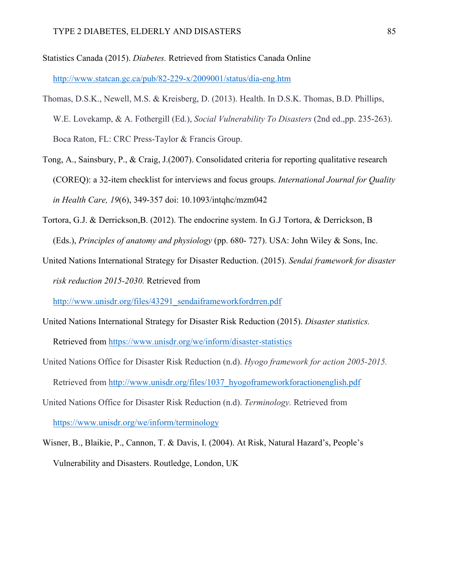Statistics Canada (2015). *Diabetes.* Retrieved from Statistics Canada Online http://www.statcan.gc.ca/pub/82-229-x/2009001/status/dia-eng.htm

- Thomas, D.S.K., Newell, M.S. & Kreisberg, D. (2013). Health. In D.S.K. Thomas, B.D. Phillips, W.E. Lovekamp, & A. Fothergill (Ed.), *Social Vulnerability To Disasters* (2nd ed.,pp. 235-263). Boca Raton, FL: CRC Press-Taylor & Francis Group.
- Tong, A., Sainsbury, P., & Craig, J.(2007). Consolidated criteria for reporting qualitative research (COREQ): a 32-item checklist for interviews and focus groups. *International Journal for Quality in Health Care, 19*(6), 349-357 doi: 10.1093/intqhc/mzm042
- Tortora, G.J. & Derrickson,B. (2012). The endocrine system. In G.J Tortora, & Derrickson, B (Eds.), *Principles of anatomy and physiology* (pp. 680- 727). USA: John Wiley & Sons, Inc.
- United Nations International Strategy for Disaster Reduction. (2015). *Sendai framework for disaster risk reduction 2015-2030.* Retrieved from

http://www.unisdr.org/files/43291\_sendaiframeworkfordrren.pdf

- United Nations International Strategy for Disaster Risk Reduction (2015). *Disaster statistics.* Retrieved from https://www.unisdr.org/we/inform/disaster-statistics
- United Nations Office for Disaster Risk Reduction (n.d). *Hyogo framework for action 2005-2015.*

Retrieved from http://www.unisdr.org/files/1037\_hyogoframeworkforactionenglish.pdf

- United Nations Office for Disaster Risk Reduction (n.d). *Terminology.* Retrieved from https://www.unisdr.org/we/inform/terminology
- Wisner, B., Blaikie, P., Cannon, T. & Davis, I. (2004). At Risk, Natural Hazard's, People's Vulnerability and Disasters. Routledge, London, UK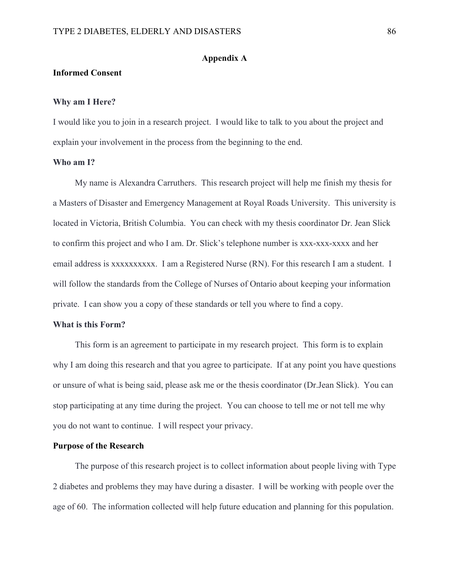## **Appendix A**

## **Informed Consent**

### **Why am I Here?**

I would like you to join in a research project. I would like to talk to you about the project and explain your involvement in the process from the beginning to the end.

### **Who am I?**

My name is Alexandra Carruthers. This research project will help me finish my thesis for a Masters of Disaster and Emergency Management at Royal Roads University. This university is located in Victoria, British Columbia. You can check with my thesis coordinator Dr. Jean Slick to confirm this project and who I am. Dr. Slick's telephone number is xxx-xxx-xxxx and her email address is xxxxxxxxxx. I am a Registered Nurse (RN). For this research I am a student. I will follow the standards from the College of Nurses of Ontario about keeping your information private. I can show you a copy of these standards or tell you where to find a copy.

### **What is this Form?**

This form is an agreement to participate in my research project. This form is to explain why I am doing this research and that you agree to participate. If at any point you have questions or unsure of what is being said, please ask me or the thesis coordinator (Dr.Jean Slick). You can stop participating at any time during the project. You can choose to tell me or not tell me why you do not want to continue. I will respect your privacy.

### **Purpose of the Research**

The purpose of this research project is to collect information about people living with Type 2 diabetes and problems they may have during a disaster. I will be working with people over the age of 60. The information collected will help future education and planning for this population.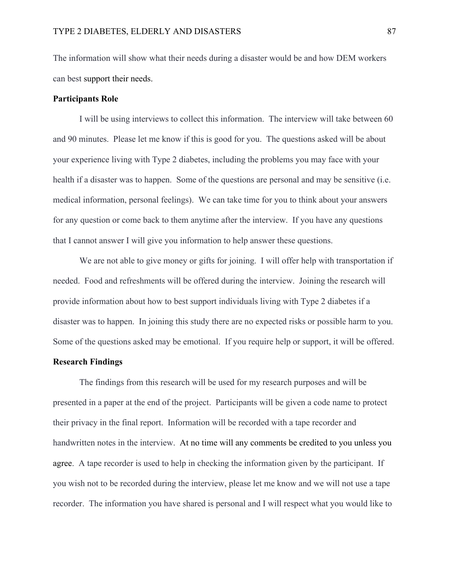The information will show what their needs during a disaster would be and how DEM workers can best support their needs.

### **Participants Role**

I will be using interviews to collect this information. The interview will take between 60 and 90 minutes. Please let me know if this is good for you. The questions asked will be about your experience living with Type 2 diabetes, including the problems you may face with your health if a disaster was to happen. Some of the questions are personal and may be sensitive (i.e. medical information, personal feelings). We can take time for you to think about your answers for any question or come back to them anytime after the interview. If you have any questions that I cannot answer I will give you information to help answer these questions.

We are not able to give money or gifts for joining. I will offer help with transportation if needed. Food and refreshments will be offered during the interview. Joining the research will provide information about how to best support individuals living with Type 2 diabetes if a disaster was to happen. In joining this study there are no expected risks or possible harm to you. Some of the questions asked may be emotional. If you require help or support, it will be offered.

### **Research Findings**

The findings from this research will be used for my research purposes and will be presented in a paper at the end of the project. Participants will be given a code name to protect their privacy in the final report. Information will be recorded with a tape recorder and handwritten notes in the interview. At no time will any comments be credited to you unless you agree. A tape recorder is used to help in checking the information given by the participant. If you wish not to be recorded during the interview, please let me know and we will not use a tape recorder. The information you have shared is personal and I will respect what you would like to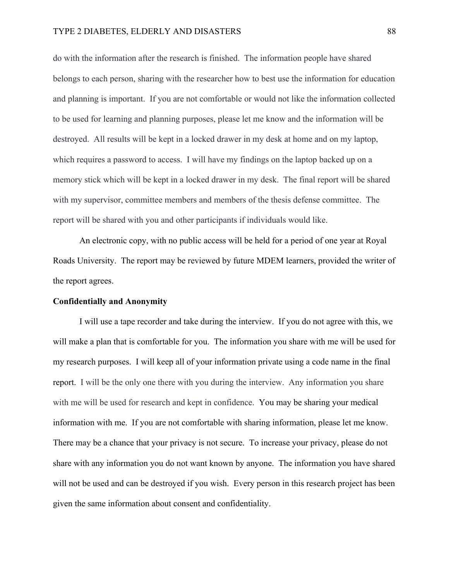do with the information after the research is finished. The information people have shared belongs to each person, sharing with the researcher how to best use the information for education and planning is important. If you are not comfortable or would not like the information collected to be used for learning and planning purposes, please let me know and the information will be destroyed. All results will be kept in a locked drawer in my desk at home and on my laptop, which requires a password to access. I will have my findings on the laptop backed up on a memory stick which will be kept in a locked drawer in my desk. The final report will be shared with my supervisor, committee members and members of the thesis defense committee. The report will be shared with you and other participants if individuals would like.

An electronic copy, with no public access will be held for a period of one year at Royal Roads University. The report may be reviewed by future MDEM learners, provided the writer of the report agrees.

#### **Confidentially and Anonymity**

I will use a tape recorder and take during the interview. If you do not agree with this, we will make a plan that is comfortable for you. The information you share with me will be used for my research purposes. I will keep all of your information private using a code name in the final report. I will be the only one there with you during the interview. Any information you share with me will be used for research and kept in confidence. You may be sharing your medical information with me. If you are not comfortable with sharing information, please let me know. There may be a chance that your privacy is not secure. To increase your privacy, please do not share with any information you do not want known by anyone. The information you have shared will not be used and can be destroyed if you wish. Every person in this research project has been given the same information about consent and confidentiality.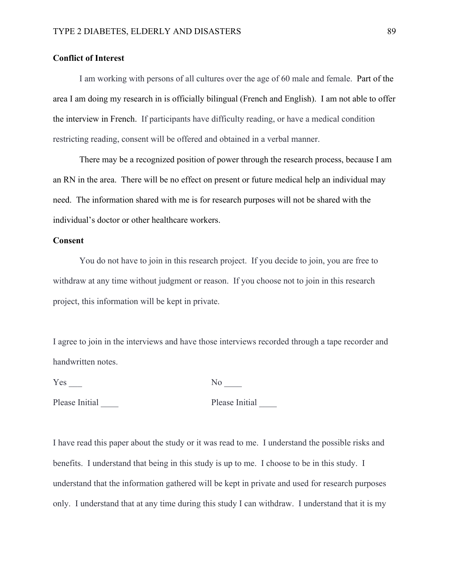## **Conflict of Interest**

I am working with persons of all cultures over the age of 60 male and female. Part of the area I am doing my research in is officially bilingual (French and English). I am not able to offer the interview in French. If participants have difficulty reading, or have a medical condition restricting reading, consent will be offered and obtained in a verbal manner.

There may be a recognized position of power through the research process, because I am an RN in the area. There will be no effect on present or future medical help an individual may need. The information shared with me is for research purposes will not be shared with the individual's doctor or other healthcare workers.

### **Consent**

You do not have to join in this research project. If you decide to join, you are free to withdraw at any time without judgment or reason. If you choose not to join in this research project, this information will be kept in private.

I agree to join in the interviews and have those interviews recorded through a tape recorder and handwritten notes.

Yes \_\_\_ No \_\_\_\_

Please Initial <u>Queen and Please Initial</u>

I have read this paper about the study or it was read to me. I understand the possible risks and benefits. I understand that being in this study is up to me. I choose to be in this study. I understand that the information gathered will be kept in private and used for research purposes only. I understand that at any time during this study I can withdraw. I understand that it is my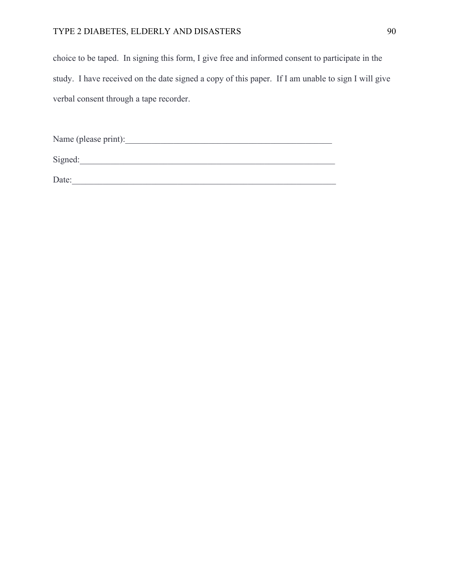# TYPE 2 DIABETES, ELDERLY AND DISASTERS 90

choice to be taped. In signing this form, I give free and informed consent to participate in the study. I have received on the date signed a copy of this paper. If I am unable to sign I will give verbal consent through a tape recorder.

Name (please print):\_\_\_\_\_\_\_\_\_\_\_\_\_\_\_\_\_\_\_\_\_\_\_\_\_\_\_\_\_\_\_\_\_\_\_\_\_\_\_\_\_\_\_\_\_\_\_

Signed:\_\_\_\_\_\_\_\_\_\_\_\_\_\_\_\_\_\_\_\_\_\_\_\_\_\_\_\_\_\_\_\_\_\_\_\_\_\_\_\_\_\_\_\_\_\_\_\_\_\_\_\_\_\_\_\_\_\_

Date:\_\_\_\_\_\_\_\_\_\_\_\_\_\_\_\_\_\_\_\_\_\_\_\_\_\_\_\_\_\_\_\_\_\_\_\_\_\_\_\_\_\_\_\_\_\_\_\_\_\_\_\_\_\_\_\_\_\_\_\_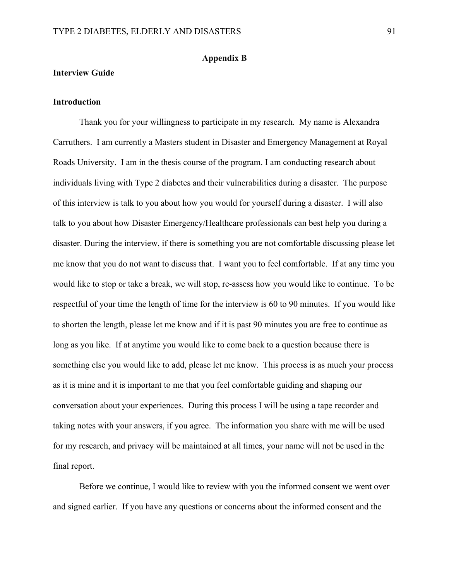### **Appendix B**

## **Interview Guide**

## **Introduction**

Thank you for your willingness to participate in my research. My name is Alexandra Carruthers. I am currently a Masters student in Disaster and Emergency Management at Royal Roads University. I am in the thesis course of the program. I am conducting research about individuals living with Type 2 diabetes and their vulnerabilities during a disaster. The purpose of this interview is talk to you about how you would for yourself during a disaster. I will also talk to you about how Disaster Emergency/Healthcare professionals can best help you during a disaster. During the interview, if there is something you are not comfortable discussing please let me know that you do not want to discuss that. I want you to feel comfortable. If at any time you would like to stop or take a break, we will stop, re-assess how you would like to continue. To be respectful of your time the length of time for the interview is 60 to 90 minutes. If you would like to shorten the length, please let me know and if it is past 90 minutes you are free to continue as long as you like. If at anytime you would like to come back to a question because there is something else you would like to add, please let me know. This process is as much your process as it is mine and it is important to me that you feel comfortable guiding and shaping our conversation about your experiences. During this process I will be using a tape recorder and taking notes with your answers, if you agree. The information you share with me will be used for my research, and privacy will be maintained at all times, your name will not be used in the final report.

Before we continue, I would like to review with you the informed consent we went over and signed earlier. If you have any questions or concerns about the informed consent and the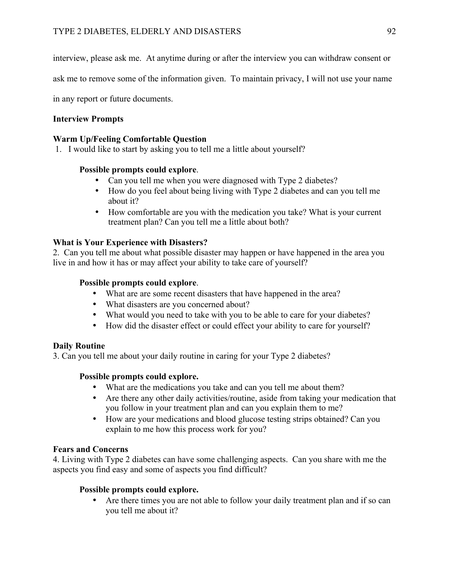interview, please ask me. At anytime during or after the interview you can withdraw consent or

ask me to remove some of the information given. To maintain privacy, I will not use your name

in any report or future documents.

# **Interview Prompts**

# **Warm Up/Feeling Comfortable Question**

1. I would like to start by asking you to tell me a little about yourself?

# **Possible prompts could explore**.

- Can you tell me when you were diagnosed with Type 2 diabetes?
- How do you feel about being living with Type 2 diabetes and can you tell me about it?
- How comfortable are you with the medication you take? What is your current treatment plan? Can you tell me a little about both?

# **What is Your Experience with Disasters?**

2. Can you tell me about what possible disaster may happen or have happened in the area you live in and how it has or may affect your ability to take care of yourself?

# **Possible prompts could explore**.

- What are are some recent disasters that have happened in the area?
- What disasters are you concerned about?
- What would you need to take with you to be able to care for your diabetes?
- How did the disaster effect or could effect your ability to care for yourself?

# **Daily Routine**

3. Can you tell me about your daily routine in caring for your Type 2 diabetes?

# **Possible prompts could explore.**

- What are the medications you take and can you tell me about them?
- Are there any other daily activities/routine, aside from taking your medication that you follow in your treatment plan and can you explain them to me?
- How are your medications and blood glucose testing strips obtained? Can you explain to me how this process work for you?

# **Fears and Concerns**

4. Living with Type 2 diabetes can have some challenging aspects. Can you share with me the aspects you find easy and some of aspects you find difficult?

# **Possible prompts could explore.**

• Are there times you are not able to follow your daily treatment plan and if so can you tell me about it?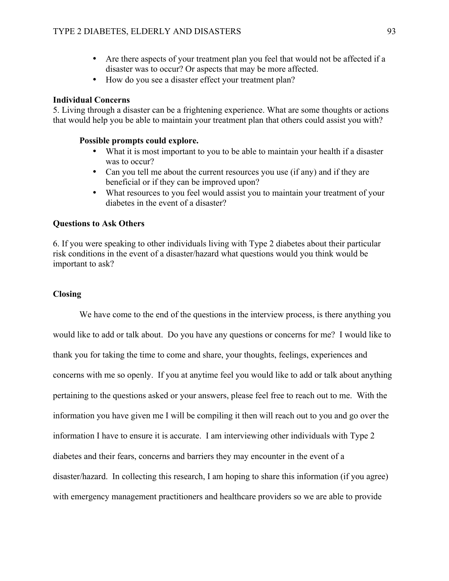- Are there aspects of your treatment plan you feel that would not be affected if a disaster was to occur? Or aspects that may be more affected.
- How do you see a disaster effect your treatment plan?

### **Individual Concerns**

5. Living through a disaster can be a frightening experience. What are some thoughts or actions that would help you be able to maintain your treatment plan that others could assist you with?

### **Possible prompts could explore.**

- What it is most important to you to be able to maintain your health if a disaster was to occur?
- Can you tell me about the current resources you use (if any) and if they are beneficial or if they can be improved upon?
- What resources to you feel would assist you to maintain your treatment of your diabetes in the event of a disaster?

## **Questions to Ask Others**

6. If you were speaking to other individuals living with Type 2 diabetes about their particular risk conditions in the event of a disaster/hazard what questions would you think would be important to ask?

### **Closing**

We have come to the end of the questions in the interview process, is there anything you would like to add or talk about. Do you have any questions or concerns for me? I would like to thank you for taking the time to come and share, your thoughts, feelings, experiences and concerns with me so openly. If you at anytime feel you would like to add or talk about anything pertaining to the questions asked or your answers, please feel free to reach out to me. With the information you have given me I will be compiling it then will reach out to you and go over the information I have to ensure it is accurate. I am interviewing other individuals with Type 2 diabetes and their fears, concerns and barriers they may encounter in the event of a disaster/hazard. In collecting this research, I am hoping to share this information (if you agree) with emergency management practitioners and healthcare providers so we are able to provide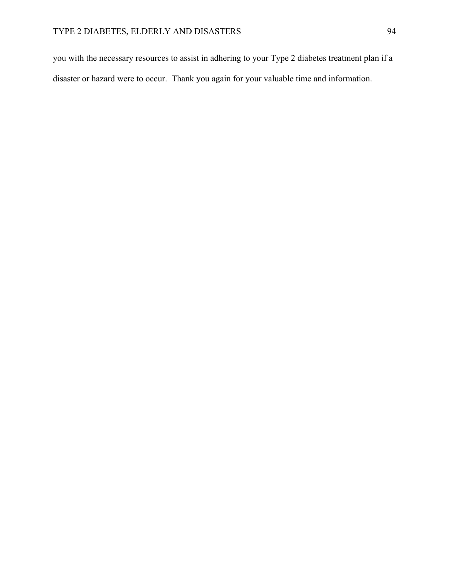you with the necessary resources to assist in adhering to your Type 2 diabetes treatment plan if a disaster or hazard were to occur. Thank you again for your valuable time and information.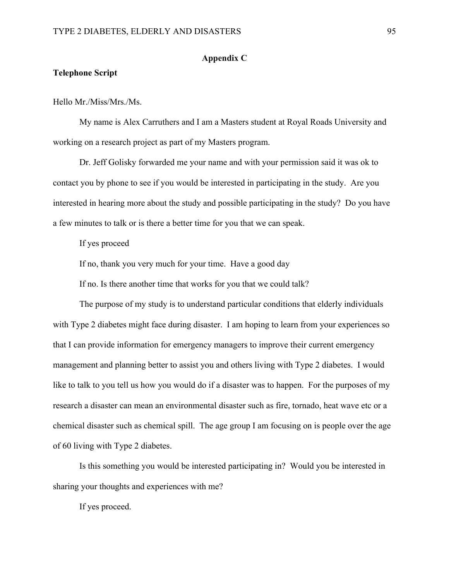## **Appendix C**

## **Telephone Script**

Hello Mr./Miss/Mrs./Ms.

My name is Alex Carruthers and I am a Masters student at Royal Roads University and working on a research project as part of my Masters program.

Dr. Jeff Golisky forwarded me your name and with your permission said it was ok to contact you by phone to see if you would be interested in participating in the study. Are you interested in hearing more about the study and possible participating in the study? Do you have a few minutes to talk or is there a better time for you that we can speak.

If yes proceed

If no, thank you very much for your time. Have a good day

If no. Is there another time that works for you that we could talk?

The purpose of my study is to understand particular conditions that elderly individuals with Type 2 diabetes might face during disaster. I am hoping to learn from your experiences so that I can provide information for emergency managers to improve their current emergency management and planning better to assist you and others living with Type 2 diabetes. I would like to talk to you tell us how you would do if a disaster was to happen. For the purposes of my research a disaster can mean an environmental disaster such as fire, tornado, heat wave etc or a chemical disaster such as chemical spill. The age group I am focusing on is people over the age of 60 living with Type 2 diabetes.

Is this something you would be interested participating in? Would you be interested in sharing your thoughts and experiences with me?

If yes proceed.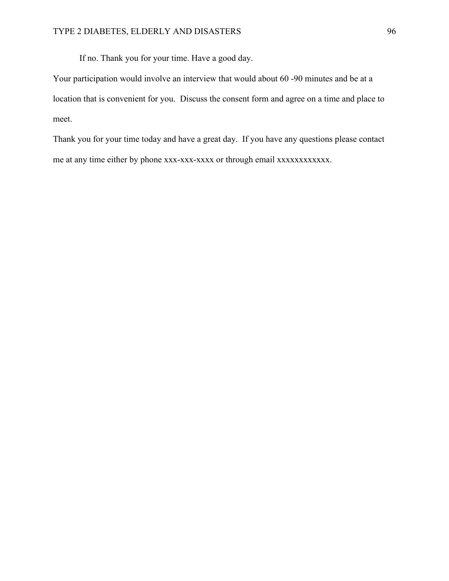If no. Thank you for your time. Have a good day.

Your participation would involve an interview that would about 60 -90 minutes and be at a location that is convenient for you. Discuss the consent form and agree on a time and place to meet.

Thank you for your time today and have a great day. If you have any questions please contact me at any time either by phone xxx-xxx-xxxx or through email xxxxxxxxxxxx.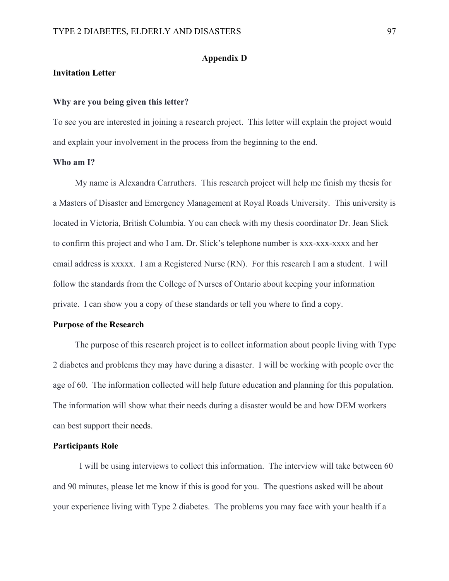## **Appendix D**

## **Invitation Letter**

### **Why are you being given this letter?**

To see you are interested in joining a research project. This letter will explain the project would and explain your involvement in the process from the beginning to the end.

### **Who am I?**

My name is Alexandra Carruthers. This research project will help me finish my thesis for a Masters of Disaster and Emergency Management at Royal Roads University. This university is located in Victoria, British Columbia. You can check with my thesis coordinator Dr. Jean Slick to confirm this project and who I am. Dr. Slick's telephone number is xxx-xxx-xxxx and her email address is xxxxx. I am a Registered Nurse (RN). For this research I am a student. I will follow the standards from the College of Nurses of Ontario about keeping your information private. I can show you a copy of these standards or tell you where to find a copy.

## **Purpose of the Research**

The purpose of this research project is to collect information about people living with Type 2 diabetes and problems they may have during a disaster. I will be working with people over the age of 60. The information collected will help future education and planning for this population. The information will show what their needs during a disaster would be and how DEM workers can best support their needs.

### **Participants Role**

I will be using interviews to collect this information. The interview will take between 60 and 90 minutes, please let me know if this is good for you. The questions asked will be about your experience living with Type 2 diabetes. The problems you may face with your health if a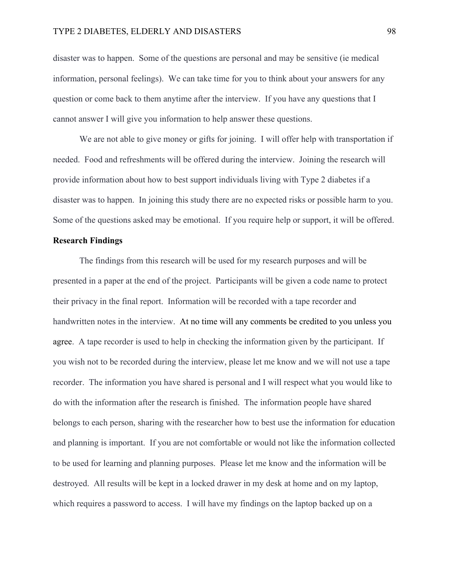#### TYPE 2 DIABETES, ELDERLY AND DISASTERS 98

disaster was to happen. Some of the questions are personal and may be sensitive (ie medical information, personal feelings). We can take time for you to think about your answers for any question or come back to them anytime after the interview. If you have any questions that I cannot answer I will give you information to help answer these questions.

We are not able to give money or gifts for joining. I will offer help with transportation if needed. Food and refreshments will be offered during the interview. Joining the research will provide information about how to best support individuals living with Type 2 diabetes if a disaster was to happen. In joining this study there are no expected risks or possible harm to you. Some of the questions asked may be emotional. If you require help or support, it will be offered.

### **Research Findings**

The findings from this research will be used for my research purposes and will be presented in a paper at the end of the project. Participants will be given a code name to protect their privacy in the final report. Information will be recorded with a tape recorder and handwritten notes in the interview. At no time will any comments be credited to you unless you agree. A tape recorder is used to help in checking the information given by the participant. If you wish not to be recorded during the interview, please let me know and we will not use a tape recorder. The information you have shared is personal and I will respect what you would like to do with the information after the research is finished. The information people have shared belongs to each person, sharing with the researcher how to best use the information for education and planning is important. If you are not comfortable or would not like the information collected to be used for learning and planning purposes. Please let me know and the information will be destroyed. All results will be kept in a locked drawer in my desk at home and on my laptop, which requires a password to access. I will have my findings on the laptop backed up on a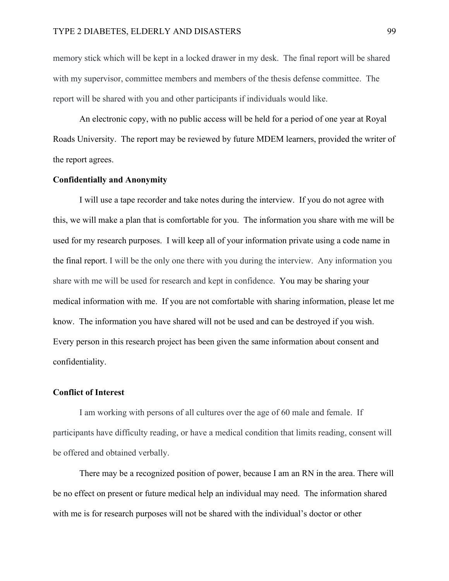memory stick which will be kept in a locked drawer in my desk. The final report will be shared with my supervisor, committee members and members of the thesis defense committee. The report will be shared with you and other participants if individuals would like.

An electronic copy, with no public access will be held for a period of one year at Royal Roads University. The report may be reviewed by future MDEM learners, provided the writer of the report agrees.

### **Confidentially and Anonymity**

I will use a tape recorder and take notes during the interview. If you do not agree with this, we will make a plan that is comfortable for you. The information you share with me will be used for my research purposes. I will keep all of your information private using a code name in the final report. I will be the only one there with you during the interview. Any information you share with me will be used for research and kept in confidence. You may be sharing your medical information with me. If you are not comfortable with sharing information, please let me know. The information you have shared will not be used and can be destroyed if you wish. Every person in this research project has been given the same information about consent and confidentiality.

## **Conflict of Interest**

I am working with persons of all cultures over the age of 60 male and female. If participants have difficulty reading, or have a medical condition that limits reading, consent will be offered and obtained verbally.

There may be a recognized position of power, because I am an RN in the area. There will be no effect on present or future medical help an individual may need. The information shared with me is for research purposes will not be shared with the individual's doctor or other